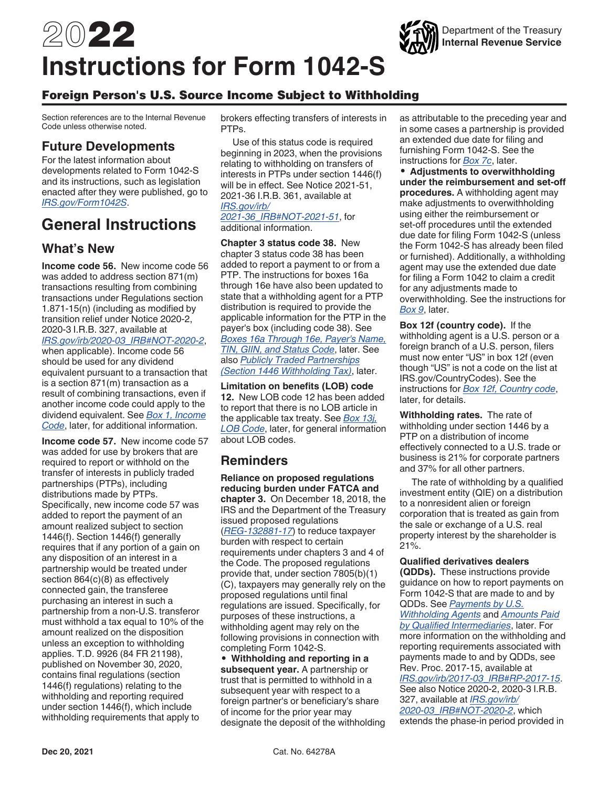# 2022 **Instructions for Form 1042-S**

#### Foreign Person's U.S. Source Income Subject to Withholding

Section references are to the Internal Revenue Code unless otherwise noted.

### **Future Developments**

For the latest information about developments related to Form 1042-S and its instructions, such as legislation enacted after they were published, go to *[IRS.gov/Form1042S](https://www.irs.gov/form1042S)*.

# **General Instructions**

### **What's New**

**Income code 56.** New income code 56 was added to address section 871(m) transactions resulting from combining transactions under Regulations section 1.871-15(n) (including as modified by transition relief under Notice 2020-2, 2020-3 I.R.B. 327, available at *[IRS.gov/irb/2020-03\\_IRB#NOT-2020-2](https://www.IRS.gov/irb/2020-03_IRB#NOT-2020-2)*, when applicable). Income code 56 should be used for any dividend equivalent pursuant to a transaction that is a section 871(m) transaction as a result of combining transactions, even if another income code could apply to the dividend equivalent. See *[Box 1, Income](#page-21-0) [Code](#page-21-0)*, later, for additional information.

**Income code 57.** New income code 57 was added for use by brokers that are required to report or withhold on the transfer of interests in publicly traded partnerships (PTPs), including distributions made by PTPs. Specifically, new income code 57 was added to report the payment of an amount realized subject to section 1446(f). Section 1446(f) generally requires that if any portion of a gain on any disposition of an interest in a partnership would be treated under section 864(c)(8) as effectively connected gain, the transferee purchasing an interest in such a partnership from a non-U.S. transferor must withhold a tax equal to 10% of the amount realized on the disposition unless an exception to withholding applies. T.D. 9926 (84 FR 21198), published on November 30, 2020, contains final regulations (section 1446(f) regulations) relating to the withholding and reporting required under section 1446(f), which include withholding requirements that apply to

brokers effecting transfers of interests in PTPs.

Use of this status code is required beginning in 2023, when the provisions relating to withholding on transfers of interests in PTPs under section 1446(f) will be in effect. See Notice 2021-51, 2021-36 I.R.B. 361, available at *[IRS.gov/irb/](https://www.irs.gov/irb/2021-36_IRB#NOT-2021-51)*

*[2021-36\\_IRB#NOT-2021-51](https://www.irs.gov/irb/2021-36_IRB#NOT-2021-51)*, for additional information.

**Chapter 3 status code 38.** New chapter 3 status code 38 has been added to report a payment to or from a PTP. The instructions for boxes 16a through 16e have also been updated to state that a withholding agent for a PTP distribution is required to provide the applicable information for the PTP in the payer's box (including code 38). See *[Boxes 16a Through 16e, Payer's Name,](#page-29-0) [TIN, GIIN, and Status Code](#page-29-0)*, later. See also *[Publicly Traded Partnerships](#page-10-0)  [\(Section 1446 Withholding Tax\)](#page-10-0)*, later.

**Limitation on benefits (LOB) code 12.** New LOB code 12 has been added to report that there is no LOB article in the applicable tax treaty. See *[Box 13j,](#page-28-0) [LOB Code](#page-28-0)*, later, for general information about LOB codes.

### **Reminders**

**Reliance on proposed regulations reducing burden under FATCA and chapter 3.** On December 18, 2018, the IRS and the Department of the Treasury issued proposed regulations (*[REG-132881-17](https://www.irs.gov/pub/fatca/NPRM%20re%20Sections%201441-1474%20Regulations%202018%201212.pdf)*) to reduce taxpayer burden with respect to certain requirements under chapters 3 and 4 of the Code. The proposed regulations provide that, under section 7805(b)(1) (C), taxpayers may generally rely on the proposed regulations until final regulations are issued. Specifically, for purposes of these instructions, a withholding agent may rely on the following provisions in connection with completing Form 1042-S.

• **Withholding and reporting in a subsequent year.** A partnership or trust that is permitted to withhold in a subsequent year with respect to a foreign partner's or beneficiary's share of income for the prior year may designate the deposit of the withholding as attributable to the preceding year and in some cases a partnership is provided an extended due date for filing and furnishing Form 1042-S. See the instructions for *[Box 7c](#page-25-0)*, later.

Department of the Treasury **Internal Revenue Service**

• **Adjustments to overwithholding under the reimbursement and set-off procedures.** A withholding agent may make adjustments to overwithholding using either the reimbursement or set-off procedures until the extended due date for filing Form 1042-S (unless the Form 1042-S has already been filed or furnished). Additionally, a withholding agent may use the extended due date for filing a Form 1042 to claim a credit for any adjustments made to overwithholding. See the instructions for *[Box 9](#page-25-0)*, later.

**Box 12f (country code).** If the withholding agent is a U.S. person or a foreign branch of a U.S. person, filers must now enter "US" in box 12f (even though "US" is not a code on the list at IRS.gov/CountryCodes). See the instructions for *[Box 12f, Country code](#page-26-0)*, later, for details.

**Withholding rates.** The rate of withholding under section 1446 by a PTP on a distribution of income effectively connected to a U.S. trade or business is 21% for corporate partners and 37% for all other partners.

The rate of withholding by a qualified investment entity (QIE) on a distribution to a nonresident alien or foreign corporation that is treated as gain from the sale or exchange of a U.S. real property interest by the shareholder is 21%.

#### **Qualified derivatives dealers**

**(QDDs).** These instructions provide guidance on how to report payments on Form 1042-S that are made to and by QDDs. See *[Payments by U.S.](#page-11-0)  [Withholding Agents](#page-11-0)* and *[Amounts Paid](#page-16-0)  [by Qualified Intermediaries](#page-16-0)*, later. For more information on the withholding and reporting requirements associated with payments made to and by QDDs, see Rev. Proc. 2017-15, available at *[IRS.gov/irb/2017-03\\_IRB#RP-2017-15](https://www.irs.gov/irb/2017-03_IRB#RP-2017-15)*. See also Notice 2020-2, 2020-3 I.R.B. 327, available at *[IRS.gov/irb/](https://www.irs.gov/irb/2020-03_IRB#NOT-2020-2) [2020-03\\_IRB#NOT-2020-2](https://www.irs.gov/irb/2020-03_IRB#NOT-2020-2)*, which extends the phase-in period provided in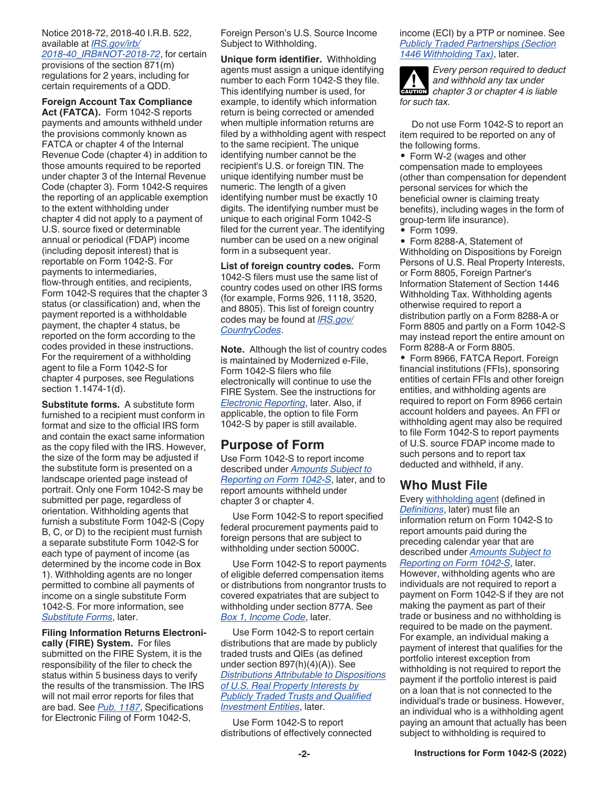#### <span id="page-1-0"></span>Notice 2018-72, 2018-40 I.R.B. 522, available at *[IRS.gov/irb/](https://www.irs.gov/irb/2018-40_IRB#NOT-2018-72) [2018-40\\_IRB#NOT-2018-72](https://www.irs.gov/irb/2018-40_IRB#NOT-2018-72)*, for certain provisions of the section 871(m) regulations for 2 years, including for certain requirements of a QDD.

**Foreign Account Tax Compliance Act (FATCA).** Form 1042-S reports payments and amounts withheld under the provisions commonly known as FATCA or chapter 4 of the Internal Revenue Code (chapter 4) in addition to those amounts required to be reported under chapter 3 of the Internal Revenue Code (chapter 3). Form 1042-S requires the reporting of an applicable exemption to the extent withholding under chapter 4 did not apply to a payment of U.S. source fixed or determinable annual or periodical (FDAP) income (including deposit interest) that is reportable on Form 1042-S. For payments to intermediaries, flow-through entities, and recipients, Form 1042-S requires that the chapter 3 status (or classification) and, when the payment reported is a withholdable payment, the chapter 4 status, be reported on the form according to the codes provided in these instructions. For the requirement of a withholding agent to file a Form 1042-S for chapter 4 purposes, see Regulations section 1.1474-1(d).

**Substitute forms.** A substitute form furnished to a recipient must conform in format and size to the official IRS form and contain the exact same information as the copy filed with the IRS. However, the size of the form may be adjusted if the substitute form is presented on a landscape oriented page instead of portrait. Only one Form 1042-S may be submitted per page, regardless of orientation. Withholding agents that furnish a substitute Form 1042-S (Copy B, C, or D) to the recipient must furnish a separate substitute Form 1042-S for each type of payment of income (as determined by the income code in Box 1). Withholding agents are no longer permitted to combine all payments of income on a single substitute Form 1042-S. For more information, see *[Substitute Forms](#page-3-0)*, later.

**Filing Information Returns Electronically (FIRE) System.** For files submitted on the FIRE System, it is the responsibility of the filer to check the status within 5 business days to verify the results of the transmission. The IRS will not mail error reports for files that are bad. See *[Pub. 1187](https://www.irs.gov/pub/irs-pdf/p1187.pdf)*, Specifications for Electronic Filing of Form 1042-S,

Foreign Person's U.S. Source Income Subject to Withholding.

**Unique form identifier.** Withholding agents must assign a unique identifying number to each Form 1042-S they file. This identifying number is used, for example, to identify which information return is being corrected or amended when multiple information returns are filed by a withholding agent with respect to the same recipient. The unique identifying number cannot be the recipient's U.S. or foreign TIN. The unique identifying number must be numeric. The length of a given identifying number must be exactly 10 digits. The identifying number must be unique to each original Form 1042-S filed for the current year. The identifying number can be used on a new original form in a subsequent year.

**List of foreign country codes.** Form 1042-S filers must use the same list of country codes used on other IRS forms (for example, Forms 926, 1118, 3520, and 8805). This list of foreign country codes may be found at *[IRS.gov/](https://www.irs.gov/countrycodes) [CountryCodes](https://www.irs.gov/countrycodes)*.

**Note.** Although the list of country codes is maintained by Modernized e-File, Form 1042-S filers who file electronically will continue to use the FIRE System. See the instructions for *[Electronic Reporting](#page-2-0)*, later. Also, if applicable, the option to file Form 1042-S by paper is still available.

#### **Purpose of Form**

Use Form 1042-S to report income described under *[Amounts Subject to](#page-7-0) [Reporting on Form 1042-S](#page-7-0)*, later, and to report amounts withheld under chapter 3 or chapter 4.

Use Form 1042-S to report specified federal procurement payments paid to foreign persons that are subject to withholding under section 5000C.

Use Form 1042-S to report payments of eligible deferred compensation items or distributions from nongrantor trusts to covered expatriates that are subject to withholding under section 877A. See *[Box 1, Income Code](#page-21-0)*, later.

Use Form 1042-S to report certain distributions that are made by publicly traded trusts and QIEs (as defined under section 897(h)(4)(A)). See *[Distributions Attributable to Dispositions](#page-9-0) [of U.S. Real Property Interests by](#page-9-0)  [Publicly Traded Trusts and Qualified](#page-9-0) [Investment Entities](#page-9-0)*, later.

Use Form 1042-S to report distributions of effectively connected income (ECI) by a PTP or nominee. See *[Publicly Traded Partnerships \(Section](#page-10-0) [1446 Withholding Tax\)](#page-10-0)*, later.

*Every person required to deduct and withhold any tax under*  **z** and withhold any tax under<br>
chapter 3 or chapter 4 is liable *for such tax.*

Do not use Form 1042-S to report an item required to be reported on any of the following forms.

• Form W-2 (wages and other compensation made to employees (other than compensation for dependent personal services for which the beneficial owner is claiming treaty benefits), including wages in the form of group-term life insurance).

• Form 1099.

• Form 8288-A, Statement of Withholding on Dispositions by Foreign Persons of U.S. Real Property Interests, or Form 8805, Foreign Partner's Information Statement of Section 1446 Withholding Tax. Withholding agents otherwise required to report a distribution partly on a Form 8288-A or Form 8805 and partly on a Form 1042-S may instead report the entire amount on Form 8288-A or Form 8805.

• Form 8966, FATCA Report. Foreign financial institutions (FFIs), sponsoring entities of certain FFIs and other foreign entities, and withholding agents are required to report on Form 8966 certain account holders and payees. An FFI or withholding agent may also be required to file Form 1042-S to report payments of U.S. source FDAP income made to such persons and to report tax deducted and withheld, if any.

### **Who Must File**

Every [withholding agent](#page-3-0) (defined in *[Definitions](#page-3-0)*, later) must file an information return on Form 1042-S to report amounts paid during the preceding calendar year that are described under *[Amounts Subject to](#page-7-0) [Reporting on Form 1042-S](#page-7-0)*, later. However, withholding agents who are individuals are not required to report a payment on Form 1042-S if they are not making the payment as part of their trade or business and no withholding is required to be made on the payment. For example, an individual making a payment of interest that qualifies for the portfolio interest exception from withholding is not required to report the payment if the portfolio interest is paid on a loan that is not connected to the individual's trade or business. However, an individual who is a withholding agent paying an amount that actually has been subject to withholding is required to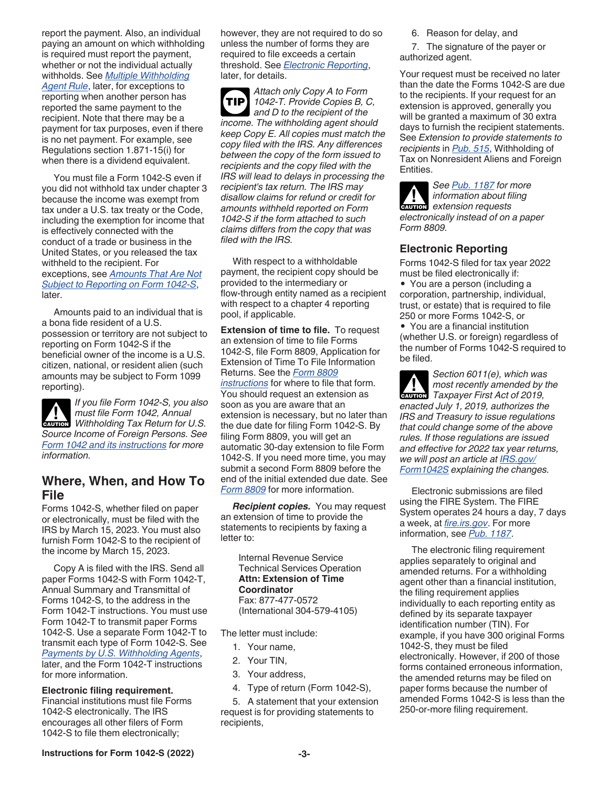<span id="page-2-0"></span>report the payment. Also, an individual paying an amount on which withholding is required must report the payment, whether or not the individual actually withholds. See *[Multiple Withholding](#page-19-0)  [Agent Rule](#page-19-0)*, later, for exceptions to reporting when another person has reported the same payment to the recipient. Note that there may be a payment for tax purposes, even if there is no net payment. For example, see Regulations section 1.871-15(i) for when there is a dividend equivalent.

You must file a Form 1042-S even if you did not withhold tax under chapter 3 because the income was exempt from tax under a U.S. tax treaty or the Code, including the exemption for income that is effectively connected with the conduct of a trade or business in the United States, or you released the tax withheld to the recipient. For exceptions, see *[Amounts That Are Not](#page-9-0)  [Subject to Reporting on Form 1042-S](#page-9-0)*, later.

Amounts paid to an individual that is a bona fide resident of a U.S. possession or territory are not subject to reporting on Form 1042-S if the beneficial owner of the income is a U.S. citizen, national, or resident alien (such amounts may be subject to Form 1099 reporting).

*If you file Form 1042-S, you also must file Form 1042, Annual*  **CAUTION** *Withholding Tax Return for U.S. Source Income of Foreign Persons. See [Form 1042 and its instructions](https://www.irs.gov/forms-pubs/about-form-1042) for more information.*

#### **Where, When, and How To File**

Forms 1042-S, whether filed on paper or electronically, must be filed with the IRS by March 15, 2023. You must also furnish Form 1042-S to the recipient of the income by March 15, 2023.

Copy A is filed with the IRS. Send all paper Forms 1042-S with Form 1042-T, Annual Summary and Transmittal of Forms 1042-S, to the address in the Form 1042-T instructions. You must use Form 1042-T to transmit paper Forms 1042-S. Use a separate Form 1042-T to transmit each type of Form 1042-S. See *[Payments by U.S. Withholding Agents](#page-11-0)*, later, and the Form 1042-T instructions for more information.

**Electronic filing requirement.**  Financial institutions must file Forms 1042-S electronically. The IRS encourages all other filers of Form 1042-S to file them electronically;

however, they are not required to do so unless the number of forms they are required to file exceeds a certain threshold. See *Electronic Reporting*, later, for details.

*Attach only Copy A to Form 1042-T. Provide Copies B, C, and D to the recipient of the income. The withholding agent should keep Copy E. All copies must match the copy filed with the IRS. Any differences between the copy of the form issued to recipients and the copy filed with the IRS will lead to delays in processing the recipient's tax return. The IRS may disallow claims for refund or credit for amounts withheld reported on Form 1042-S if the form attached to such claims differs from the copy that was filed with the IRS.* **TIP**

With respect to a withholdable payment, the recipient copy should be provided to the intermediary or flow-through entity named as a recipient with respect to a chapter 4 reporting pool, if applicable.

**Extension of time to file.** To request an extension of time to file Forms 1042-S, file Form 8809, Application for Extension of Time To File Information Returns. See the *[Form 8809](https://www.irs.gov/pub/irs-pdf/f8809.pdf)  [instructions](https://www.irs.gov/pub/irs-pdf/f8809.pdf)* for where to file that form. You should request an extension as soon as you are aware that an extension is necessary, but no later than the due date for filing Form 1042-S. By filing Form 8809, you will get an automatic 30-day extension to file Form 1042-S. If you need more time, you may submit a second Form 8809 before the end of the initial extended due date. See *[Form 8809](https://www.irs.gov/pub/irs-pdf/f8809.pdf)* for more information.

*Recipient copies.* You may request an extension of time to provide the statements to recipients by faxing a letter to:

Internal Revenue Service Technical Services Operation **Attn: Extension of Time Coordinator** Fax: 877-477-0572 (International 304-579-4105)

The letter must include:

- 1. Your name,
- 2. Your TIN,
- 3. Your address,
- 4. Type of return (Form 1042-S),

5. A statement that your extension request is for providing statements to recipients,

6. Reason for delay, and

7. The signature of the payer or authorized agent.

Your request must be received no later than the date the Forms 1042-S are due to the recipients. If your request for an extension is approved, generally you will be granted a maximum of 30 extra days to furnish the recipient statements. See *Extension to provide statements to recipients* in *[Pub. 515](https://www.irs.gov/pub/irs-pdf/p515.pdf)*, Withholding of Tax on Nonresident Aliens and Foreign Entities.

*See [Pub. 1187](https://www.irs.gov/pub/irs-pdf/p1187.pdf) for more information about filing*  **CAUTION** *extension requests electronically instead of on a paper Form 8809.*

#### **Electronic Reporting**

Forms 1042-S filed for tax year 2022 must be filed electronically if:

• You are a person (including a corporation, partnership, individual, trust, or estate) that is required to file 250 or more Forms 1042-S, or

• You are a financial institution (whether U.S. or foreign) regardless of the number of Forms 1042-S required to be filed.

*Section 6011(e), which was most recently amended by the*  **PARTICIPY ACTES 2019**<br> **Taxpayer First Act of 2019,** *enacted July 1, 2019, authorizes the IRS and Treasury to issue regulations that could change some of the above rules. If those regulations are issued and effective for 2022 tax year returns, we will post an article at [IRS.gov/](https://www.irs.gov/forms-pubs/about-form-1042-s) [Form1042S](https://www.irs.gov/forms-pubs/about-form-1042-s) explaining the changes.*

Electronic submissions are filed using the FIRE System. The FIRE System operates 24 hours a day, 7 days a week, at *[fire.irs.gov](https://fire.irs.gov)*. For more information, see *[Pub. 1187](https://www.irs.gov/pub/irs-pdf/p1187.pdf)*.

The electronic filing requirement applies separately to original and amended returns. For a withholding agent other than a financial institution, the filing requirement applies individually to each reporting entity as defined by its separate taxpayer identification number (TIN). For example, if you have 300 original Forms 1042-S, they must be filed electronically. However, if 200 of those forms contained erroneous information, the amended returns may be filed on paper forms because the number of amended Forms 1042-S is less than the 250-or-more filing requirement.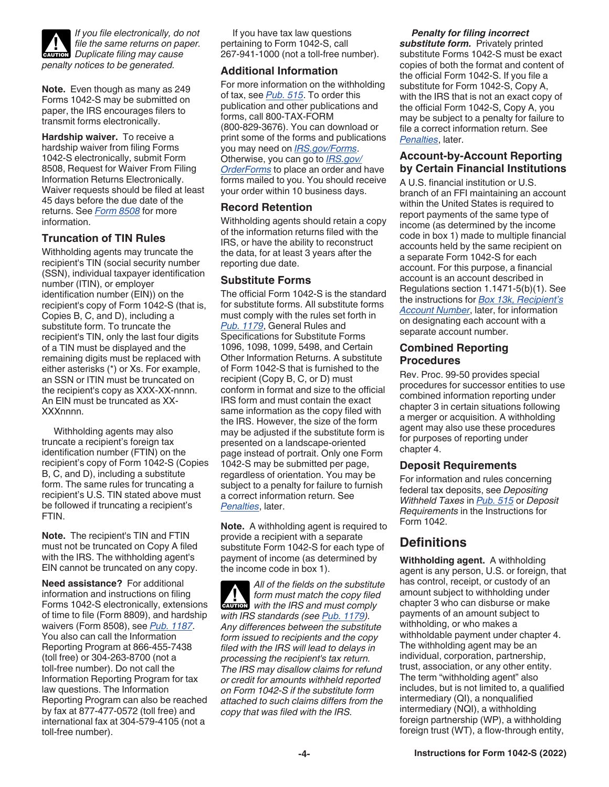<span id="page-3-0"></span>

*If you file electronically, do not file the same returns on paper. Duplicate filing may cause*<br> **CAUTION** *penalty notices to be generated.*

**Note.** Even though as many as 249 Forms 1042-S may be submitted on paper, the IRS encourages filers to transmit forms electronically.

**Hardship waiver.** To receive a hardship waiver from filing Forms 1042-S electronically, submit Form 8508, Request for Waiver From Filing Information Returns Electronically. Waiver requests should be filed at least 45 days before the due date of the returns. See *[Form 8508](https://www.irs.gov/pub/irs-pdf/f8508.pdf)* for more information.

#### **Truncation of TIN Rules**

Withholding agents may truncate the recipient's TIN (social security number (SSN), individual taxpayer identification number (ITIN), or employer identification number (EIN)) on the recipient's copy of Form 1042-S (that is, Copies B, C, and D), including a substitute form. To truncate the recipient's TIN, only the last four digits of a TIN must be displayed and the remaining digits must be replaced with either asterisks (\*) or Xs. For example, an SSN or ITIN must be truncated on the recipient's copy as XXX-XX-nnnn. An EIN must be truncated as XX-XXXnnnn.

Withholding agents may also truncate a recipient's foreign tax identification number (FTIN) on the recipient's copy of Form 1042-S (Copies B, C, and D), including a substitute form. The same rules for truncating a recipient's U.S. TIN stated above must be followed if truncating a recipient's FTIN.

**Note.** The recipient's TIN and FTIN must not be truncated on Copy A filed with the IRS. The withholding agent's EIN cannot be truncated on any copy.

**Need assistance?** For additional information and instructions on filing Forms 1042-S electronically, extensions of time to file (Form 8809), and hardship waivers (Form 8508), see *[Pub. 1187](https://www.irs.gov/pub/irs-pdf/p1187.pdf)*. You also can call the Information Reporting Program at 866-455-7438 (toll free) or 304-263-8700 (not a toll-free number). Do not call the Information Reporting Program for tax law questions. The Information Reporting Program can also be reached by fax at 877-477-0572 (toll free) and international fax at 304-579-4105 (not a toll-free number).

If you have tax law questions pertaining to Form 1042-S, call 267-941-1000 (not a toll-free number).

#### **Additional Information**

For more information on the withholding of tax, see *[Pub. 515](https://www.irs.gov/pub/irs-pdf/p515.pdf)*. To order this publication and other publications and forms, call 800-TAX-FORM (800-829-3676). You can download or print some of the forms and publications you may need on *[IRS.gov/Forms](https://www.IRS.gov/Forms)*. Otherwise, you can go to *[IRS.gov/](https://www.IRS.gov/OrderForms) [OrderForms](https://www.IRS.gov/OrderForms)* to place an order and have forms mailed to you. You should receive your order within 10 business days.

#### **Record Retention**

Withholding agents should retain a copy of the information returns filed with the IRS, or have the ability to reconstruct the data, for at least 3 years after the reporting due date.

#### **Substitute Forms**

The official Form 1042-S is the standard for substitute forms. All substitute forms must comply with the rules set forth in *[Pub. 1179](https://www.irs.gov/pub/irs-pdf/p1179.pdf)*, General Rules and Specifications for Substitute Forms 1096, 1098, 1099, 5498, and Certain Other Information Returns. A substitute of Form 1042-S that is furnished to the recipient (Copy B, C, or D) must conform in format and size to the official IRS form and must contain the exact same information as the copy filed with the IRS. However, the size of the form may be adjusted if the substitute form is presented on a landscape-oriented page instead of portrait. Only one Form 1042-S may be submitted per page, regardless of orientation. You may be subject to a penalty for failure to furnish a correct information return. See *[Penalties](#page-20-0)*, later.

**Note.** A withholding agent is required to provide a recipient with a separate substitute Form 1042-S for each type of payment of income (as determined by the income code in box 1).

*All of the fields on the substitute form must match the copy filed*  form must match the copy filed<br>with the IRS and must comply *with IRS standards (see [Pub. 1179\)](https://www.irs.gov/pub/irs-pdf/p1179.pdf). Any differences between the substitute form issued to recipients and the copy filed with the IRS will lead to delays in processing the recipient's tax return. The IRS may disallow claims for refund or credit for amounts withheld reported on Form 1042-S if the substitute form attached to such claims differs from the copy that was filed with the IRS.*

#### *Penalty for filing incorrect*

*substitute form.* Privately printed substitute Forms 1042-S must be exact copies of both the format and content of the official Form 1042-S. If you file a substitute for Form 1042-S, Copy A, with the IRS that is not an exact copy of the official Form 1042-S, Copy A, you may be subject to a penalty for failure to file a correct information return. See *[Penalties](#page-20-0)*, later.

#### **Account-by-Account Reporting by Certain Financial Institutions**

A U.S. financial institution or U.S. branch of an FFI maintaining an account within the United States is required to report payments of the same type of income (as determined by the income code in box 1) made to multiple financial accounts held by the same recipient on a separate Form 1042-S for each account. For this purpose, a financial account is an account described in Regulations section 1.1471-5(b)(1). See the instructions for *[Box 13k, Recipient's](#page-28-0)  [Account Number](#page-28-0)*, later, for information on designating each account with a separate account number.

#### **Combined Reporting Procedures**

Rev. Proc. 99-50 provides special procedures for successor entities to use combined information reporting under chapter 3 in certain situations following a merger or acquisition. A withholding agent may also use these procedures for purposes of reporting under chapter 4.

#### **Deposit Requirements**

For information and rules concerning federal tax deposits, see *Depositing Withheld Taxes* in *[Pub. 515](https://www.irs.gov/pub/irs-pdf/p515.pdf)* or *Deposit Requirements* in the Instructions for Form 1042.

### **Definitions**

**Withholding agent.** A withholding agent is any person, U.S. or foreign, that has control, receipt, or custody of an amount subject to withholding under chapter 3 who can disburse or make payments of an amount subject to withholding, or who makes a withholdable payment under chapter 4. The withholding agent may be an individual, corporation, partnership, trust, association, or any other entity. The term "withholding agent" also includes, but is not limited to, a qualified intermediary (QI), a nonqualified intermediary (NQI), a withholding foreign partnership (WP), a withholding foreign trust (WT), a flow-through entity,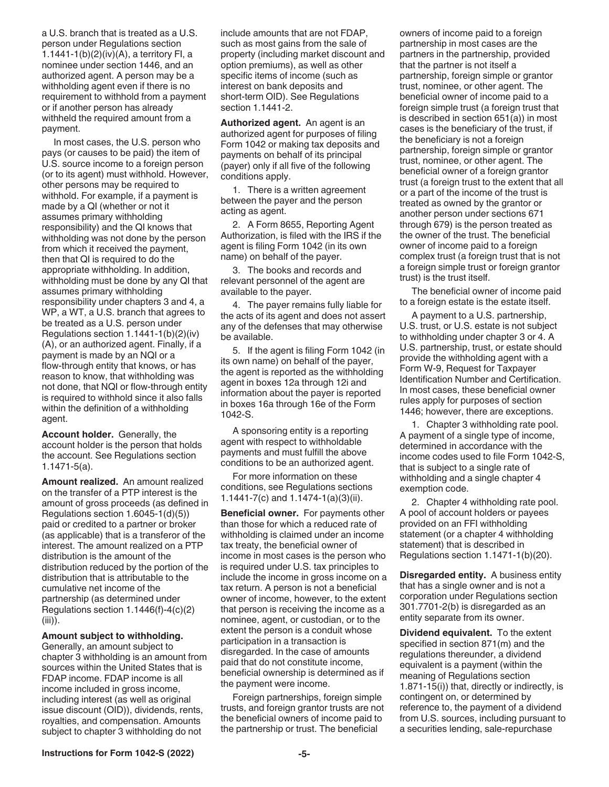<span id="page-4-0"></span>a U.S. branch that is treated as a U.S. person under Regulations section 1.1441-1(b)(2)(iv)(A), a territory FI, a nominee under section 1446, and an authorized agent. A person may be a withholding agent even if there is no requirement to withhold from a payment or if another person has already withheld the required amount from a payment.

In most cases, the U.S. person who pays (or causes to be paid) the item of U.S. source income to a foreign person (or to its agent) must withhold. However, other persons may be required to withhold. For example, if a payment is made by a QI (whether or not it assumes primary withholding responsibility) and the QI knows that withholding was not done by the person from which it received the payment, then that QI is required to do the appropriate withholding. In addition, withholding must be done by any QI that assumes primary withholding responsibility under chapters 3 and 4, a WP, a WT, a U.S. branch that agrees to be treated as a U.S. person under Regulations section 1.1441-1(b)(2)(iv) (A), or an authorized agent. Finally, if a payment is made by an NQI or a flow-through entity that knows, or has reason to know, that withholding was not done, that NQI or flow-through entity is required to withhold since it also falls within the definition of a withholding agent.

**Account holder.** Generally, the account holder is the person that holds the account. See Regulations section 1.1471-5(a).

**Amount realized.** An amount realized on the transfer of a PTP interest is the amount of gross proceeds (as defined in Regulations section 1.6045-1(d)(5)) paid or credited to a partner or broker (as applicable) that is a transferor of the interest. The amount realized on a PTP distribution is the amount of the distribution reduced by the portion of the distribution that is attributable to the cumulative net income of the partnership (as determined under Regulations section 1.1446(f)-4(c)(2) (iii)).

#### **Amount subject to withholding.**

Generally, an amount subject to chapter 3 withholding is an amount from sources within the United States that is FDAP income. FDAP income is all income included in gross income, including interest (as well as original issue discount (OID)), dividends, rents, royalties, and compensation. Amounts subject to chapter 3 withholding do not

include amounts that are not FDAP, such as most gains from the sale of property (including market discount and option premiums), as well as other specific items of income (such as interest on bank deposits and short-term OID). See Regulations section 1.1441-2.

**Authorized agent.** An agent is an authorized agent for purposes of filing Form 1042 or making tax deposits and payments on behalf of its principal (payer) only if all five of the following conditions apply.

1. There is a written agreement between the payer and the person acting as agent.

2. A Form 8655, Reporting Agent Authorization, is filed with the IRS if the agent is filing Form 1042 (in its own name) on behalf of the payer.

3. The books and records and relevant personnel of the agent are available to the payer.

4. The payer remains fully liable for the acts of its agent and does not assert any of the defenses that may otherwise be available.

5. If the agent is filing Form 1042 (in its own name) on behalf of the payer, the agent is reported as the withholding agent in boxes 12a through 12i and information about the payer is reported in boxes 16a through 16e of the Form 1042-S.

A sponsoring entity is a reporting agent with respect to withholdable payments and must fulfill the above conditions to be an authorized agent.

For more information on these conditions, see Regulations sections 1.1441-7(c) and 1.1474-1(a)(3)(ii).

**Beneficial owner.** For payments other than those for which a reduced rate of withholding is claimed under an income tax treaty, the beneficial owner of income in most cases is the person who is required under U.S. tax principles to include the income in gross income on a tax return. A person is not a beneficial owner of income, however, to the extent that person is receiving the income as a nominee, agent, or custodian, or to the extent the person is a conduit whose participation in a transaction is disregarded. In the case of amounts paid that do not constitute income, beneficial ownership is determined as if the payment were income.

Foreign partnerships, foreign simple trusts, and foreign grantor trusts are not the beneficial owners of income paid to the partnership or trust. The beneficial

owners of income paid to a foreign partnership in most cases are the partners in the partnership, provided that the partner is not itself a partnership, foreign simple or grantor trust, nominee, or other agent. The beneficial owner of income paid to a foreign simple trust (a foreign trust that is described in section 651(a)) in most cases is the beneficiary of the trust, if the beneficiary is not a foreign partnership, foreign simple or grantor trust, nominee, or other agent. The beneficial owner of a foreign grantor trust (a foreign trust to the extent that all or a part of the income of the trust is treated as owned by the grantor or another person under sections 671 through 679) is the person treated as the owner of the trust. The beneficial owner of income paid to a foreign complex trust (a foreign trust that is not a foreign simple trust or foreign grantor trust) is the trust itself.

The beneficial owner of income paid to a foreign estate is the estate itself.

A payment to a U.S. partnership, U.S. trust, or U.S. estate is not subject to withholding under chapter 3 or 4. A U.S. partnership, trust, or estate should provide the withholding agent with a Form W-9, Request for Taxpayer Identification Number and Certification. In most cases, these beneficial owner rules apply for purposes of section 1446; however, there are exceptions.

1. Chapter 3 withholding rate pool. A payment of a single type of income, determined in accordance with the income codes used to file Form 1042-S, that is subject to a single rate of withholding and a single chapter 4 exemption code.

2. Chapter 4 withholding rate pool. A pool of account holders or payees provided on an FFI withholding statement (or a chapter 4 withholding statement) that is described in Regulations section 1.1471-1(b)(20).

**Disregarded entity.** A business entity that has a single owner and is not a corporation under Regulations section 301.7701-2(b) is disregarded as an entity separate from its owner.

**Dividend equivalent.** To the extent specified in section 871(m) and the regulations thereunder, a dividend equivalent is a payment (within the meaning of Regulations section 1.871-15(i)) that, directly or indirectly, is contingent on, or determined by reference to, the payment of a dividend from U.S. sources, including pursuant to a securities lending, sale-repurchase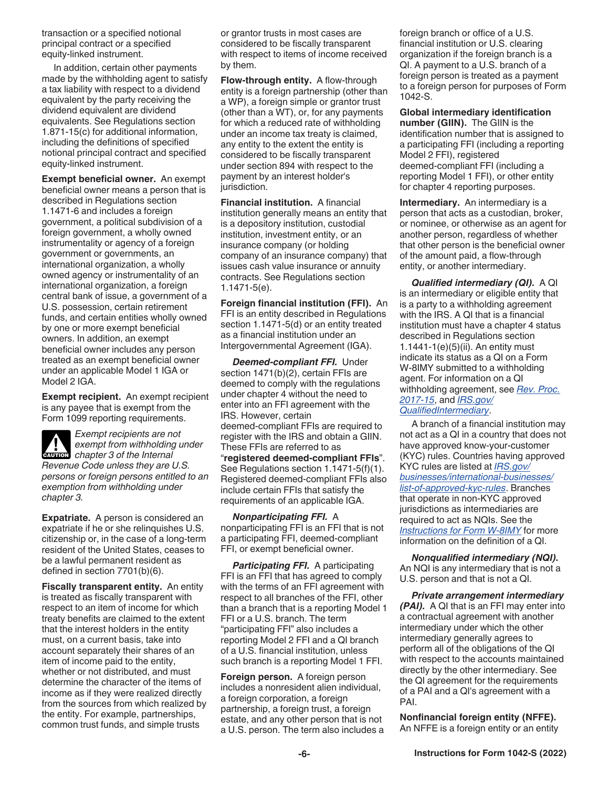<span id="page-5-0"></span>transaction or a specified notional principal contract or a specified equity-linked instrument.

In addition, certain other payments made by the withholding agent to satisfy a tax liability with respect to a dividend equivalent by the party receiving the dividend equivalent are dividend equivalents. See Regulations section 1.871-15(c) for additional information, including the definitions of specified notional principal contract and specified equity-linked instrument.

**Exempt beneficial owner.** An exempt beneficial owner means a person that is described in Regulations section 1.1471-6 and includes a foreign government, a political subdivision of a foreign government, a wholly owned instrumentality or agency of a foreign government or governments, an international organization, a wholly owned agency or instrumentality of an international organization, a foreign central bank of issue, a government of a U.S. possession, certain retirement funds, and certain entities wholly owned by one or more exempt beneficial owners. In addition, an exempt beneficial owner includes any person treated as an exempt beneficial owner under an applicable Model 1 IGA or Model 2 IGA.

**Exempt recipient.** An exempt recipient is any payee that is exempt from the Form 1099 reporting requirements.

*Exempt recipients are not exempt from withholding under*  **c**aution chapter 3 of the Internal *Revenue Code unless they are U.S. persons or foreign persons entitled to an exemption from withholding under chapter 3.*

**Expatriate.** A person is considered an expatriate if he or she relinquishes U.S. citizenship or, in the case of a long-term resident of the United States, ceases to be a lawful permanent resident as defined in section 7701(b)(6).

**Fiscally transparent entity.** An entity is treated as fiscally transparent with respect to an item of income for which treaty benefits are claimed to the extent that the interest holders in the entity must, on a current basis, take into account separately their shares of an item of income paid to the entity, whether or not distributed, and must determine the character of the items of income as if they were realized directly from the sources from which realized by the entity. For example, partnerships, common trust funds, and simple trusts

or grantor trusts in most cases are considered to be fiscally transparent with respect to items of income received by them.

**Flow-through entity.** A flow-through entity is a foreign partnership (other than a WP), a foreign simple or grantor trust (other than a WT), or, for any payments for which a reduced rate of withholding under an income tax treaty is claimed, any entity to the extent the entity is considered to be fiscally transparent under section 894 with respect to the payment by an interest holder's jurisdiction.

**Financial institution.** A financial institution generally means an entity that is a depository institution, custodial institution, investment entity, or an insurance company (or holding company of an insurance company) that issues cash value insurance or annuity contracts. See Regulations section 1.1471-5(e).

**Foreign financial institution (FFI).** An FFI is an entity described in Regulations section 1.1471-5(d) or an entity treated as a financial institution under an Intergovernmental Agreement (IGA).

*Deemed-compliant FFI.* Under section 1471(b)(2), certain FFIs are deemed to comply with the regulations under chapter 4 without the need to enter into an FFI agreement with the IRS. However, certain deemed-compliant FFIs are required to register with the IRS and obtain a GIIN. These FFIs are referred to as "**registered deemed-compliant FFIs**". See Regulations section 1.1471-5(f)(1). Registered deemed-compliant FFIs also include certain FFIs that satisfy the requirements of an applicable IGA.

*Nonparticipating FFI.* A nonparticipating FFI is an FFI that is not a participating FFI, deemed-compliant FFI, or exempt beneficial owner.

*Participating FFI.* A participating FFI is an FFI that has agreed to comply with the terms of an FFI agreement with respect to all branches of the FFI, other than a branch that is a reporting Model 1 FFI or a U.S. branch. The term "participating FFI" also includes a reporting Model 2 FFI and a QI branch of a U.S. financial institution, unless such branch is a reporting Model 1 FFI.

**Foreign person.** A foreign person includes a nonresident alien individual, a foreign corporation, a foreign partnership, a foreign trust, a foreign estate, and any other person that is not a U.S. person. The term also includes a foreign branch or office of a U.S. financial institution or U.S. clearing organization if the foreign branch is a QI. A payment to a U.S. branch of a foreign person is treated as a payment to a foreign person for purposes of Form 1042-S.

**Global intermediary identification number (GIIN).** The GIIN is the identification number that is assigned to a participating FFI (including a reporting Model 2 FFI), registered deemed-compliant FFI (including a reporting Model 1 FFI), or other entity for chapter 4 reporting purposes.

**Intermediary.** An intermediary is a person that acts as a custodian, broker, or nominee, or otherwise as an agent for another person, regardless of whether that other person is the beneficial owner of the amount paid, a flow-through entity, or another intermediary.

*Qualified intermediary (QI).* A QI is an intermediary or eligible entity that is a party to a withholding agreement with the IRS. A QI that is a financial institution must have a chapter 4 status described in Regulations section 1.1441-1(e)(5)(ii). An entity must indicate its status as a QI on a Form W-8IMY submitted to a withholding agent. For information on a QI withholding agreement, see *[Rev. Proc.](https://www.irs.gov/irb/2017-03_IRB#RP-2017-15) [2017-15](https://www.irs.gov/irb/2017-03_IRB#RP-2017-15)*, and *[IRS.gov/](https://www.irs.gov/businesses/corporations/qualified-intermediary-system) [QualifiedIntermediary](https://www.irs.gov/businesses/corporations/qualified-intermediary-system)*.

A branch of a financial institution may not act as a QI in a country that does not have approved know-your-customer (KYC) rules. Countries having approved KYC rules are listed at *[IRS.gov/](https://www.irs.gov/businesses/international-businesses/list-of-approved-kyc-rules) [businesses/international-businesses/](https://www.irs.gov/businesses/international-businesses/list-of-approved-kyc-rules) [list-of-approved-kyc-rules](https://www.irs.gov/businesses/international-businesses/list-of-approved-kyc-rules)*. Branches that operate in non-KYC approved jurisdictions as intermediaries are required to act as NQIs. See the *[Instructions for Form W-8IMY](https://www.irs.gov/pub/irs-pdf/iw8.pdf)* for more information on the definition of a QI.

*Nonqualified intermediary (NQI).* An NQI is any intermediary that is not a U.S. person and that is not a QI.

*Private arrangement intermediary (PAI).* A QI that is an FFI may enter into a contractual agreement with another intermediary under which the other intermediary generally agrees to perform all of the obligations of the QI with respect to the accounts maintained directly by the other intermediary. See the QI agreement for the requirements of a PAI and a QI's agreement with a PAI.

**Nonfinancial foreign entity (NFFE).** An NFFE is a foreign entity or an entity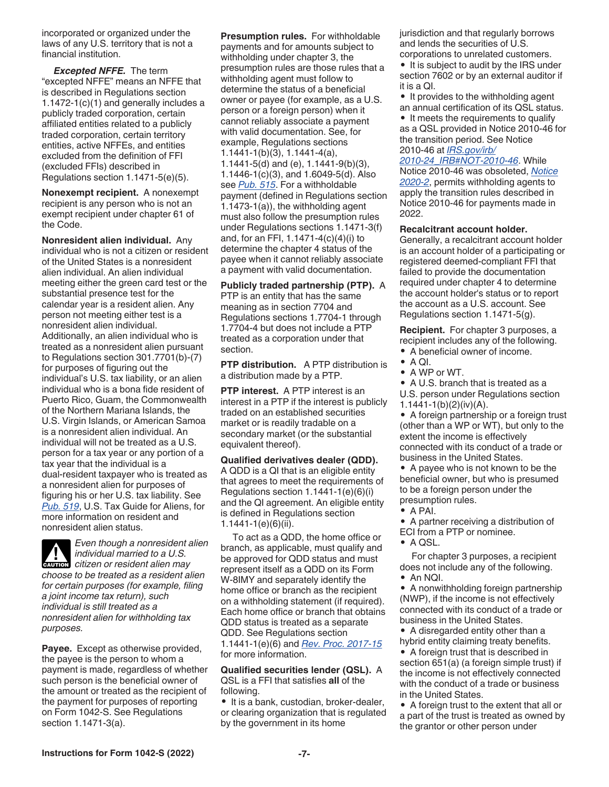<span id="page-6-0"></span>incorporated or organized under the laws of any U.S. territory that is not a financial institution.

*Excepted NFFE.* The term "excepted NFFE" means an NFFE that is described in Regulations section 1.1472-1(c)(1) and generally includes a publicly traded corporation, certain affiliated entities related to a publicly traded corporation, certain territory entities, active NFFEs, and entities excluded from the definition of FFI (excluded FFIs) described in Regulations section 1.1471-5(e)(5).

**Nonexempt recipient.** A nonexempt recipient is any person who is not an exempt recipient under chapter 61 of the Code.

**Nonresident alien individual.** Any individual who is not a citizen or resident of the United States is a nonresident alien individual. An alien individual meeting either the green card test or the substantial presence test for the calendar year is a resident alien. Any person not meeting either test is a nonresident alien individual. Additionally, an alien individual who is treated as a nonresident alien pursuant to Regulations section 301.7701(b)-(7) for purposes of figuring out the individual's U.S. tax liability, or an alien individual who is a bona fide resident of Puerto Rico, Guam, the Commonwealth of the Northern Mariana Islands, the U.S. Virgin Islands, or American Samoa is a nonresident alien individual. An individual will not be treated as a U.S. person for a tax year or any portion of a tax year that the individual is a dual-resident taxpayer who is treated as a nonresident alien for purposes of figuring his or her U.S. tax liability. See *[Pub. 519](https://www.irs.gov/pub/irs-pdf/p519.pdf)*, U.S. Tax Guide for Aliens, for more information on resident and nonresident alien status.

*Even though a nonresident alien individual married to a U.S. citizen or resident alien may citizen or resident alien may choose to be treated as a resident alien for certain purposes (for example, filing a joint income tax return), such individual is still treated as a nonresident alien for withholding tax purposes.*

**Payee.** Except as otherwise provided, the payee is the person to whom a payment is made, regardless of whether such person is the beneficial owner of the amount or treated as the recipient of the payment for purposes of reporting on Form 1042-S. See Regulations section 1.1471-3(a).

**Presumption rules.** For withholdable payments and for amounts subject to withholding under chapter 3, the presumption rules are those rules that a withholding agent must follow to determine the status of a beneficial owner or payee (for example, as a U.S. person or a foreign person) when it cannot reliably associate a payment with valid documentation. See, for example, Regulations sections 1.1441-1(b)(3), 1.1441-4(a), 1.1441-5(d) and (e), 1.1441-9(b)(3), 1.1446-1(c)(3), and 1.6049-5(d). Also see *[Pub. 515](https://www.irs.gov/pub/irs-pdf/p515.pdf)*. For a withholdable payment (defined in Regulations section 1.1473-1(a)), the withholding agent must also follow the presumption rules under Regulations sections 1.1471-3(f) and, for an FFI, 1.1471-4(c)(4)(i) to determine the chapter 4 status of the payee when it cannot reliably associate a payment with valid documentation.

**Publicly traded partnership (PTP).** A PTP is an entity that has the same meaning as in section 7704 and Regulations sections 1.7704-1 through 1.7704-4 but does not include a PTP treated as a corporation under that section.

**PTP distribution.** A PTP distribution is a distribution made by a PTP.

**PTP interest.** A PTP interest is an interest in a PTP if the interest is publicly traded on an established securities market or is readily tradable on a secondary market (or the substantial equivalent thereof).

**Qualified derivatives dealer (QDD).** A QDD is a QI that is an eligible entity that agrees to meet the requirements of Regulations section 1.1441-1(e)(6)(i) and the QI agreement. An eligible entity is defined in Regulations section 1.1441-1(e)(6)(ii).

To act as a QDD, the home office or branch, as applicable, must qualify and be approved for QDD status and must represent itself as a QDD on its Form W-8IMY and separately identify the home office or branch as the recipient on a withholding statement (if required). Each home office or branch that obtains QDD status is treated as a separate QDD. See Regulations section 1.1441-1(e)(6) and *[Rev. Proc. 2017-15](https://www.irs.gov/irb/2017-03_IRB#RP-2017-15)*  for more information.

**Qualified securities lender (QSL).** A QSL is a FFI that satisfies **all** of the following.

• It is a bank, custodian, broker-dealer, or clearing organization that is regulated by the government in its home

jurisdiction and that regularly borrows and lends the securities of U.S. corporations to unrelated customers.

• It is subject to audit by the IRS under section 7602 or by an external auditor if it is a QI.

• It provides to the withholding agent an annual certification of its QSL status.

• It meets the requirements to qualify as a QSL provided in Notice 2010-46 for the transition period. See Notice 2010-46 at *[IRS.gov/irb/](https://www.irs.gov/irb/2010-24_IRB#NOT-2010-46)*

*[2010-24\\_IRB#NOT-2010-46](https://www.irs.gov/irb/2010-24_IRB#NOT-2010-46)*. While Notice 2010-46 was obsoleted, *[Notice](https://www.IRS.gov/irb/2020-03_IRB#NOT-2020-2) [2020-2](https://www.IRS.gov/irb/2020-03_IRB#NOT-2020-2)*, permits withholding agents to apply the transition rules described in Notice 2010-46 for payments made in 2022.

#### **Recalcitrant account holder.**

Generally, a recalcitrant account holder is an account holder of a participating or registered deemed-compliant FFI that failed to provide the documentation required under chapter 4 to determine the account holder's status or to report the account as a U.S. account. See Regulations section 1.1471-5(g).

**Recipient.** For chapter 3 purposes, a recipient includes any of the following.

- A beneficial owner of income.
- A QI.
- A WP or WT.
- A U.S. branch that is treated as a

U.S. person under Regulations section 1.1441-1(b)(2)(iv)(A).

• A foreign partnership or a foreign trust (other than a WP or WT), but only to the extent the income is effectively connected with its conduct of a trade or business in the United States.

• A payee who is not known to be the beneficial owner, but who is presumed to be a foreign person under the presumption rules.

• A PAI.

• A partner receiving a distribution of ECI from a PTP or nominee.

• A QSL.

For chapter 3 purposes, a recipient does not include any of the following.

• An NQI.

• A nonwithholding foreign partnership (NWP), if the income is not effectively connected with its conduct of a trade or business in the United States.

• A disregarded entity other than a hybrid entity claiming treaty benefits.

• A foreign trust that is described in section 651(a) (a foreign simple trust) if the income is not effectively connected with the conduct of a trade or business in the United States.

• A foreign trust to the extent that all or a part of the trust is treated as owned by the grantor or other person under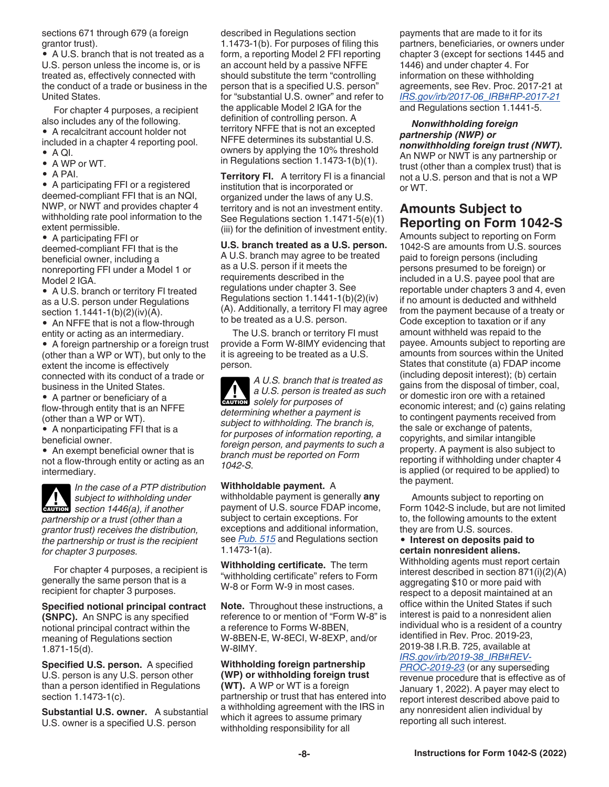<span id="page-7-0"></span>sections 671 through 679 (a foreign grantor trust).

• A U.S. branch that is not treated as a U.S. person unless the income is, or is treated as, effectively connected with the conduct of a trade or business in the United States.

For chapter 4 purposes, a recipient also includes any of the following. • A recalcitrant account holder not included in a chapter 4 reporting pool.

- $\bullet$  A QI.
- A WP or WT.
- A PAI.

• A participating FFI or a registered deemed-compliant FFI that is an NQI, NWP, or NWT and provides chapter 4 withholding rate pool information to the extent permissible.

• A participating FFI or deemed-compliant FFI that is the beneficial owner, including a nonreporting FFI under a Model 1 or Model 2 IGA.

• A U.S. branch or territory FI treated as a U.S. person under Regulations section 1.1441-1(b)(2)(iv)(A).

• An NFFE that is not a flow-through entity or acting as an intermediary.

• A foreign partnership or a foreign trust (other than a WP or WT), but only to the extent the income is effectively connected with its conduct of a trade or business in the United States.

• A partner or beneficiary of a flow-through entity that is an NFFE (other than a WP or WT).

• A nonparticipating FFI that is a beneficial owner.

• An exempt beneficial owner that is not a flow-through entity or acting as an intermediary.

*In the case of a PTP distribution subject to withholding under*  **subject to withholding under**<br> **Section 1446(a), if another** *partnership or a trust (other than a grantor trust) receives the distribution, the partnership or trust is the recipient for chapter 3 purposes.*

For chapter 4 purposes, a recipient is generally the same person that is a recipient for chapter 3 purposes.

**Specified notional principal contract (SNPC).** An SNPC is any specified notional principal contract within the meaning of Regulations section 1.871-15(d).

**Specified U.S. person.** A specified U.S. person is any U.S. person other than a person identified in Regulations section 1.1473-1(c).

**Substantial U.S. owner.** A substantial U.S. owner is a specified U.S. person

described in Regulations section 1.1473-1(b). For purposes of filing this form, a reporting Model 2 FFI reporting an account held by a passive NFFE should substitute the term "controlling person that is a specified U.S. person" for "substantial U.S. owner" and refer to the applicable Model 2 IGA for the definition of controlling person. A territory NFFE that is not an excepted NFFE determines its substantial U.S. owners by applying the 10% threshold in Regulations section 1.1473-1(b)(1).

**Territory FI.** A territory FI is a financial institution that is incorporated or organized under the laws of any U.S. territory and is not an investment entity. See Regulations section 1.1471-5(e)(1) (iii) for the definition of investment entity.

**U.S. branch treated as a U.S. person.** A U.S. branch may agree to be treated as a U.S. person if it meets the requirements described in the regulations under chapter 3. See Regulations section 1.1441-1(b)(2)(iv) (A). Additionally, a territory FI may agree to be treated as a U.S. person.

The U.S. branch or territory FI must provide a Form W-8IMY evidencing that it is agreeing to be treated as a U.S. person.

*A U.S. branch that is treated as a U.S. person is treated as such*  **z** *solely for purposes of determining whether a payment is subject to withholding. The branch is, for purposes of information reporting, a foreign person, and payments to such a branch must be reported on Form 1042-S.*

**Withholdable payment.** A

withholdable payment is generally **any**  payment of U.S. source FDAP income, subject to certain exceptions. For exceptions and additional information, see *[Pub. 515](https://www.irs.gov/pub/irs-pdf/p515.pdf)* and Regulations section 1.1473-1(a).

**Withholding certificate.** The term "withholding certificate" refers to Form W-8 or Form W-9 in most cases.

**Note.** Throughout these instructions, a reference to or mention of "Form W-8" is a reference to Forms W-8BEN, W-8BEN-E, W-8ECI, W-8EXP, and/or W-8IMY.

#### **Withholding foreign partnership (WP) or withholding foreign trust**

**(WT).** A WP or WT is a foreign partnership or trust that has entered into a withholding agreement with the IRS in which it agrees to assume primary withholding responsibility for all

payments that are made to it for its partners, beneficiaries, or owners under chapter 3 (except for sections 1445 and 1446) and under chapter 4. For information on these withholding agreements, see Rev. Proc. 2017-21 at *[IRS.gov/irb/2017-06\\_IRB#RP-2017-21](https://www.irs.gov/irb/2017-06_IRB#RP-2017-21)*  and Regulations section 1.1441-5.

#### *Nonwithholding foreign partnership (NWP) or nonwithholding foreign trust (NWT).*

An NWP or NWT is any partnership or trust (other than a complex trust) that is not a U.S. person and that is not a WP or WT.

### **Amounts Subject to Reporting on Form 1042-S**

Amounts subject to reporting on Form 1042-S are amounts from U.S. sources paid to foreign persons (including persons presumed to be foreign) or included in a U.S. payee pool that are reportable under chapters 3 and 4, even if no amount is deducted and withheld from the payment because of a treaty or Code exception to taxation or if any amount withheld was repaid to the payee. Amounts subject to reporting are amounts from sources within the United States that constitute (a) FDAP income (including deposit interest); (b) certain gains from the disposal of timber, coal, or domestic iron ore with a retained economic interest; and (c) gains relating to contingent payments received from the sale or exchange of patents, copyrights, and similar intangible property. A payment is also subject to reporting if withholding under chapter 4 is applied (or required to be applied) to the payment.

Amounts subject to reporting on Form 1042-S include, but are not limited to, the following amounts to the extent they are from U.S. sources.

#### • **Interest on deposits paid to certain nonresident aliens.**

Withholding agents must report certain interest described in section 871(i)(2)(A) aggregating \$10 or more paid with respect to a deposit maintained at an office within the United States if such interest is paid to a nonresident alien individual who is a resident of a country identified in Rev. Proc. 2019-23, 2019-38 I.R.B. 725, available at *[IRS.gov/irb/2019-38\\_IRB#REV-](https://www.irs.gov/irb/2019-38_IRB#REV-PROC-2019-23)*

*[PROC-2019-23](https://www.irs.gov/irb/2019-38_IRB#REV-PROC-2019-23)* (or any superseding revenue procedure that is effective as of January 1, 2022). A payer may elect to report interest described above paid to any nonresident alien individual by reporting all such interest.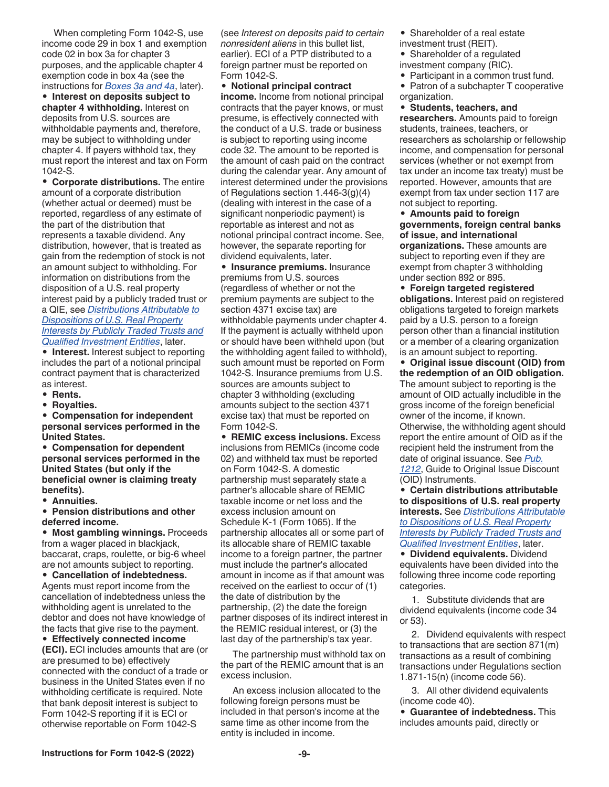When completing Form 1042-S, use income code 29 in box 1 and exemption code 02 in box 3a for chapter 3 purposes, and the applicable chapter 4 exemption code in box 4a (see the instructions for *[Boxes 3a and 4a](#page-22-0)*, later).

• **Interest on deposits subject to chapter 4 withholding.** Interest on deposits from U.S. sources are withholdable payments and, therefore, may be subject to withholding under chapter 4. If payers withhold tax, they must report the interest and tax on Form 1042-S.

• **Corporate distributions.** The entire amount of a corporate distribution (whether actual or deemed) must be reported, regardless of any estimate of the part of the distribution that represents a taxable dividend. Any distribution, however, that is treated as gain from the redemption of stock is not an amount subject to withholding. For information on distributions from the disposition of a U.S. real property interest paid by a publicly traded trust or a QIE, see *[Distributions Attributable to](#page-9-0)  [Dispositions of U.S. Real Property](#page-9-0)  [Interests by Publicly Traded Trusts and](#page-9-0)  [Qualified Investment Entities](#page-9-0)*, later.

• **Interest.** Interest subject to reporting includes the part of a notional principal contract payment that is characterized as interest.

- **Rents.**
- **Royalties.**

• **Compensation for independent personal services performed in the United States.**

• **Compensation for dependent personal services performed in the United States (but only if the beneficial owner is claiming treaty benefits).**

• **Annuities.**

• **Pension distributions and other deferred income.**

• **Most gambling winnings.** Proceeds from a wager placed in blackjack, baccarat, craps, roulette, or big-6 wheel are not amounts subject to reporting.

• **Cancellation of indebtedness.** Agents must report income from the cancellation of indebtedness unless the withholding agent is unrelated to the debtor and does not have knowledge of the facts that give rise to the payment.

• **Effectively connected income (ECI).** ECI includes amounts that are (or are presumed to be) effectively connected with the conduct of a trade or business in the United States even if no withholding certificate is required. Note that bank deposit interest is subject to Form 1042-S reporting if it is ECI or otherwise reportable on Form 1042-S

(see *Interest on deposits paid to certain nonresident aliens* in this bullet list, earlier). ECI of a PTP distributed to a foreign partner must be reported on Form 1042-S.

• **Notional principal contract income.** Income from notional principal contracts that the payer knows, or must presume, is effectively connected with the conduct of a U.S. trade or business is subject to reporting using income code 32. The amount to be reported is the amount of cash paid on the contract during the calendar year. Any amount of interest determined under the provisions of Regulations section 1.446-3(g)(4) (dealing with interest in the case of a significant nonperiodic payment) is reportable as interest and not as notional principal contract income. See, however, the separate reporting for dividend equivalents, later.

• **Insurance premiums.** Insurance premiums from U.S. sources (regardless of whether or not the premium payments are subject to the section 4371 excise tax) are withholdable payments under chapter 4. If the payment is actually withheld upon or should have been withheld upon (but the withholding agent failed to withhold), such amount must be reported on Form 1042-S. Insurance premiums from U.S. sources are amounts subject to chapter 3 withholding (excluding amounts subject to the section 4371 excise tax) that must be reported on Form 1042-S.

• **REMIC excess inclusions.** Excess inclusions from REMICs (income code 02) and withheld tax must be reported on Form 1042-S. A domestic partnership must separately state a partner's allocable share of REMIC taxable income or net loss and the excess inclusion amount on Schedule K-1 (Form 1065). If the partnership allocates all or some part of its allocable share of REMIC taxable income to a foreign partner, the partner must include the partner's allocated amount in income as if that amount was received on the earliest to occur of (1) the date of distribution by the partnership, (2) the date the foreign partner disposes of its indirect interest in the REMIC residual interest, or (3) the last day of the partnership's tax year.

The partnership must withhold tax on the part of the REMIC amount that is an excess inclusion.

An excess inclusion allocated to the following foreign persons must be included in that person's income at the same time as other income from the entity is included in income.

- Shareholder of a real estate
- investment trust (REIT).
- Shareholder of a regulated
- investment company (RIC).
- Participant in a common trust fund.
- Patron of a subchapter T cooperative organization.

• **Students, teachers, and researchers.** Amounts paid to foreign students, trainees, teachers, or researchers as scholarship or fellowship income, and compensation for personal services (whether or not exempt from tax under an income tax treaty) must be reported. However, amounts that are exempt from tax under section 117 are not subject to reporting.

• **Amounts paid to foreign governments, foreign central banks of issue, and international organizations.** These amounts are subject to reporting even if they are exempt from chapter 3 withholding under section 892 or 895.

- **Foreign targeted registered obligations.** Interest paid on registered obligations targeted to foreign markets paid by a U.S. person to a foreign person other than a financial institution or a member of a clearing organization is an amount subject to reporting.
- **Original issue discount (OID) from the redemption of an OID obligation.** The amount subject to reporting is the amount of OID actually includible in the gross income of the foreign beneficial owner of the income, if known. Otherwise, the withholding agent should report the entire amount of OID as if the recipient held the instrument from the date of original issuance. See *[Pub.](https://www.irs.gov/pub/irs-pdf/p1212.pdf)  [1212](https://www.irs.gov/pub/irs-pdf/p1212.pdf)*, Guide to Original Issue Discount (OID) Instruments.

• **Certain distributions attributable to dispositions of U.S. real property interests.** See *[Distributions Attributable](#page-9-0) [to Dispositions of U.S. Real Property](#page-9-0)  [Interests by Publicly Traded Trusts and](#page-9-0)  [Qualified Investment Entities](#page-9-0)*, later.

• **Dividend equivalents.** Dividend equivalents have been divided into the following three income code reporting categories.

1. Substitute dividends that are dividend equivalents (income code 34 or 53).

2. Dividend equivalents with respect to transactions that are section 871(m) transactions as a result of combining transactions under Regulations section 1.871-15(n) (income code 56).

3. All other dividend equivalents (income code 40).

• **Guarantee of indebtedness.** This includes amounts paid, directly or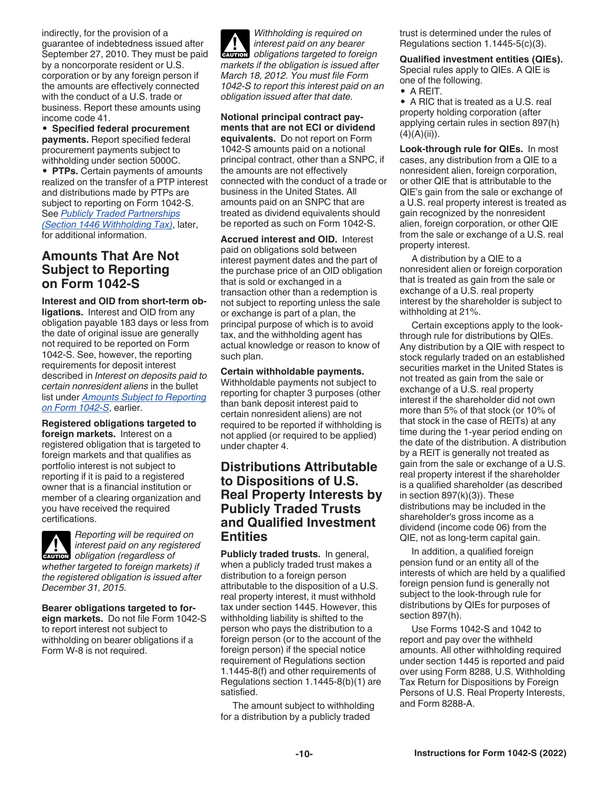<span id="page-9-0"></span>indirectly, for the provision of a guarantee of indebtedness issued after September 27, 2010. They must be paid by a noncorporate resident or U.S. corporation or by any foreign person if the amounts are effectively connected with the conduct of a U.S. trade or business. Report these amounts using income code 41.

• **Specified federal procurement payments.** Report specified federal procurement payments subject to withholding under section 5000C.

• **PTPs.** Certain payments of amounts realized on the transfer of a PTP interest and distributions made by PTPs are subject to reporting on Form 1042-S. See *[Publicly Traded Partnerships](#page-10-0) [\(Section 1446 Withholding Tax\)](#page-10-0)*, later, for additional information.

### **Amounts That Are Not Subject to Reporting on Form 1042-S**

**Interest and OID from short-term obligations.** Interest and OID from any obligation payable 183 days or less from the date of original issue are generally not required to be reported on Form 1042-S. See, however, the reporting requirements for deposit interest described in *Interest on deposits paid to certain nonresident aliens* in the bullet list under *[Amounts Subject to Reporting](#page-7-0) [on Form 1042-S](#page-7-0)*, earlier.

**Registered obligations targeted to foreign markets.** Interest on a registered obligation that is targeted to foreign markets and that qualifies as portfolio interest is not subject to reporting if it is paid to a registered owner that is a financial institution or member of a clearing organization and you have received the required certifications.



*December 31, 2015.*

*Reporting will be required on interest paid on any registered*  **c** *obligation* (*regardless of whether targeted to foreign markets) if the registered obligation is issued after* 

#### **Bearer obligations targeted to for-**

**eign markets.** Do not file Form 1042-S to report interest not subject to withholding on bearer obligations if a Form W-8 is not required.

*Withholding is required on interest paid on any bearer*  **CAUTION** *obligations targeted to foreign markets if the obligation is issued after March 18, 2012. You must file Form 1042-S to report this interest paid on an obligation issued after that date.*

**Notional principal contract payments that are not ECI or dividend equivalents.** Do not report on Form 1042-S amounts paid on a notional principal contract, other than a SNPC, if the amounts are not effectively connected with the conduct of a trade or business in the United States. All amounts paid on an SNPC that are treated as dividend equivalents should be reported as such on Form 1042-S.

**Accrued interest and OID.** Interest paid on obligations sold between interest payment dates and the part of the purchase price of an OID obligation that is sold or exchanged in a transaction other than a redemption is not subject to reporting unless the sale or exchange is part of a plan, the principal purpose of which is to avoid tax, and the withholding agent has actual knowledge or reason to know of such plan.

#### **Certain withholdable payments.**

Withholdable payments not subject to reporting for chapter 3 purposes (other than bank deposit interest paid to certain nonresident aliens) are not required to be reported if withholding is not applied (or required to be applied) under chapter 4.

### **Distributions Attributable to Dispositions of U.S. Real Property Interests by Publicly Traded Trusts and Qualified Investment Entities**

**Publicly traded trusts.** In general, when a publicly traded trust makes a distribution to a foreign person attributable to the disposition of a U.S. real property interest, it must withhold tax under section 1445. However, this withholding liability is shifted to the person who pays the distribution to a foreign person (or to the account of the foreign person) if the special notice requirement of Regulations section 1.1445-8(f) and other requirements of Regulations section 1.1445-8(b)(1) are satisfied.

The amount subject to withholding for a distribution by a publicly traded

trust is determined under the rules of Regulations section 1.1445-5(c)(3).

**Qualified investment entities (QIEs).**  Special rules apply to QIEs. A QIE is one of the following.

• A REIT.

• A RIC that is treated as a U.S. real property holding corporation (after applying certain rules in section 897(h)  $(4)(A)(ii)$ .

**Look-through rule for QIEs.** In most cases, any distribution from a QIE to a nonresident alien, foreign corporation, or other QIE that is attributable to the QIE's gain from the sale or exchange of a U.S. real property interest is treated as gain recognized by the nonresident alien, foreign corporation, or other QIE from the sale or exchange of a U.S. real property interest.

A distribution by a QIE to a nonresident alien or foreign corporation that is treated as gain from the sale or exchange of a U.S. real property interest by the shareholder is subject to withholding at 21%.

Certain exceptions apply to the lookthrough rule for distributions by QIEs. Any distribution by a QIE with respect to stock regularly traded on an established securities market in the United States is not treated as gain from the sale or exchange of a U.S. real property interest if the shareholder did not own more than 5% of that stock (or 10% of that stock in the case of REITs) at any time during the 1-year period ending on the date of the distribution. A distribution by a REIT is generally not treated as gain from the sale or exchange of a U.S. real property interest if the shareholder is a qualified shareholder (as described in section 897(k)(3)). These distributions may be included in the shareholder's gross income as a dividend (income code 06) from the QIE, not as long-term capital gain.

In addition, a qualified foreign pension fund or an entity all of the interests of which are held by a qualified foreign pension fund is generally not subject to the look-through rule for distributions by QIEs for purposes of section 897(h).

Use Forms 1042-S and 1042 to report and pay over the withheld amounts. All other withholding required under section 1445 is reported and paid over using Form 8288, U.S. Withholding Tax Return for Dispositions by Foreign Persons of U.S. Real Property Interests, and Form 8288-A.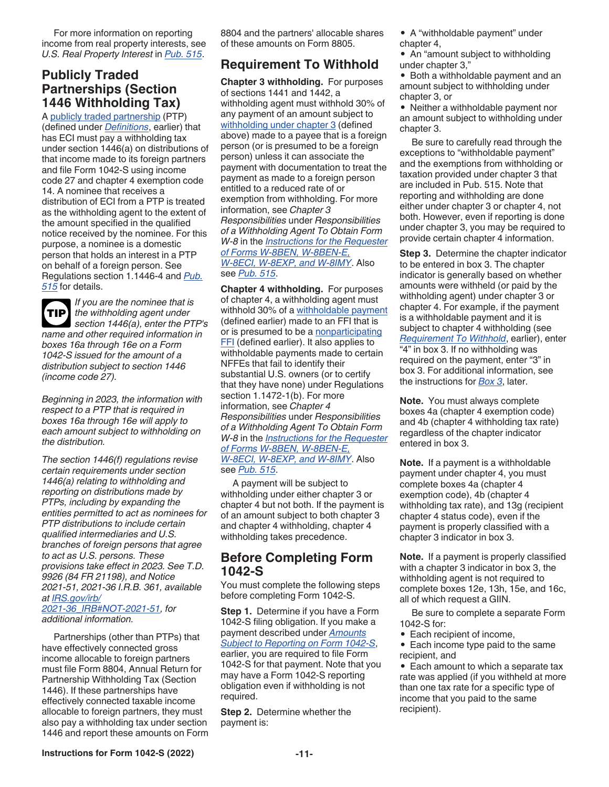<span id="page-10-0"></span>For more information on reporting income from real property interests, see *U.S. Real Property Interest* in *[Pub. 515](https://www.irs.gov/pub/irs-pdf/p515.pdf)*.

#### **Publicly Traded Partnerships (Section 1446 Withholding Tax)**

A [publicly traded partnership](#page-6-0) (PTP) (defined under *[Definitions](#page-3-0)*, earlier) that has ECI must pay a withholding tax under section 1446(a) on distributions of that income made to its foreign partners and file Form 1042-S using income code 27 and chapter 4 exemption code 14. A nominee that receives a distribution of ECI from a PTP is treated as the withholding agent to the extent of the amount specified in the qualified notice received by the nominee. For this purpose, a nominee is a domestic person that holds an interest in a PTP on behalf of a foreign person. See Regulations section 1.1446-4 and *[Pub.](https://www.irs.gov/pub/irs-pdf/p515.pdf) [515](https://www.irs.gov/pub/irs-pdf/p515.pdf)* for details.

*If you are the nominee that is the withholding agent under*  **TIP** *section 1446(a), enter the PTP's name and other required information in boxes 16a through 16e on a Form 1042-S issued for the amount of a distribution subject to section 1446 (income code 27).*

*Beginning in 2023, the information with respect to a PTP that is required in boxes 16a through 16e will apply to each amount subject to withholding on the distribution.*

*The section 1446(f) regulations revise certain requirements under section 1446(a) relating to withholding and reporting on distributions made by PTPs, including by expanding the entities permitted to act as nominees for PTP distributions to include certain qualified intermediaries and U.S. branches of foreign persons that agree to act as U.S. persons. These provisions take effect in 2023. See T.D. 9926 (84 FR 21198), and Notice 2021-51, 2021-36 I.R.B. 361, available at [IRS.gov/irb/](https://www.irs.gov/irb/2021-36_IRB#NOT-2021-51)*

*[2021-36\\_IRB#NOT-2021-51](https://www.irs.gov/irb/2021-36_IRB#NOT-2021-51), for additional information.*

Partnerships (other than PTPs) that have effectively connected gross income allocable to foreign partners must file Form 8804, Annual Return for Partnership Withholding Tax (Section 1446). If these partnerships have effectively connected taxable income allocable to foreign partners, they must also pay a withholding tax under section 1446 and report these amounts on Form 8804 and the partners' allocable shares of these amounts on Form 8805.

### **Requirement To Withhold**

**Chapter 3 withholding.** For purposes of sections 1441 and 1442, a withholding agent must withhold 30% of any payment of an amount subject to [withholding under chapter 3](#page-4-0) (defined above) made to a payee that is a foreign person (or is presumed to be a foreign person) unless it can associate the payment with documentation to treat the payment as made to a foreign person entitled to a reduced rate of or exemption from withholding. For more information, see *Chapter 3 Responsibilities* under *Responsibilities of a Withholding Agent To Obtain Form W-8* in the *[Instructions for the Requester](https://www.irs.gov/pub/irs-pdf/iw8.pdf)  [of Forms W-8BEN, W-8BEN-E,](https://www.irs.gov/pub/irs-pdf/iw8.pdf) [W-8ECI, W-8EXP, and W-8IMY](https://www.irs.gov/pub/irs-pdf/iw8.pdf)*. Also see *[Pub. 515](https://www.irs.gov/pub/irs-pdf/p515.pdf)*.

**Chapter 4 withholding.** For purposes of chapter 4, a withholding agent must withhold 30% of a [withholdable payment](#page-7-0)  (defined earlier) made to an FFI that is or is presumed to be a [nonparticipating](#page-5-0) **FFI** (defined earlier). It also applies to withholdable payments made to certain NFFEs that fail to identify their substantial U.S. owners (or to certify that they have none) under Regulations section 1.1472-1(b). For more information, see *Chapter 4 Responsibilities* under *Responsibilities of a Withholding Agent To Obtain Form W-8* in the *[Instructions for the Requester](https://www.irs.gov/pub/irs-pdf/iw8.pdf)  [of Forms W-8BEN, W-8BEN-E,](https://www.irs.gov/pub/irs-pdf/iw8.pdf) [W-8ECI, W-8EXP, and W-8IMY](https://www.irs.gov/pub/irs-pdf/iw8.pdf)*. Also see *[Pub. 515](https://www.irs.gov/pub/irs-pdf/p515.pdf)*.

A payment will be subject to withholding under either chapter 3 or chapter 4 but not both. If the payment is of an amount subject to both chapter 3 and chapter 4 withholding, chapter 4 withholding takes precedence.

#### **Before Completing Form 1042-S**

You must complete the following steps before completing Form 1042-S.

**Step 1.** Determine if you have a Form 1042-S filing obligation. If you make a payment described under *[Amounts](#page-7-0) [Subject to Reporting on Form 1042-S](#page-7-0)*, earlier, you are required to file Form 1042-S for that payment. Note that you may have a Form 1042-S reporting obligation even if withholding is not required.

**Step 2.** Determine whether the payment is:

• A "withholdable payment" under chapter 4,

• An "amount subject to withholding under chapter 3,"

• Both a withholdable payment and an amount subject to withholding under chapter 3, or

• Neither a withholdable payment nor an amount subject to withholding under chapter 3.

Be sure to carefully read through the exceptions to "withholdable payment" and the exemptions from withholding or taxation provided under chapter 3 that are included in Pub. 515. Note that reporting and withholding are done either under chapter 3 or chapter 4, not both. However, even if reporting is done under chapter 3, you may be required to provide certain chapter 4 information.

**Step 3.** Determine the chapter indicator to be entered in box 3. The chapter indicator is generally based on whether amounts were withheld (or paid by the withholding agent) under chapter 3 or chapter 4. For example, if the payment is a withholdable payment and it is subject to chapter 4 withholding (see *Requirement To Withhold*, earlier), enter "4" in box 3. If no withholding was required on the payment, enter "3" in box 3. For additional information, see the instructions for *[Box 3](#page-22-0)*, later.

**Note.** You must always complete boxes 4a (chapter 4 exemption code) and 4b (chapter 4 withholding tax rate) regardless of the chapter indicator entered in box 3.

**Note.** If a payment is a withholdable payment under chapter 4, you must complete boxes 4a (chapter 4 exemption code), 4b (chapter 4 withholding tax rate), and 13g (recipient chapter 4 status code), even if the payment is properly classified with a chapter 3 indicator in box 3.

**Note.** If a payment is properly classified with a chapter 3 indicator in box 3, the withholding agent is not required to complete boxes 12e, 13h, 15e, and 16c, all of which request a GIIN.

Be sure to complete a separate Form 1042-S for:

• Each recipient of income,

• Each income type paid to the same recipient, and

• Each amount to which a separate tax rate was applied (if you withheld at more than one tax rate for a specific type of income that you paid to the same recipient).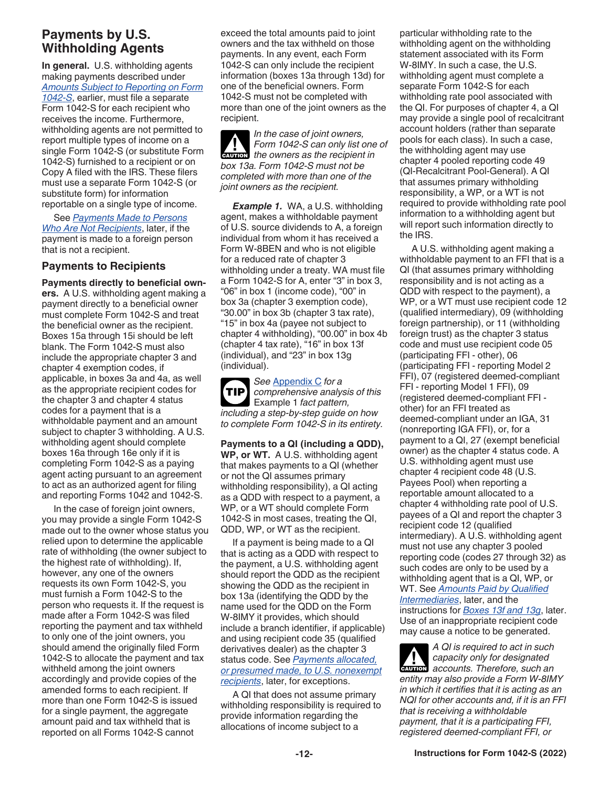### <span id="page-11-0"></span>**Payments by U.S. Withholding Agents**

**In general.** U.S. withholding agents making payments described under *[Amounts Subject to Reporting on Form](#page-7-0) [1042-S](#page-7-0)*, earlier, must file a separate Form 1042-S for each recipient who receives the income. Furthermore, withholding agents are not permitted to report multiple types of income on a single Form 1042-S (or substitute Form 1042-S) furnished to a recipient or on Copy A filed with the IRS. These filers must use a separate Form 1042-S (or substitute form) for information reportable on a single type of income.

See *[Payments Made to Persons](#page-13-0) [Who Are Not Recipients](#page-13-0)*, later, if the payment is made to a foreign person that is not a recipient.

#### **Payments to Recipients**

**Payments directly to beneficial owners.** A U.S. withholding agent making a payment directly to a beneficial owner must complete Form 1042-S and treat the beneficial owner as the recipient. Boxes 15a through 15i should be left blank. The Form 1042-S must also include the appropriate chapter 3 and chapter 4 exemption codes, if applicable, in boxes 3a and 4a, as well as the appropriate recipient codes for the chapter 3 and chapter 4 status codes for a payment that is a withholdable payment and an amount subject to chapter 3 withholding. A U.S. withholding agent should complete boxes 16a through 16e only if it is completing Form 1042-S as a paying agent acting pursuant to an agreement to act as an authorized agent for filing and reporting Forms 1042 and 1042-S.

In the case of foreign joint owners, you may provide a single Form 1042-S made out to the owner whose status you relied upon to determine the applicable rate of withholding (the owner subject to the highest rate of withholding). If, however, any one of the owners requests its own Form 1042-S, you must furnish a Form 1042-S to the person who requests it. If the request is made after a Form 1042-S was filed reporting the payment and tax withheld to only one of the joint owners, you should amend the originally filed Form 1042-S to allocate the payment and tax withheld among the joint owners accordingly and provide copies of the amended forms to each recipient. If more than one Form 1042-S is issued for a single payment, the aggregate amount paid and tax withheld that is reported on all Forms 1042-S cannot

exceed the total amounts paid to joint owners and the tax withheld on those payments. In any event, each Form 1042-S can only include the recipient information (boxes 13a through 13d) for one of the beneficial owners. Form 1042-S must not be completed with more than one of the joint owners as the recipient.

*In the case of joint owners, Form 1042-S can only list one of Form 1042-S can only list one*<br> *the owners as the recipient in box 13a. Form 1042-S must not be completed with more than one of the joint owners as the recipient.*

*Example 1.* WA, a U.S. withholding agent, makes a withholdable payment of U.S. source dividends to A, a foreign individual from whom it has received a Form W-8BEN and who is not eligible for a reduced rate of chapter 3 withholding under a treaty. WA must file a Form 1042-S for A, enter "3" in box 3, "06" in box 1 (income code), "00" in box 3a (chapter 3 exemption code), "30.00" in box 3b (chapter 3 tax rate), "15" in box 4a (payee not subject to chapter 4 withholding), "00.00" in box 4b (chapter 4 tax rate), "16" in box 13f (individual), and "23" in box 13g (individual).

*See* [Appendix C](#page-34-0) *for a comprehensive analysis of this*  Example 1 *fact pattern, including a step-by-step guide on how to complete Form 1042-S in its entirety.* **TIP**

**Payments to a QI (including a QDD), WP, or WT.** A U.S. withholding agent that makes payments to a QI (whether or not the QI assumes primary withholding responsibility), a QI acting as a QDD with respect to a payment, a WP, or a WT should complete Form 1042-S in most cases, treating the QI, QDD, WP, or WT as the recipient.

If a payment is being made to a QI that is acting as a QDD with respect to the payment, a U.S. withholding agent should report the QDD as the recipient showing the QDD as the recipient in box 13a (identifying the QDD by the name used for the QDD on the Form W-8IMY it provides, which should include a branch identifier, if applicable) and using recipient code 35 (qualified derivatives dealer) as the chapter 3 status code. See *[Payments allocated,](#page-12-0) [or presumed made, to U.S. nonexempt](#page-12-0)  [recipients](#page-12-0)*, later, for exceptions.

A QI that does not assume primary withholding responsibility is required to provide information regarding the allocations of income subject to a

particular withholding rate to the withholding agent on the withholding statement associated with its Form W-8IMY. In such a case, the U.S. withholding agent must complete a separate Form 1042-S for each withholding rate pool associated with the QI. For purposes of chapter 4, a QI may provide a single pool of recalcitrant account holders (rather than separate pools for each class). In such a case, the withholding agent may use chapter 4 pooled reporting code 49 (QI-Recalcitrant Pool-General). A QI that assumes primary withholding responsibility, a WP, or a WT is not required to provide withholding rate pool information to a withholding agent but will report such information directly to the IRS.

A U.S. withholding agent making a withholdable payment to an FFI that is a QI (that assumes primary withholding responsibility and is not acting as a QDD with respect to the payment), a WP, or a WT must use recipient code 12 (qualified intermediary), 09 (withholding foreign partnership), or 11 (withholding foreign trust) as the chapter 3 status code and must use recipient code 05 (participating FFI - other), 06 (participating FFI - reporting Model 2 FFI), 07 (registered deemed-compliant FFI - reporting Model 1 FFI), 09 (registered deemed-compliant FFI other) for an FFI treated as deemed-compliant under an IGA, 31 (nonreporting IGA FFI), or, for a payment to a QI, 27 (exempt beneficial owner) as the chapter 4 status code. A U.S. withholding agent must use chapter 4 recipient code 48 (U.S. Payees Pool) when reporting a reportable amount allocated to a chapter 4 withholding rate pool of U.S. payees of a QI and report the chapter 3 recipient code 12 (qualified intermediary). A U.S. withholding agent must not use any chapter 3 pooled reporting code (codes 27 through 32) as such codes are only to be used by a withholding agent that is a QI, WP, or WT. See *[Amounts Paid by Qualified](#page-16-0)  [Intermediaries](#page-16-0)*, later, and the instructions for *[Boxes 13f and 13g](#page-27-0)*, later. Use of an inappropriate recipient code may cause a notice to be generated.

*A QI is required to act in such capacity only for designated*  **z** capacity only for designated<br> **accounts.** Therefore, such an *entity may also provide a Form W-8IMY in which it certifies that it is acting as an NQI for other accounts and, if it is an FFI that is receiving a withholdable payment, that it is a participating FFI, registered deemed-compliant FFI, or*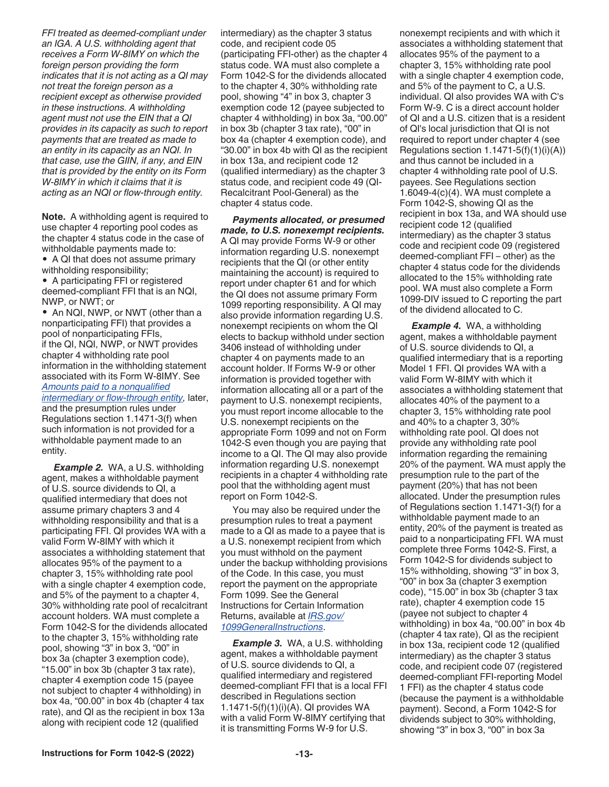*payments that are treated as made to an entity in its capacity as an NQI. In that case, use the GIIN, if any, and EIN that is provided by the entity on its Form W-8IMY in which it claims that it is acting as an NQI or flow-through entity.* **Note.** A withholding agent is required to use chapter 4 reporting pool codes as the chapter 4 status code in the case of withholdable payments made to: • A QI that does not assume primary withholding responsibility; • A participating FFI or registered deemed-compliant FFI that is an NQI,

*not treat the foreign person as a recipient except as otherwise provided in these instructions. A withholding agent must not use the EIN that a QI provides in its capacity as such to report* 

<span id="page-12-0"></span>*FFI treated as deemed-compliant under an IGA. A U.S. withholding agent that receives a Form W-8IMY on which the foreign person providing the form indicates that it is not acting as a QI may* 

NWP, or NWT; or • An NQI, NWP, or NWT (other than a nonparticipating FFI) that provides a pool of nonparticipating FFIs, if the QI, NQI, NWP, or NWT provides chapter 4 withholding rate pool information in the withholding statement associated with its Form W-8IMY. See *[Amounts paid to a nonqualified](#page-14-0) [intermediary or flow-through entity,](#page-14-0)* later, and the presumption rules under

Regulations section 1.1471-3(f) when such information is not provided for a withholdable payment made to an entity.

**Example 2.** WA, a U.S. withholding agent, makes a withholdable payment of U.S. source dividends to QI, a qualified intermediary that does not assume primary chapters 3 and 4 withholding responsibility and that is a participating FFI. QI provides WA with a valid Form W-8IMY with which it associates a withholding statement that allocates 95% of the payment to a chapter 3, 15% withholding rate pool with a single chapter 4 exemption code, and 5% of the payment to a chapter 4, 30% withholding rate pool of recalcitrant account holders. WA must complete a Form 1042-S for the dividends allocated to the chapter 3, 15% withholding rate pool, showing "3" in box 3, "00" in box 3a (chapter 3 exemption code), "15.00" in box 3b (chapter 3 tax rate), chapter 4 exemption code 15 (payee not subject to chapter 4 withholding) in box 4a, "00.00" in box 4b (chapter 4 tax rate), and QI as the recipient in box 13a along with recipient code 12 (qualified

intermediary) as the chapter 3 status code, and recipient code 05 (participating FFI-other) as the chapter 4 status code. WA must also complete a Form 1042-S for the dividends allocated to the chapter 4, 30% withholding rate pool, showing "4" in box 3, chapter 3 exemption code 12 (payee subjected to chapter 4 withholding) in box 3a, "00.00" in box 3b (chapter 3 tax rate), "00" in box 4a (chapter 4 exemption code), and "30.00" in box 4b with QI as the recipient in box 13a, and recipient code 12 (qualified intermediary) as the chapter 3 status code, and recipient code 49 (QI-Recalcitrant Pool-General) as the chapter 4 status code.

*Payments allocated, or presumed made, to U.S. nonexempt recipients.*  A QI may provide Forms W-9 or other information regarding U.S. nonexempt recipients that the QI (or other entity maintaining the account) is required to report under chapter 61 and for which the QI does not assume primary Form 1099 reporting responsibility. A QI may also provide information regarding U.S. nonexempt recipients on whom the QI elects to backup withhold under section 3406 instead of withholding under chapter 4 on payments made to an account holder. If Forms W-9 or other information is provided together with information allocating all or a part of the payment to U.S. nonexempt recipients, you must report income allocable to the U.S. nonexempt recipients on the appropriate Form 1099 and not on Form 1042-S even though you are paying that income to a QI. The QI may also provide information regarding U.S. nonexempt recipients in a chapter 4 withholding rate pool that the withholding agent must report on Form 1042-S.

You may also be required under the presumption rules to treat a payment made to a QI as made to a payee that is a U.S. nonexempt recipient from which you must withhold on the payment under the backup withholding provisions of the Code. In this case, you must report the payment on the appropriate Form 1099. See the General Instructions for Certain Information Returns, available at *[IRS.gov/](https://www.irs.gov/1099GeneralInstructions) [1099GeneralInstructions](https://www.irs.gov/1099GeneralInstructions)*.

**Example 3. WA, a U.S. withholding** agent, makes a withholdable payment of U.S. source dividends to QI, a qualified intermediary and registered deemed-compliant FFI that is a local FFI described in Regulations section 1.1471-5(f)(1)(i)(A). QI provides WA with a valid Form W-8IMY certifying that it is transmitting Forms W-9 for U.S.

nonexempt recipients and with which it associates a withholding statement that allocates 95% of the payment to a chapter 3, 15% withholding rate pool with a single chapter 4 exemption code, and 5% of the payment to C, a U.S. individual. QI also provides WA with C's Form W-9. C is a direct account holder of QI and a U.S. citizen that is a resident of QI's local jurisdiction that QI is not required to report under chapter 4 (see Regulations section  $1.1471 - 5(f)(1)(i)(A)$ and thus cannot be included in a chapter 4 withholding rate pool of U.S. payees. See Regulations section 1.6049-4(c)(4). WA must complete a Form 1042-S, showing QI as the recipient in box 13a, and WA should use recipient code 12 (qualified intermediary) as the chapter 3 status code and recipient code 09 (registered deemed-compliant FFI – other) as the chapter 4 status code for the dividends allocated to the 15% withholding rate pool. WA must also complete a Form 1099-DIV issued to C reporting the part of the dividend allocated to C.

*Example 4.* WA, a withholding agent, makes a withholdable payment of U.S. source dividends to QI, a qualified intermediary that is a reporting Model 1 FFI. QI provides WA with a valid Form W-8IMY with which it associates a withholding statement that allocates 40% of the payment to a chapter 3, 15% withholding rate pool and 40% to a chapter 3, 30% withholding rate pool. QI does not provide any withholding rate pool information regarding the remaining 20% of the payment. WA must apply the presumption rule to the part of the payment (20%) that has not been allocated. Under the presumption rules of Regulations section 1.1471-3(f) for a withholdable payment made to an entity, 20% of the payment is treated as paid to a nonparticipating FFI. WA must complete three Forms 1042-S. First, a Form 1042-S for dividends subject to 15% withholding, showing "3" in box 3, "00" in box 3a (chapter 3 exemption code), "15.00" in box 3b (chapter 3 tax rate), chapter 4 exemption code 15 (payee not subject to chapter 4 withholding) in box 4a, "00.00" in box 4b (chapter 4 tax rate), QI as the recipient in box 13a, recipient code 12 (qualified intermediary) as the chapter 3 status code, and recipient code 07 (registered deemed-compliant FFI-reporting Model 1 FFI) as the chapter 4 status code (because the payment is a withholdable payment). Second, a Form 1042-S for dividends subject to 30% withholding, showing "3" in box 3, "00" in box 3a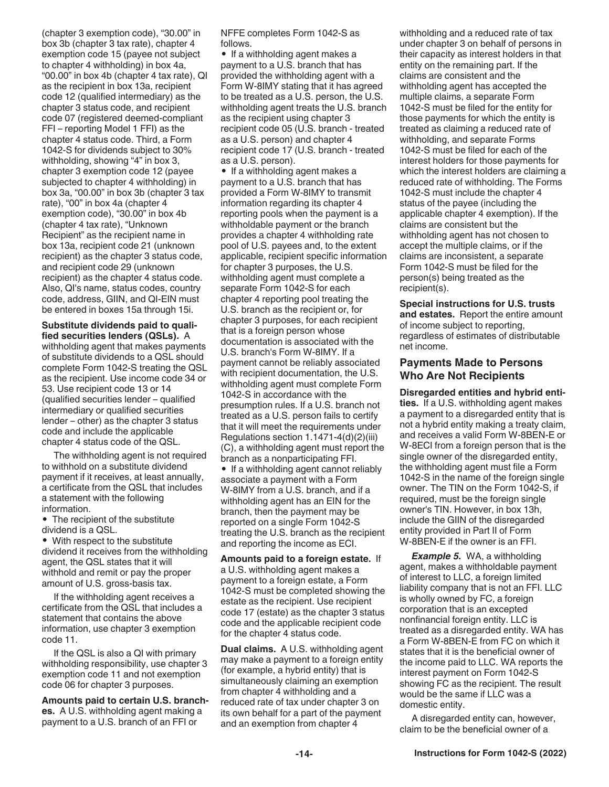<span id="page-13-0"></span>(chapter 3 exemption code), "30.00" in box 3b (chapter 3 tax rate), chapter 4 exemption code 15 (payee not subject to chapter 4 withholding) in box 4a, "00.00" in box 4b (chapter 4 tax rate), QI as the recipient in box 13a, recipient code 12 (qualified intermediary) as the chapter 3 status code, and recipient code 07 (registered deemed-compliant FFI – reporting Model 1 FFI) as the chapter 4 status code. Third, a Form 1042-S for dividends subject to 30% withholding, showing "4" in box 3, chapter 3 exemption code 12 (payee subjected to chapter 4 withholding) in box 3a, "00.00" in box 3b (chapter 3 tax rate), "00" in box 4a (chapter 4 exemption code), "30.00" in box 4b (chapter 4 tax rate), "Unknown Recipient" as the recipient name in box 13a, recipient code 21 (unknown recipient) as the chapter 3 status code, and recipient code 29 (unknown recipient) as the chapter 4 status code. Also, QI's name, status codes, country code, address, GIIN, and QI-EIN must be entered in boxes 15a through 15i.

**Substitute dividends paid to qualified securities lenders (QSLs).** A withholding agent that makes payments of substitute dividends to a QSL should complete Form 1042-S treating the QSL as the recipient. Use income code 34 or 53. Use recipient code 13 or 14 (qualified securities lender – qualified intermediary or qualified securities lender – other) as the chapter 3 status code and include the applicable chapter 4 status code of the QSL.

The withholding agent is not required to withhold on a substitute dividend payment if it receives, at least annually, a certificate from the QSL that includes a statement with the following information.

• The recipient of the substitute dividend is a QSL.

• With respect to the substitute dividend it receives from the withholding agent, the QSL states that it will withhold and remit or pay the proper amount of U.S. gross-basis tax.

If the withholding agent receives a certificate from the QSL that includes a statement that contains the above information, use chapter 3 exemption code 11.

If the QSL is also a QI with primary withholding responsibility, use chapter 3 exemption code 11 and not exemption code 06 for chapter 3 purposes.

**Amounts paid to certain U.S. branches.** A U.S. withholding agent making a payment to a U.S. branch of an FFI or

NFFE completes Form 1042-S as follows.

• If a withholding agent makes a payment to a U.S. branch that has provided the withholding agent with a Form W-8IMY stating that it has agreed to be treated as a U.S. person, the U.S. withholding agent treats the U.S. branch as the recipient using chapter 3 recipient code 05 (U.S. branch - treated as a U.S. person) and chapter 4 recipient code 17 (U.S. branch - treated as a U.S. person).

• If a withholding agent makes a payment to a U.S. branch that has provided a Form W-8IMY to transmit information regarding its chapter 4 reporting pools when the payment is a withholdable payment or the branch provides a chapter 4 withholding rate pool of U.S. payees and, to the extent applicable, recipient specific information for chapter 3 purposes, the U.S. withholding agent must complete a separate Form 1042-S for each chapter 4 reporting pool treating the U.S. branch as the recipient or, for chapter 3 purposes, for each recipient that is a foreign person whose documentation is associated with the U.S. branch's Form W-8IMY. If a payment cannot be reliably associated with recipient documentation, the U.S. withholding agent must complete Form 1042-S in accordance with the presumption rules. If a U.S. branch not treated as a U.S. person fails to certify that it will meet the requirements under Regulations section 1.1471-4(d)(2)(iii) (C), a withholding agent must report the branch as a nonparticipating FFI.

• If a withholding agent cannot reliably associate a payment with a Form W-8IMY from a U.S. branch, and if a withholding agent has an EIN for the branch, then the payment may be reported on a single Form 1042-S treating the U.S. branch as the recipient and reporting the income as ECI.

**Amounts paid to a foreign estate.** If a U.S. withholding agent makes a payment to a foreign estate, a Form 1042-S must be completed showing the estate as the recipient. Use recipient code 17 (estate) as the chapter 3 status code and the applicable recipient code for the chapter 4 status code.

**Dual claims.** A U.S. withholding agent may make a payment to a foreign entity (for example, a hybrid entity) that is simultaneously claiming an exemption from chapter 4 withholding and a reduced rate of tax under chapter 3 on its own behalf for a part of the payment and an exemption from chapter 4

withholding and a reduced rate of tax under chapter 3 on behalf of persons in their capacity as interest holders in that entity on the remaining part. If the claims are consistent and the withholding agent has accepted the multiple claims, a separate Form 1042-S must be filed for the entity for those payments for which the entity is treated as claiming a reduced rate of withholding, and separate Forms 1042-S must be filed for each of the interest holders for those payments for which the interest holders are claiming a reduced rate of withholding. The Forms 1042-S must include the chapter 4 status of the payee (including the applicable chapter 4 exemption). If the claims are consistent but the withholding agent has not chosen to accept the multiple claims, or if the claims are inconsistent, a separate Form 1042-S must be filed for the person(s) being treated as the recipient(s).

**Special instructions for U.S. trusts and estates.** Report the entire amount of income subject to reporting, regardless of estimates of distributable net income.

#### **Payments Made to Persons Who Are Not Recipients**

**Disregarded entities and hybrid entities.** If a U.S. withholding agent makes a payment to a disregarded entity that is not a hybrid entity making a treaty claim, and receives a valid Form W-8BEN-E or W-8ECI from a foreign person that is the single owner of the disregarded entity, the withholding agent must file a Form 1042-S in the name of the foreign single owner. The TIN on the Form 1042-S, if required, must be the foreign single owner's TIN. However, in box 13h, include the GIIN of the disregarded entity provided in Part II of Form W-8BEN-E if the owner is an FFI.

*Example 5.* WA, a withholding agent, makes a withholdable payment of interest to LLC, a foreign limited liability company that is not an FFI. LLC is wholly owned by FC, a foreign corporation that is an excepted nonfinancial foreign entity. LLC is treated as a disregarded entity. WA has a Form W-8BEN-E from FC on which it states that it is the beneficial owner of the income paid to LLC. WA reports the interest payment on Form 1042-S showing FC as the recipient. The result would be the same if LLC was a domestic entity.

A disregarded entity can, however, claim to be the beneficial owner of a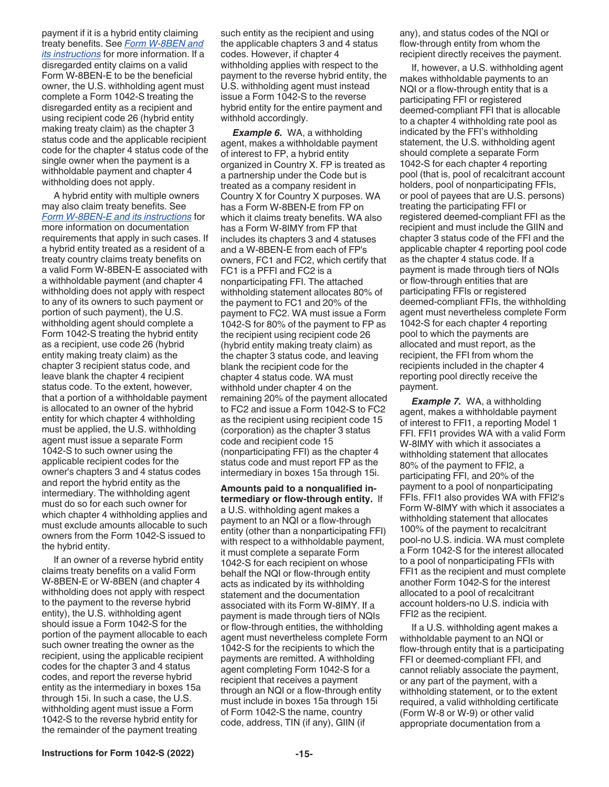<span id="page-14-0"></span>payment if it is a hybrid entity claiming treaty benefits. See *[Form W-8BEN and](https://www.irs.gov/forms-pubs/about-form-w-8-ben)  [its instructions](https://www.irs.gov/forms-pubs/about-form-w-8-ben)* for more information. If a disregarded entity claims on a valid Form W-8BEN-E to be the beneficial owner, the U.S. withholding agent must complete a Form 1042-S treating the disregarded entity as a recipient and using recipient code 26 (hybrid entity making treaty claim) as the chapter 3 status code and the applicable recipient code for the chapter 4 status code of the single owner when the payment is a withholdable payment and chapter 4 withholding does not apply.

A hybrid entity with multiple owners may also claim treaty benefits. See *[Form W-8BEN-E and its instructions](https://www.irs.gov/forms-pubs/about-form-w-8-ben-e)* for more information on documentation requirements that apply in such cases. If a hybrid entity treated as a resident of a treaty country claims treaty benefits on a valid Form W-8BEN-E associated with a withholdable payment (and chapter 4 withholding does not apply with respect to any of its owners to such payment or portion of such payment), the U.S. withholding agent should complete a Form 1042-S treating the hybrid entity as a recipient, use code 26 (hybrid entity making treaty claim) as the chapter 3 recipient status code, and leave blank the chapter 4 recipient status code. To the extent, however, that a portion of a withholdable payment is allocated to an owner of the hybrid entity for which chapter 4 withholding must be applied, the U.S. withholding agent must issue a separate Form 1042-S to such owner using the applicable recipient codes for the owner's chapters 3 and 4 status codes and report the hybrid entity as the intermediary. The withholding agent must do so for each such owner for which chapter 4 withholding applies and must exclude amounts allocable to such owners from the Form 1042-S issued to the hybrid entity.

If an owner of a reverse hybrid entity claims treaty benefits on a valid Form W-8BEN-E or W-8BEN (and chapter 4 withholding does not apply with respect to the payment to the reverse hybrid entity), the U.S. withholding agent should issue a Form 1042-S for the portion of the payment allocable to each such owner treating the owner as the recipient, using the applicable recipient codes for the chapter 3 and 4 status codes, and report the reverse hybrid entity as the intermediary in boxes 15a through 15i. In such a case, the U.S. withholding agent must issue a Form 1042-S to the reverse hybrid entity for the remainder of the payment treating

such entity as the recipient and using the applicable chapters 3 and 4 status codes. However, if chapter 4 withholding applies with respect to the payment to the reverse hybrid entity, the U.S. withholding agent must instead issue a Form 1042-S to the reverse hybrid entity for the entire payment and withhold accordingly.

*Example 6.* WA, a withholding agent, makes a withholdable payment of interest to FP, a hybrid entity organized in Country X. FP is treated as a partnership under the Code but is treated as a company resident in Country X for Country X purposes. WA has a Form W-8BEN-E from FP on which it claims treaty benefits. WA also has a Form W-8IMY from FP that includes its chapters 3 and 4 statuses and a W-8BEN-E from each of FP's owners, FC1 and FC2, which certify that FC1 is a PFFI and FC2 is a nonparticipating FFI. The attached withholding statement allocates 80% of the payment to FC1 and 20% of the payment to FC2. WA must issue a Form 1042-S for 80% of the payment to FP as the recipient using recipient code 26 (hybrid entity making treaty claim) as the chapter 3 status code, and leaving blank the recipient code for the chapter 4 status code. WA must withhold under chapter 4 on the remaining 20% of the payment allocated to FC2 and issue a Form 1042-S to FC2 as the recipient using recipient code 15 (corporation) as the chapter 3 status code and recipient code 15 (nonparticipating FFI) as the chapter 4 status code and must report FP as the intermediary in boxes 15a through 15i.

**Amounts paid to a nonqualified intermediary or flow-through entity.** If a U.S. withholding agent makes a payment to an NQI or a flow-through entity (other than a nonparticipating FFI) with respect to a withholdable payment, it must complete a separate Form 1042-S for each recipient on whose behalf the NQI or flow-through entity acts as indicated by its withholding statement and the documentation associated with its Form W-8IMY. If a payment is made through tiers of NQIs or flow-through entities, the withholding agent must nevertheless complete Form 1042-S for the recipients to which the payments are remitted. A withholding agent completing Form 1042-S for a recipient that receives a payment through an NQI or a flow-through entity must include in boxes 15a through 15i of Form 1042-S the name, country code, address, TIN (if any), GIIN (if

any), and status codes of the NQI or flow-through entity from whom the recipient directly receives the payment.

If, however, a U.S. withholding agent makes withholdable payments to an NQI or a flow-through entity that is a participating FFI or registered deemed-compliant FFI that is allocable to a chapter 4 withholding rate pool as indicated by the FFI's withholding statement, the U.S. withholding agent should complete a separate Form 1042-S for each chapter 4 reporting pool (that is, pool of recalcitrant account holders, pool of nonparticipating FFIs, or pool of payees that are U.S. persons) treating the participating FFI or registered deemed-compliant FFI as the recipient and must include the GIIN and chapter 3 status code of the FFI and the applicable chapter 4 reporting pool code as the chapter 4 status code. If a payment is made through tiers of NQIs or flow-through entities that are participating FFIs or registered deemed-compliant FFIs, the withholding agent must nevertheless complete Form 1042-S for each chapter 4 reporting pool to which the payments are allocated and must report, as the recipient, the FFI from whom the recipients included in the chapter 4 reporting pool directly receive the payment.

*Example 7.* WA, a withholding agent, makes a withholdable payment of interest to FFI1, a reporting Model 1 FFI. FFI1 provides WA with a valid Form W-8IMY with which it associates a withholding statement that allocates 80% of the payment to FFI2, a participating FFI, and 20% of the payment to a pool of nonparticipating FFIs. FFI1 also provides WA with FFI2's Form W-8IMY with which it associates a withholding statement that allocates 100% of the payment to recalcitrant pool-no U.S. indicia. WA must complete a Form 1042-S for the interest allocated to a pool of nonparticipating FFIs with FFI1 as the recipient and must complete another Form 1042-S for the interest allocated to a pool of recalcitrant account holders-no U.S. indicia with FFI2 as the recipient.

If a U.S. withholding agent makes a withholdable payment to an NQI or flow-through entity that is a participating FFI or deemed-compliant FFI, and cannot reliably associate the payment, or any part of the payment, with a withholding statement, or to the extent required, a valid withholding certificate (Form W-8 or W-9) or other valid appropriate documentation from a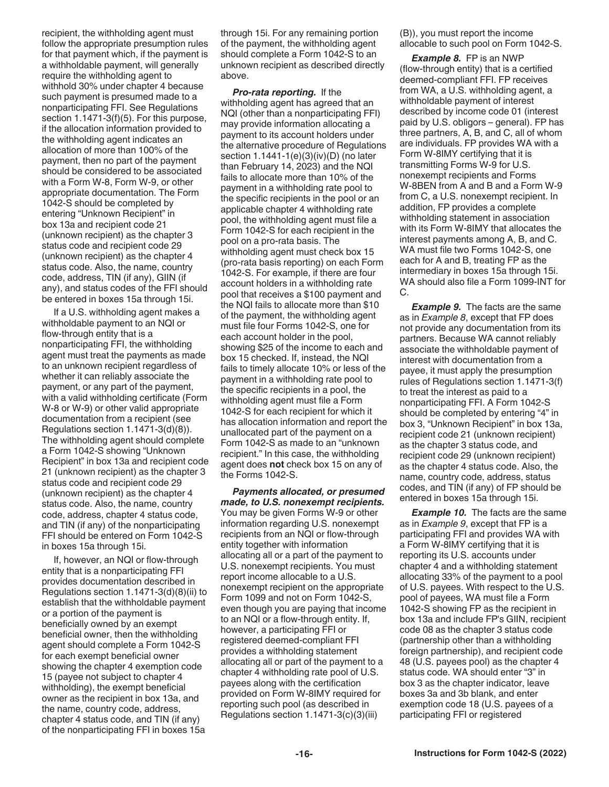<span id="page-15-0"></span>recipient, the withholding agent must follow the appropriate presumption rules for that payment which, if the payment is a withholdable payment, will generally require the withholding agent to withhold 30% under chapter 4 because such payment is presumed made to a nonparticipating FFI. See Regulations section 1.1471-3(f)(5). For this purpose, if the allocation information provided to the withholding agent indicates an allocation of more than 100% of the payment, then no part of the payment should be considered to be associated with a Form W-8, Form W-9, or other appropriate documentation. The Form 1042-S should be completed by entering "Unknown Recipient" in box 13a and recipient code 21 (unknown recipient) as the chapter 3 status code and recipient code 29 (unknown recipient) as the chapter 4 status code. Also, the name, country code, address, TIN (if any), GIIN (if any), and status codes of the FFI should be entered in boxes 15a through 15i.

If a U.S. withholding agent makes a withholdable payment to an NQI or flow-through entity that is a nonparticipating FFI, the withholding agent must treat the payments as made to an unknown recipient regardless of whether it can reliably associate the payment, or any part of the payment, with a valid withholding certificate (Form W-8 or W-9) or other valid appropriate documentation from a recipient (see Regulations section 1.1471-3(d)(8)). The withholding agent should complete a Form 1042-S showing "Unknown Recipient" in box 13a and recipient code 21 (unknown recipient) as the chapter 3 status code and recipient code 29 (unknown recipient) as the chapter 4 status code. Also, the name, country code, address, chapter 4 status code, and TIN (if any) of the nonparticipating FFI should be entered on Form 1042-S in boxes 15a through 15i.

If, however, an NQI or flow-through entity that is a nonparticipating FFI provides documentation described in Regulations section 1.1471-3(d)(8)(ii) to establish that the withholdable payment or a portion of the payment is beneficially owned by an exempt beneficial owner, then the withholding agent should complete a Form 1042-S for each exempt beneficial owner showing the chapter 4 exemption code 15 (payee not subject to chapter 4 withholding), the exempt beneficial owner as the recipient in box 13a, and the name, country code, address, chapter 4 status code, and TIN (if any) of the nonparticipating FFI in boxes 15a

through 15i. For any remaining portion of the payment, the withholding agent should complete a Form 1042-S to an unknown recipient as described directly above.

*Pro-rata reporting.* If the withholding agent has agreed that an NQI (other than a nonparticipating FFI) may provide information allocating a payment to its account holders under the alternative procedure of Regulations section 1.1441-1(e)(3)(iv)(D) (no later than February 14, 2023) and the NQI fails to allocate more than 10% of the payment in a withholding rate pool to the specific recipients in the pool or an applicable chapter 4 withholding rate pool, the withholding agent must file a Form 1042-S for each recipient in the pool on a pro-rata basis. The withholding agent must check box 15 (pro-rata basis reporting) on each Form 1042-S. For example, if there are four account holders in a withholding rate pool that receives a \$100 payment and the NQI fails to allocate more than \$10 of the payment, the withholding agent must file four Forms 1042-S, one for each account holder in the pool, showing \$25 of the income to each and box 15 checked. If, instead, the NQI fails to timely allocate 10% or less of the payment in a withholding rate pool to the specific recipients in a pool, the withholding agent must file a Form 1042-S for each recipient for which it has allocation information and report the unallocated part of the payment on a Form 1042-S as made to an "unknown recipient." In this case, the withholding agent does **not** check box 15 on any of the Forms 1042-S.

*Payments allocated, or presumed made, to U.S. nonexempt recipients.*  You may be given Forms W-9 or other information regarding U.S. nonexempt recipients from an NQI or flow-through entity together with information allocating all or a part of the payment to U.S. nonexempt recipients. You must report income allocable to a U.S. nonexempt recipient on the appropriate Form 1099 and not on Form 1042-S, even though you are paying that income to an NQI or a flow-through entity. If, however, a participating FFI or registered deemed-compliant FFI provides a withholding statement allocating all or part of the payment to a chapter 4 withholding rate pool of U.S. payees along with the certification provided on Form W-8IMY required for reporting such pool (as described in Regulations section 1.1471-3(c)(3)(iii)

(B)), you must report the income allocable to such pool on Form 1042-S.

*Example 8.* FP is an NWP (flow-through entity) that is a certified deemed-compliant FFI. FP receives from WA, a U.S. withholding agent, a withholdable payment of interest described by income code 01 (interest paid by U.S. obligors – general). FP has three partners, A, B, and C, all of whom are individuals. FP provides WA with a Form W-8IMY certifying that it is transmitting Forms W-9 for U.S. nonexempt recipients and Forms W-8BEN from A and B and a Form W-9 from C, a U.S. nonexempt recipient. In addition, FP provides a complete withholding statement in association with its Form W-8IMY that allocates the interest payments among A, B, and C. WA must file two Forms 1042-S, one each for A and B, treating FP as the intermediary in boxes 15a through 15i. WA should also file a Form 1099-INT for C.

**Example 9.** The facts are the same as in *Example 8*, except that FP does not provide any documentation from its partners. Because WA cannot reliably associate the withholdable payment of interest with documentation from a payee, it must apply the presumption rules of Regulations section 1.1471-3(f) to treat the interest as paid to a nonparticipating FFI. A Form 1042-S should be completed by entering "4" in box 3, "Unknown Recipient" in box 13a, recipient code 21 (unknown recipient) as the chapter 3 status code, and recipient code 29 (unknown recipient) as the chapter 4 status code. Also, the name, country code, address, status codes, and TIN (if any) of FP should be entered in boxes 15a through 15i.

**Example 10.** The facts are the same as in *Example 9*, except that FP is a participating FFI and provides WA with a Form W-8IMY certifying that it is reporting its U.S. accounts under chapter 4 and a withholding statement allocating 33% of the payment to a pool of U.S. payees. With respect to the U.S. pool of payees, WA must file a Form 1042-S showing FP as the recipient in box 13a and include FP's GIIN, recipient code 08 as the chapter 3 status code (partnership other than a withholding foreign partnership), and recipient code 48 (U.S. payees pool) as the chapter 4 status code. WA should enter "3" in box 3 as the chapter indicator, leave boxes 3a and 3b blank, and enter exemption code 18 (U.S. payees of a participating FFI or registered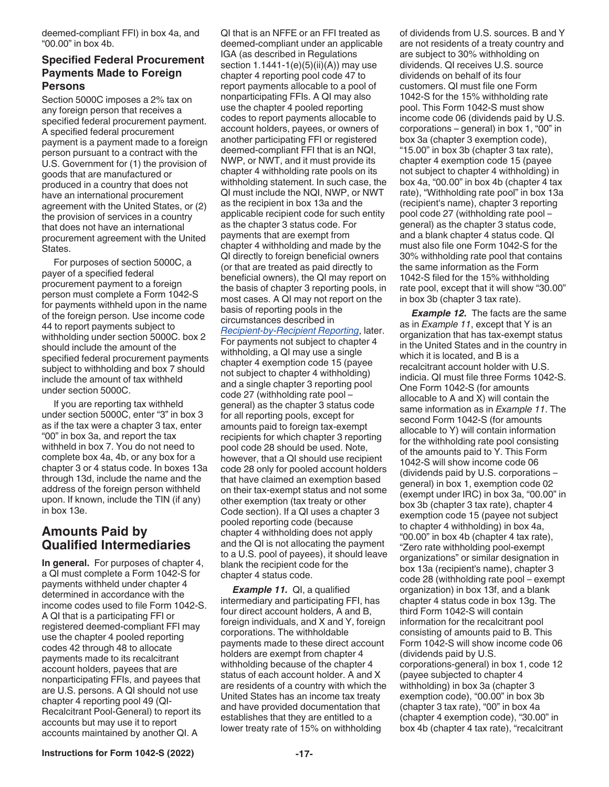<span id="page-16-0"></span>deemed-compliant FFI) in box 4a, and "00.00" in box 4b.

#### **Specified Federal Procurement Payments Made to Foreign Persons**

Section 5000C imposes a 2% tax on any foreign person that receives a specified federal procurement payment. A specified federal procurement payment is a payment made to a foreign person pursuant to a contract with the U.S. Government for (1) the provision of goods that are manufactured or produced in a country that does not have an international procurement agreement with the United States, or (2) the provision of services in a country that does not have an international procurement agreement with the United States.

For purposes of section 5000C, a payer of a specified federal procurement payment to a foreign person must complete a Form 1042-S for payments withheld upon in the name of the foreign person. Use income code 44 to report payments subject to withholding under section 5000C. box 2 should include the amount of the specified federal procurement payments subject to withholding and box 7 should include the amount of tax withheld under section 5000C.

If you are reporting tax withheld under section 5000C, enter "3" in box 3 as if the tax were a chapter 3 tax, enter "00" in box 3a, and report the tax withheld in box 7. You do not need to complete box 4a, 4b, or any box for a chapter 3 or 4 status code. In boxes 13a through 13d, include the name and the address of the foreign person withheld upon. If known, include the TIN (if any) in box 13e.

### **Amounts Paid by Qualified Intermediaries**

**In general.** For purposes of chapter 4, a QI must complete a Form 1042-S for payments withheld under chapter 4 determined in accordance with the income codes used to file Form 1042-S. A QI that is a participating FFI or registered deemed-compliant FFI may use the chapter 4 pooled reporting codes 42 through 48 to allocate payments made to its recalcitrant account holders, payees that are nonparticipating FFIs, and payees that are U.S. persons. A QI should not use chapter 4 reporting pool 49 (QI-Recalcitrant Pool-General) to report its accounts but may use it to report accounts maintained by another QI. A

QI that is an NFFE or an FFI treated as deemed-compliant under an applicable IGA (as described in Regulations section 1.1441-1(e)(5)(ii)(A)) may use chapter 4 reporting pool code 47 to report payments allocable to a pool of nonparticipating FFIs. A QI may also use the chapter 4 pooled reporting codes to report payments allocable to account holders, payees, or owners of another participating FFI or registered deemed-compliant FFI that is an NQI, NWP, or NWT, and it must provide its chapter 4 withholding rate pools on its withholding statement. In such case, the QI must include the NQI, NWP, or NWT as the recipient in box 13a and the applicable recipient code for such entity as the chapter 3 status code. For payments that are exempt from chapter 4 withholding and made by the QI directly to foreign beneficial owners (or that are treated as paid directly to beneficial owners), the QI may report on the basis of chapter 3 reporting pools, in most cases. A QI may not report on the basis of reporting pools in the circumstances described in *[Recipient-by-Recipient Reporting](#page-17-0)*, later. For payments not subject to chapter 4 withholding, a QI may use a single chapter 4 exemption code 15 (payee not subject to chapter 4 withholding) and a single chapter 3 reporting pool code 27 (withholding rate pool – general) as the chapter 3 status code for all reporting pools, except for amounts paid to foreign tax-exempt recipients for which chapter 3 reporting pool code 28 should be used. Note, however, that a QI should use recipient code 28 only for pooled account holders that have claimed an exemption based on their tax-exempt status and not some other exemption (tax treaty or other Code section). If a QI uses a chapter 3 pooled reporting code (because chapter 4 withholding does not apply and the QI is not allocating the payment to a U.S. pool of payees), it should leave blank the recipient code for the chapter 4 status code.

*Example 11.* QI, a qualified intermediary and participating FFI, has four direct account holders, A and B, foreign individuals, and X and Y, foreign corporations. The withholdable payments made to these direct account holders are exempt from chapter 4 withholding because of the chapter 4 status of each account holder. A and X are residents of a country with which the United States has an income tax treaty and have provided documentation that establishes that they are entitled to a lower treaty rate of 15% on withholding

of dividends from U.S. sources. B and Y are not residents of a treaty country and are subject to 30% withholding on dividends. QI receives U.S. source dividends on behalf of its four customers. QI must file one Form 1042-S for the 15% withholding rate pool. This Form 1042-S must show income code 06 (dividends paid by U.S. corporations – general) in box 1, "00" in box 3a (chapter 3 exemption code), "15.00" in box 3b (chapter 3 tax rate), chapter 4 exemption code 15 (payee not subject to chapter 4 withholding) in box 4a, "00.00" in box 4b (chapter 4 tax rate), "Withholding rate pool" in box 13a (recipient's name), chapter 3 reporting pool code 27 (withholding rate pool – general) as the chapter 3 status code, and a blank chapter 4 status code. QI must also file one Form 1042-S for the 30% withholding rate pool that contains the same information as the Form 1042-S filed for the 15% withholding rate pool, except that it will show "30.00" in box 3b (chapter 3 tax rate).

**Example 12.** The facts are the same as in *Example 11*, except that Y is an organization that has tax-exempt status in the United States and in the country in which it is located, and B is a recalcitrant account holder with U.S. indicia. QI must file three Forms 1042-S. One Form 1042-S (for amounts allocable to A and X) will contain the same information as in *Example 11*. The second Form 1042-S (for amounts allocable to Y) will contain information for the withholding rate pool consisting of the amounts paid to Y. This Form 1042-S will show income code 06 (dividends paid by U.S. corporations – general) in box 1, exemption code 02 (exempt under IRC) in box 3a, "00.00" in box 3b (chapter 3 tax rate), chapter 4 exemption code 15 (payee not subject to chapter 4 withholding) in box 4a, "00.00" in box 4b (chapter 4 tax rate), "Zero rate withholding pool-exempt organizations" or similar designation in box 13a (recipient's name), chapter 3 code 28 (withholding rate pool – exempt organization) in box 13f, and a blank chapter 4 status code in box 13g. The third Form 1042-S will contain information for the recalcitrant pool consisting of amounts paid to B. This Form 1042-S will show income code 06 (dividends paid by U.S. corporations-general) in box 1, code 12 (payee subjected to chapter 4 withholding) in box 3a (chapter 3 exemption code), "00.00" in box 3b (chapter 3 tax rate), "00" in box 4a (chapter 4 exemption code), "30.00" in box 4b (chapter 4 tax rate), "recalcitrant

**Instructions for Form 1042-S (2022) -17-**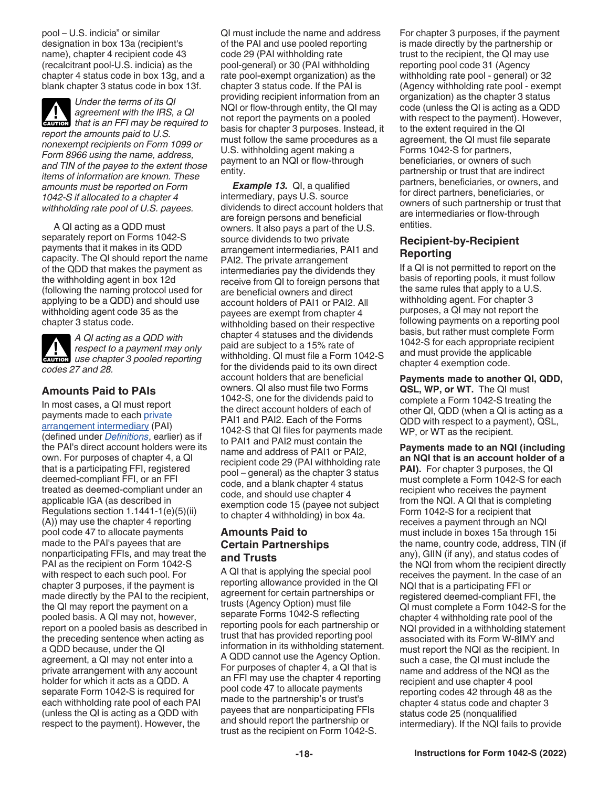<span id="page-17-0"></span>pool – U.S. indicia" or similar designation in box 13a (recipient's name), chapter 4 recipient code 43 (recalcitrant pool-U.S. indicia) as the chapter 4 status code in box 13g, and a blank chapter 3 status code in box 13f.



*Under the terms of its QI agreement with the IRS, a QI*  **deverted by an Internatively in the IRS, a QI** that is an FFI may be required to *report the amounts paid to U.S. nonexempt recipients on Form 1099 or Form 8966 using the name, address, and TIN of the payee to the extent those items of information are known. These amounts must be reported on Form* 

*1042-S if allocated to a chapter 4 withholding rate pool of U.S. payees.*

A QI acting as a QDD must separately report on Forms 1042-S payments that it makes in its QDD capacity. The QI should report the name of the QDD that makes the payment as the withholding agent in box 12d (following the naming protocol used for applying to be a QDD) and should use withholding agent code 35 as the chapter 3 status code.

*A QI acting as a QDD with respect to a payment may only*  **PERITED ASSECT** *use chapter 3 pooled reporting codes 27 and 28.*

#### **Amounts Paid to PAIs**

In most cases, a QI must report payments made to each [private](#page-5-0) [arrangement intermediary](#page-5-0) (PAI) (defined under *[Definitions](#page-3-0)*, earlier) as if the PAI's direct account holders were its own. For purposes of chapter 4, a QI that is a participating FFI, registered deemed-compliant FFI, or an FFI treated as deemed-compliant under an applicable IGA (as described in Regulations section 1.1441-1(e)(5)(ii) (A)) may use the chapter 4 reporting pool code 47 to allocate payments made to the PAI's payees that are nonparticipating FFIs, and may treat the PAI as the recipient on Form 1042-S with respect to each such pool. For chapter 3 purposes, if the payment is made directly by the PAI to the recipient, the QI may report the payment on a pooled basis. A QI may not, however, report on a pooled basis as described in the preceding sentence when acting as a QDD because, under the QI agreement, a QI may not enter into a private arrangement with any account holder for which it acts as a QDD. A separate Form 1042-S is required for each withholding rate pool of each PAI (unless the QI is acting as a QDD with respect to the payment). However, the

QI must include the name and address of the PAI and use pooled reporting code 29 (PAI withholding rate pool-general) or 30 (PAI withholding rate pool-exempt organization) as the chapter 3 status code. If the PAI is providing recipient information from an NQI or flow-through entity, the QI may not report the payments on a pooled basis for chapter 3 purposes. Instead, it must follow the same procedures as a U.S. withholding agent making a payment to an NQI or flow-through entity.

*Example 13.* QI, a qualified intermediary, pays U.S. source dividends to direct account holders that are foreign persons and beneficial owners. It also pays a part of the U.S. source dividends to two private arrangement intermediaries, PAI1 and PAI2. The private arrangement intermediaries pay the dividends they receive from QI to foreign persons that are beneficial owners and direct account holders of PAI1 or PAI2. All payees are exempt from chapter 4 withholding based on their respective chapter 4 statuses and the dividends paid are subject to a 15% rate of withholding. QI must file a Form 1042-S for the dividends paid to its own direct account holders that are beneficial owners. QI also must file two Forms 1042-S, one for the dividends paid to the direct account holders of each of PAI1 and PAI2. Each of the Forms 1042-S that QI files for payments made to PAI1 and PAI2 must contain the name and address of PAI1 or PAI2, recipient code 29 (PAI withholding rate pool – general) as the chapter 3 status code, and a blank chapter 4 status code, and should use chapter 4 exemption code 15 (payee not subject to chapter 4 withholding) in box 4a.

#### **Amounts Paid to Certain Partnerships and Trusts**

A QI that is applying the special pool reporting allowance provided in the QI agreement for certain partnerships or trusts (Agency Option) must file separate Forms 1042-S reflecting reporting pools for each partnership or trust that has provided reporting pool information in its withholding statement. A QDD cannot use the Agency Option. For purposes of chapter 4, a QI that is an FFI may use the chapter 4 reporting pool code 47 to allocate payments made to the partnership's or trust's payees that are nonparticipating FFIs and should report the partnership or trust as the recipient on Form 1042-S.

For chapter 3 purposes, if the payment is made directly by the partnership or trust to the recipient, the QI may use reporting pool code 31 (Agency withholding rate pool - general) or 32 (Agency withholding rate pool - exempt organization) as the chapter 3 status code (unless the QI is acting as a QDD with respect to the payment). However, to the extent required in the QI agreement, the QI must file separate Forms 1042-S for partners, beneficiaries, or owners of such partnership or trust that are indirect partners, beneficiaries, or owners, and for direct partners, beneficiaries, or owners of such partnership or trust that are intermediaries or flow-through entities.

#### **Recipient-by-Recipient Reporting**

If a QI is not permitted to report on the basis of reporting pools, it must follow the same rules that apply to a U.S. withholding agent. For chapter 3 purposes, a QI may not report the following payments on a reporting pool basis, but rather must complete Form 1042-S for each appropriate recipient and must provide the applicable chapter 4 exemption code.

**Payments made to another QI, QDD, QSL, WP, or WT.** The QI must complete a Form 1042-S treating the other QI, QDD (when a QI is acting as a QDD with respect to a payment), QSL, WP, or WT as the recipient.

**Payments made to an NQI (including an NQI that is an account holder of a PAI).** For chapter 3 purposes, the QI must complete a Form 1042-S for each recipient who receives the payment from the NQI. A QI that is completing Form 1042-S for a recipient that receives a payment through an NQI must include in boxes 15a through 15i the name, country code, address, TIN (if any), GIIN (if any), and status codes of the NQI from whom the recipient directly receives the payment. In the case of an NQI that is a participating FFI or registered deemed-compliant FFI, the QI must complete a Form 1042-S for the chapter 4 withholding rate pool of the NQI provided in a withholding statement associated with its Form W-8IMY and must report the NQI as the recipient. In such a case, the QI must include the name and address of the NQI as the recipient and use chapter 4 pool reporting codes 42 through 48 as the chapter 4 status code and chapter 3 status code 25 (nonqualified intermediary). If the NQI fails to provide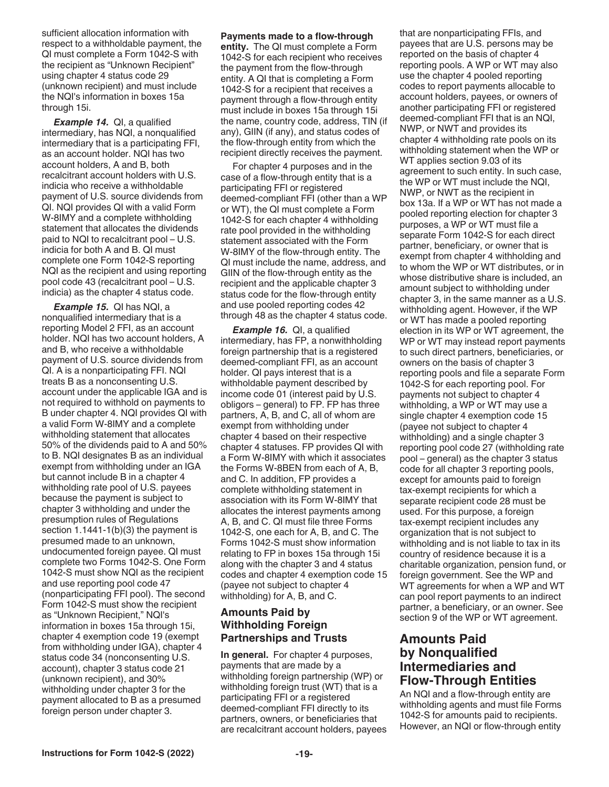sufficient allocation information with respect to a withholdable payment, the QI must complete a Form 1042-S with the recipient as "Unknown Recipient" using chapter 4 status code 29 (unknown recipient) and must include the NQI's information in boxes 15a through 15i.

*Example 14. QI, a qualified* intermediary, has NQI, a nonqualified intermediary that is a participating FFI, as an account holder. NQI has two account holders, A and B, both recalcitrant account holders with U.S. indicia who receive a withholdable payment of U.S. source dividends from QI. NQI provides QI with a valid Form W-8IMY and a complete withholding statement that allocates the dividends paid to NQI to recalcitrant pool – U.S. indicia for both A and B. QI must complete one Form 1042-S reporting NQI as the recipient and using reporting pool code 43 (recalcitrant pool – U.S. indicia) as the chapter 4 status code.

*Example 15.* QI has NQI, a nonqualified intermediary that is a reporting Model 2 FFI, as an account holder. NQI has two account holders, A and B, who receive a withholdable payment of U.S. source dividends from QI. A is a nonparticipating FFI. NQI treats B as a nonconsenting U.S. account under the applicable IGA and is not required to withhold on payments to B under chapter 4. NQI provides QI with a valid Form W-8IMY and a complete withholding statement that allocates 50% of the dividends paid to A and 50% to B. NQI designates B as an individual exempt from withholding under an IGA but cannot include B in a chapter 4 withholding rate pool of U.S. payees because the payment is subject to chapter 3 withholding and under the presumption rules of Regulations section 1.1441-1(b)(3) the payment is presumed made to an unknown, undocumented foreign payee. QI must complete two Forms 1042-S. One Form 1042-S must show NQI as the recipient and use reporting pool code 47 (nonparticipating FFI pool). The second Form 1042-S must show the recipient as "Unknown Recipient," NQI's information in boxes 15a through 15i, chapter 4 exemption code 19 (exempt from withholding under IGA), chapter 4 status code 34 (nonconsenting U.S. account), chapter 3 status code 21 (unknown recipient), and 30% withholding under chapter 3 for the payment allocated to B as a presumed foreign person under chapter 3.

#### **Payments made to a flow-through**

**entity.** The QI must complete a Form 1042-S for each recipient who receives the payment from the flow-through entity. A QI that is completing a Form 1042-S for a recipient that receives a payment through a flow-through entity must include in boxes 15a through 15i the name, country code, address, TIN (if any), GIIN (if any), and status codes of the flow-through entity from which the recipient directly receives the payment.

For chapter 4 purposes and in the case of a flow-through entity that is a participating FFI or registered deemed-compliant FFI (other than a WP or WT), the QI must complete a Form 1042-S for each chapter 4 withholding rate pool provided in the withholding statement associated with the Form W-8IMY of the flow-through entity. The QI must include the name, address, and GIIN of the flow-through entity as the recipient and the applicable chapter 3 status code for the flow-through entity and use pooled reporting codes 42 through 48 as the chapter 4 status code.

*Example 16.* QI, a qualified intermediary, has FP, a nonwithholding foreign partnership that is a registered deemed-compliant FFI, as an account holder. QI pays interest that is a withholdable payment described by income code 01 (interest paid by U.S. obligors – general) to FP. FP has three partners, A, B, and C, all of whom are exempt from withholding under chapter 4 based on their respective chapter 4 statuses. FP provides QI with a Form W-8IMY with which it associates the Forms W-8BEN from each of A, B, and C. In addition, FP provides a complete withholding statement in association with its Form W-8IMY that allocates the interest payments among A, B, and C. QI must file three Forms 1042-S, one each for A, B, and C. The Forms 1042-S must show information relating to FP in boxes 15a through 15i along with the chapter 3 and 4 status codes and chapter 4 exemption code 15 (payee not subject to chapter 4 withholding) for A, B, and C.

#### **Amounts Paid by Withholding Foreign Partnerships and Trusts**

**In general.** For chapter 4 purposes, payments that are made by a withholding foreign partnership (WP) or withholding foreign trust (WT) that is a participating FFI or a registered deemed-compliant FFI directly to its partners, owners, or beneficiaries that are recalcitrant account holders, payees that are nonparticipating FFIs, and payees that are U.S. persons may be reported on the basis of chapter 4 reporting pools. A WP or WT may also use the chapter 4 pooled reporting codes to report payments allocable to account holders, payees, or owners of another participating FFI or registered deemed-compliant FFI that is an NQI, NWP, or NWT and provides its chapter 4 withholding rate pools on its withholding statement when the WP or WT applies section 9.03 of its agreement to such entity. In such case, the WP or WT must include the NQI, NWP, or NWT as the recipient in box 13a. If a WP or WT has not made a pooled reporting election for chapter 3 purposes, a WP or WT must file a separate Form 1042-S for each direct partner, beneficiary, or owner that is exempt from chapter 4 withholding and to whom the WP or WT distributes, or in whose distributive share is included, an amount subject to withholding under chapter 3, in the same manner as a U.S. withholding agent. However, if the WP or WT has made a pooled reporting election in its WP or WT agreement, the WP or WT may instead report payments to such direct partners, beneficiaries, or owners on the basis of chapter 3 reporting pools and file a separate Form 1042-S for each reporting pool. For payments not subject to chapter 4 withholding, a WP or WT may use a single chapter 4 exemption code 15 (payee not subject to chapter 4 withholding) and a single chapter 3 reporting pool code 27 (withholding rate pool – general) as the chapter 3 status code for all chapter 3 reporting pools, except for amounts paid to foreign tax-exempt recipients for which a separate recipient code 28 must be used. For this purpose, a foreign tax-exempt recipient includes any organization that is not subject to withholding and is not liable to tax in its country of residence because it is a charitable organization, pension fund, or foreign government. See the WP and WT agreements for when a WP and WT can pool report payments to an indirect partner, a beneficiary, or an owner. See section 9 of the WP or WT agreement.

### **Amounts Paid by Nonqualified Intermediaries and Flow-Through Entities**

An NQI and a flow-through entity are withholding agents and must file Forms 1042-S for amounts paid to recipients. However, an NQI or flow-through entity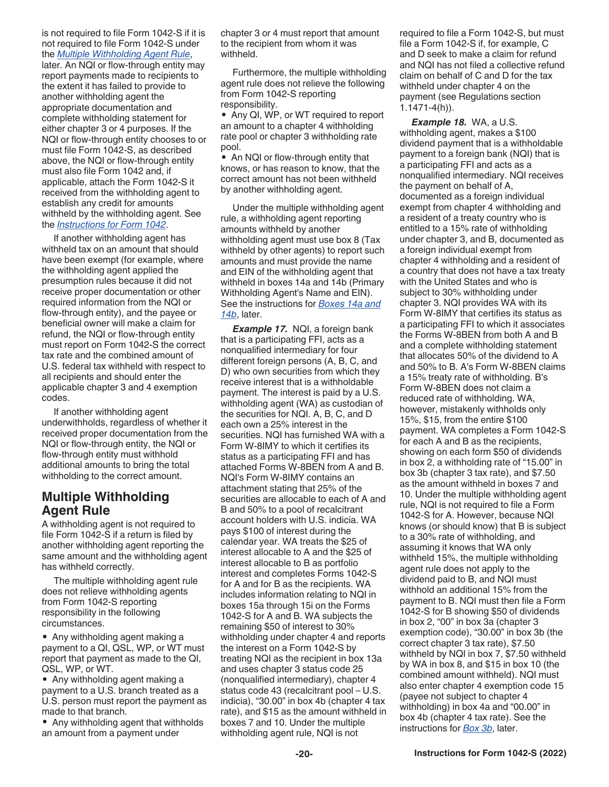<span id="page-19-0"></span>is not required to file Form 1042-S if it is not required to file Form 1042-S under the *Multiple Withholding Agent Rule*,

later. An NQI or flow-through entity may report payments made to recipients to the extent it has failed to provide to another withholding agent the appropriate documentation and complete withholding statement for either chapter 3 or 4 purposes. If the NQI or flow-through entity chooses to or must file Form 1042-S, as described above, the NQI or flow-through entity must also file Form 1042 and, if applicable, attach the Form 1042-S it received from the withholding agent to establish any credit for amounts withheld by the withholding agent. See the *[Instructions for Form 1042](https://www.irs.gov/pub/irs-pdf/i1042.pdf)*.

If another withholding agent has withheld tax on an amount that should have been exempt (for example, where the withholding agent applied the presumption rules because it did not receive proper documentation or other required information from the NQI or flow-through entity), and the payee or beneficial owner will make a claim for refund, the NQI or flow-through entity must report on Form 1042-S the correct tax rate and the combined amount of U.S. federal tax withheld with respect to all recipients and should enter the applicable chapter 3 and 4 exemption codes.

If another withholding agent underwithholds, regardless of whether it received proper documentation from the NQI or flow-through entity, the NQI or flow-through entity must withhold additional amounts to bring the total withholding to the correct amount.

### **Multiple Withholding Agent Rule**

A withholding agent is not required to file Form 1042-S if a return is filed by another withholding agent reporting the same amount and the withholding agent has withheld correctly.

The multiple withholding agent rule does not relieve withholding agents from Form 1042-S reporting responsibility in the following circumstances.

• Any withholding agent making a payment to a QI, QSL, WP, or WT must report that payment as made to the QI, QSL, WP, or WT.

• Any withholding agent making a payment to a U.S. branch treated as a U.S. person must report the payment as made to that branch.

• Any withholding agent that withholds an amount from a payment under

chapter 3 or 4 must report that amount to the recipient from whom it was withheld.

Furthermore, the multiple withholding agent rule does not relieve the following from Form 1042-S reporting responsibility.

• Any QI, WP, or WT required to report an amount to a chapter 4 withholding rate pool or chapter 3 withholding rate pool.

• An NQI or flow-through entity that knows, or has reason to know, that the correct amount has not been withheld by another withholding agent.

Under the multiple withholding agent rule, a withholding agent reporting amounts withheld by another withholding agent must use box 8 (Tax withheld by other agents) to report such amounts and must provide the name and EIN of the withholding agent that withheld in boxes 14a and 14b (Primary Withholding Agent's Name and EIN). See the instructions for *[Boxes 14a and](#page-29-0)  [14b](#page-29-0)*, later.

*Example 17.* NQI, a foreign bank that is a participating FFI, acts as a nonqualified intermediary for four different foreign persons (A, B, C, and D) who own securities from which they receive interest that is a withholdable payment. The interest is paid by a U.S. withholding agent (WA) as custodian of the securities for NQI. A, B, C, and D each own a 25% interest in the securities. NQI has furnished WA with a Form W-8IMY to which it certifies its status as a participating FFI and has attached Forms W-8BEN from A and B. NQI's Form W-8IMY contains an attachment stating that 25% of the securities are allocable to each of A and B and 50% to a pool of recalcitrant account holders with U.S. indicia. WA pays \$100 of interest during the calendar year. WA treats the \$25 of interest allocable to A and the \$25 of interest allocable to B as portfolio interest and completes Forms 1042-S for A and for B as the recipients. WA includes information relating to NQI in boxes 15a through 15i on the Forms 1042-S for A and B. WA subjects the remaining \$50 of interest to 30% withholding under chapter 4 and reports the interest on a Form 1042-S by treating NQI as the recipient in box 13a and uses chapter 3 status code 25 (nonqualified intermediary), chapter 4 status code 43 (recalcitrant pool – U.S. indicia), "30.00" in box 4b (chapter 4 tax rate), and \$15 as the amount withheld in boxes 7 and 10. Under the multiple withholding agent rule, NQI is not

required to file a Form 1042-S, but must file a Form 1042-S if, for example, C and D seek to make a claim for refund and NQI has not filed a collective refund claim on behalf of C and D for the tax withheld under chapter 4 on the payment (see Regulations section 1.1471-4(h)).

*Example 18.* WA, a U.S. withholding agent, makes a \$100 dividend payment that is a withholdable payment to a foreign bank (NQI) that is a participating FFI and acts as a nonqualified intermediary. NQI receives the payment on behalf of A, documented as a foreign individual exempt from chapter 4 withholding and a resident of a treaty country who is entitled to a 15% rate of withholding under chapter 3, and B, documented as a foreign individual exempt from chapter 4 withholding and a resident of a country that does not have a tax treaty with the United States and who is subject to 30% withholding under chapter 3. NQI provides WA with its Form W-8IMY that certifies its status as a participating FFI to which it associates the Forms W-8BEN from both A and B and a complete withholding statement that allocates 50% of the dividend to A and 50% to B. A's Form W-8BEN claims a 15% treaty rate of withholding. B's Form W-8BEN does not claim a reduced rate of withholding. WA, however, mistakenly withholds only 15%, \$15, from the entire \$100 payment. WA completes a Form 1042-S for each A and B as the recipients, showing on each form \$50 of dividends in box 2, a withholding rate of "15.00" in box 3b (chapter 3 tax rate), and \$7.50 as the amount withheld in boxes 7 and 10. Under the multiple withholding agent rule, NQI is not required to file a Form 1042-S for A. However, because NQI knows (or should know) that B is subject to a 30% rate of withholding, and assuming it knows that WA only withheld 15%, the multiple withholding agent rule does not apply to the dividend paid to B, and NQI must withhold an additional 15% from the payment to B. NQI must then file a Form 1042-S for B showing \$50 of dividends in box 2, "00" in box 3a (chapter 3 exemption code), "30.00" in box 3b (the correct chapter 3 tax rate), \$7.50 withheld by NQI in box 7, \$7.50 withheld by WA in box 8, and \$15 in box 10 (the combined amount withheld). NQI must also enter chapter 4 exemption code 15 (payee not subject to chapter 4 withholding) in box 4a and "00.00" in box 4b (chapter 4 tax rate). See the instructions for *[Box 3b](#page-24-0)*, later.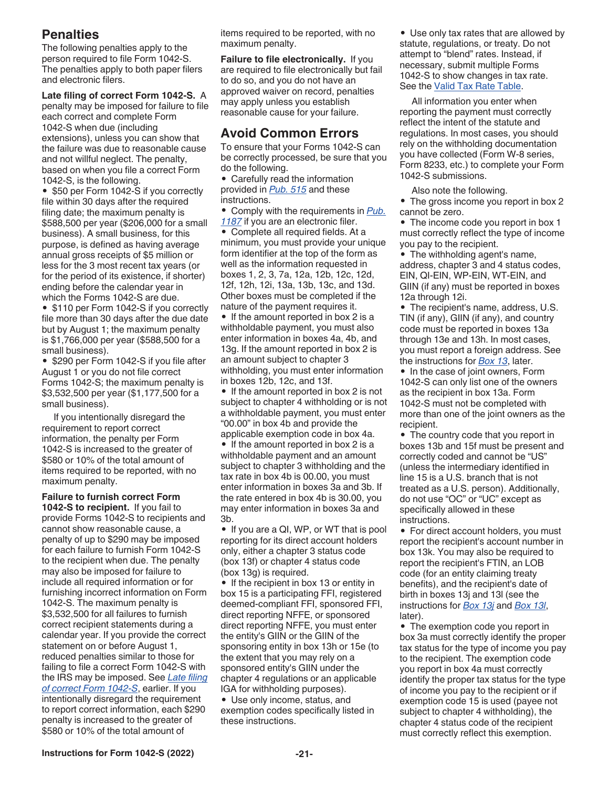### <span id="page-20-0"></span>**Penalties**

The following penalties apply to the person required to file Form 1042-S. The penalties apply to both paper filers and electronic filers.

**Late filing of correct Form 1042-S.** A penalty may be imposed for failure to file each correct and complete Form 1042-S when due (including extensions), unless you can show that the failure was due to reasonable cause and not willful neglect. The penalty, based on when you file a correct Form 1042-S, is the following.

• \$50 per Form 1042-S if you correctly file within 30 days after the required filing date; the maximum penalty is \$588,500 per year (\$206,000 for a small business). A small business, for this purpose, is defined as having average annual gross receipts of \$5 million or less for the 3 most recent tax years (or for the period of its existence, if shorter) ending before the calendar year in which the Forms 1042-S are due.

• \$110 per Form 1042-S if you correctly file more than 30 days after the due date but by August 1; the maximum penalty is \$1,766,000 per year (\$588,500 for a small business).

• \$290 per Form 1042-S if you file after August 1 or you do not file correct Forms 1042-S; the maximum penalty is \$3,532,500 per year (\$1,177,500 for a small business).

If you intentionally disregard the requirement to report correct information, the penalty per Form 1042-S is increased to the greater of \$580 or 10% of the total amount of items required to be reported, with no maximum penalty.

**Failure to furnish correct Form 1042-S to recipient.** If you fail to provide Forms 1042-S to recipients and cannot show reasonable cause, a penalty of up to \$290 may be imposed for each failure to furnish Form 1042-S to the recipient when due. The penalty may also be imposed for failure to include all required information or for furnishing incorrect information on Form 1042-S. The maximum penalty is \$3,532,500 for all failures to furnish correct recipient statements during a calendar year. If you provide the correct statement on or before August 1, reduced penalties similar to those for failing to file a correct Form 1042-S with the IRS may be imposed. See *Late filing of correct Form 1042-S*, earlier. If you intentionally disregard the requirement to report correct information, each \$290 penalty is increased to the greater of \$580 or 10% of the total amount of

items required to be reported, with no maximum penalty.

**Failure to file electronically.** If you are required to file electronically but fail to do so, and you do not have an approved waiver on record, penalties may apply unless you establish reasonable cause for your failure.

### **Avoid Common Errors**

To ensure that your Forms 1042-S can be correctly processed, be sure that you do the following.

• Carefully read the information provided in *[Pub. 515](https://www.irs.gov/pub/irs-pdf/p515.pdf)* and these instructions.

• Comply with the requirements in *[Pub.](https://www.irs.gov/pub/irs-pdf/p1187.pdf) [1187](https://www.irs.gov/pub/irs-pdf/p1187.pdf)* if you are an electronic filer.

• Complete all required fields. At a minimum, you must provide your unique form identifier at the top of the form as well as the information requested in boxes 1, 2, 3, 7a, 12a, 12b, 12c, 12d, 12f, 12h, 12i, 13a, 13b, 13c, and 13d. Other boxes must be completed if the nature of the payment requires it.

• If the amount reported in box 2 is a withholdable payment, you must also enter information in boxes 4a, 4b, and 13g. If the amount reported in box 2 is an amount subject to chapter 3 withholding, you must enter information in boxes 12b, 12c, and 13f.

• If the amount reported in box 2 is not subject to chapter 4 withholding or is not a withholdable payment, you must enter "00.00" in box 4b and provide the applicable exemption code in box 4a.

• If the amount reported in box 2 is a withholdable payment and an amount subject to chapter 3 withholding and the tax rate in box 4b is 00.00, you must enter information in boxes 3a and 3b. If the rate entered in box 4b is 30.00, you may enter information in boxes 3a and 3b.

• If you are a QI, WP, or WT that is pool reporting for its direct account holders only, either a chapter 3 status code (box 13f) or chapter 4 status code (box 13g) is required.

• If the recipient in box 13 or entity in box 15 is a participating FFI, registered deemed-compliant FFI, sponsored FFI, direct reporting NFFE, or sponsored direct reporting NFFE, you must enter the entity's GIIN or the GIIN of the sponsoring entity in box 13h or 15e (to the extent that you may rely on a sponsored entity's GIIN under the chapter 4 regulations or an applicable IGA for withholding purposes).

• Use only income, status, and exemption codes specifically listed in these instructions.

• Use only tax rates that are allowed by statute, regulations, or treaty. Do not attempt to "blend" rates. Instead, if necessary, submit multiple Forms 1042-S to show changes in tax rate. See the [Valid Tax Rate Table.](#page-24-0)

All information you enter when reporting the payment must correctly reflect the intent of the statute and regulations. In most cases, you should rely on the withholding documentation you have collected (Form W-8 series, Form 8233, etc.) to complete your Form 1042-S submissions.

Also note the following.

• The gross income you report in box 2 cannot be zero.

• The income code you report in box 1 must correctly reflect the type of income you pay to the recipient.

• The withholding agent's name, address, chapter 3 and 4 status codes, EIN, QI-EIN, WP-EIN, WT-EIN, and GIIN (if any) must be reported in boxes 12a through 12i.

• The recipient's name, address, U.S. TIN (if any), GIIN (if any), and country code must be reported in boxes 13a through 13e and 13h. In most cases, you must report a foreign address. See the instructions for *[Box 13](#page-26-0)*, later.

• In the case of joint owners, Form 1042-S can only list one of the owners as the recipient in box 13a. Form 1042-S must not be completed with more than one of the joint owners as the recipient.

• The country code that you report in boxes 13b and 15f must be present and correctly coded and cannot be "US" (unless the intermediary identified in line 15 is a U.S. branch that is not treated as a U.S. person). Additionally, do not use "OC" or "UC" except as specifically allowed in these instructions.

• For direct account holders, you must report the recipient's account number in box 13k. You may also be required to report the recipient's FTIN, an LOB code (for an entity claiming treaty benefits), and the recipient's date of birth in boxes 13j and 13l (see the instructions for *[Box 13j](#page-28-0)* and *[Box 13l](#page-28-0)*, later).

• The exemption code you report in box 3a must correctly identify the proper tax status for the type of income you pay to the recipient. The exemption code you report in box 4a must correctly identify the proper tax status for the type of income you pay to the recipient or if exemption code 15 is used (payee not subject to chapter 4 withholding), the chapter 4 status code of the recipient must correctly reflect this exemption.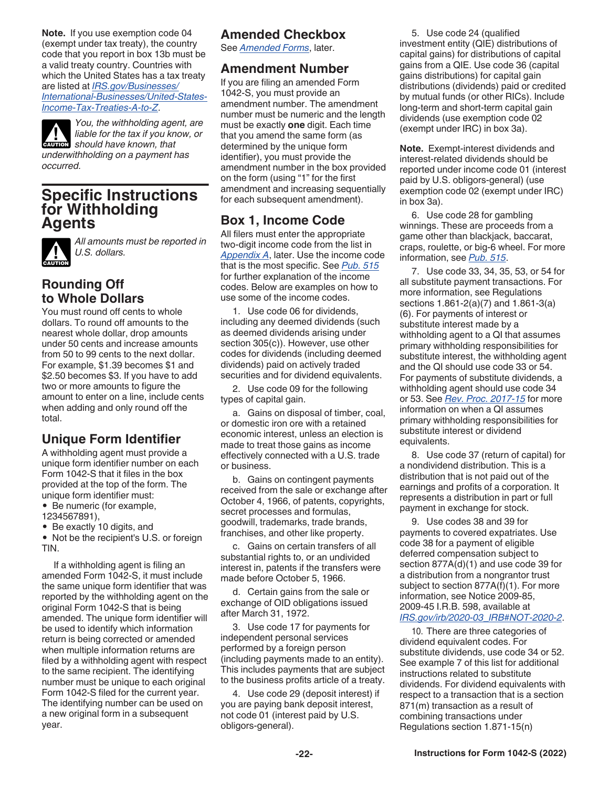<span id="page-21-0"></span>**Note.** If you use exemption code 04 (exempt under tax treaty), the country code that you report in box 13b must be a valid treaty country. Countries with which the United States has a tax treaty are listed at *[IRS.gov/Businesses/](https://www.irs.gov/businesses/international-businesses/united-states-income-tax-treaties-a-to-z) [International-Businesses/United-States-](https://www.irs.gov/businesses/international-businesses/united-states-income-tax-treaties-a-to-z)[Income-Tax-Treaties-A-to-Z](https://www.irs.gov/businesses/international-businesses/united-states-income-tax-treaties-a-to-z)*.

*You, the withholding agent, are liable for the tax if you know, or*  **k should have known, that caution** *underwithholding on a payment has occurred.*

### **Specific Instructions for Withholding Agents**



*All amounts must be reported in U.S. dollars.*

### **Rounding Off to Whole Dollars**

You must round off cents to whole dollars. To round off amounts to the nearest whole dollar, drop amounts under 50 cents and increase amounts from 50 to 99 cents to the next dollar. For example, \$1.39 becomes \$1 and \$2.50 becomes \$3. If you have to add two or more amounts to figure the amount to enter on a line, include cents when adding and only round off the total.

### **Unique Form Identifier**

A withholding agent must provide a unique form identifier number on each Form 1042-S that it files in the box provided at the top of the form. The unique form identifier must:

• Be numeric (for example, 1234567891),

• Be exactly 10 digits, and

• Not be the recipient's U.S. or foreign TIN.

If a withholding agent is filing an amended Form 1042-S, it must include the same unique form identifier that was reported by the withholding agent on the original Form 1042-S that is being amended. The unique form identifier will be used to identify which information return is being corrected or amended when multiple information returns are filed by a withholding agent with respect to the same recipient. The identifying number must be unique to each original Form 1042-S filed for the current year. The identifying number can be used on a new original form in a subsequent year.

### **Amended Checkbox**

See *[Amended Forms](#page-29-0)*, later.

### **Amendment Number**

If you are filing an amended Form 1042-S, you must provide an amendment number. The amendment number must be numeric and the length must be exactly **one** digit. Each time that you amend the same form (as determined by the unique form identifier), you must provide the amendment number in the box provided on the form (using "1" for the first amendment and increasing sequentially for each subsequent amendment).

### **Box 1, Income Code**

All filers must enter the appropriate two-digit income code from the list in *[Appendix A](#page-31-0)*, later. Use the income code that is the most specific. See *[Pub. 515](https://www.irs.gov/pub/irs-pdf/p515.pdf)*  for further explanation of the income codes. Below are examples on how to use some of the income codes.

1. Use code 06 for dividends, including any deemed dividends (such as deemed dividends arising under section 305(c)). However, use other codes for dividends (including deemed dividends) paid on actively traded securities and for dividend equivalents.

2. Use code 09 for the following types of capital gain.

a. Gains on disposal of timber, coal, or domestic iron ore with a retained economic interest, unless an election is made to treat those gains as income effectively connected with a U.S. trade or business.

b. Gains on contingent payments received from the sale or exchange after October 4, 1966, of patents, copyrights, secret processes and formulas, goodwill, trademarks, trade brands, franchises, and other like property.

c. Gains on certain transfers of all substantial rights to, or an undivided interest in, patents if the transfers were made before October 5, 1966.

d. Certain gains from the sale or exchange of OID obligations issued after March 31, 1972.

3. Use code 17 for payments for independent personal services performed by a foreign person (including payments made to an entity). This includes payments that are subject to the business profits article of a treaty.

4. Use code 29 (deposit interest) if you are paying bank deposit interest, not code 01 (interest paid by U.S. obligors-general).

5. Use code 24 (qualified investment entity (QIE) distributions of capital gains) for distributions of capital gains from a QIE. Use code 36 (capital gains distributions) for capital gain distributions (dividends) paid or credited by mutual funds (or other RICs). Include long-term and short-term capital gain dividends (use exemption code 02 (exempt under IRC) in box 3a).

**Note.** Exempt-interest dividends and interest-related dividends should be reported under income code 01 (interest paid by U.S. obligors-general) (use exemption code 02 (exempt under IRC) in box 3a).

6. Use code 28 for gambling winnings. These are proceeds from a game other than blackjack, baccarat, craps, roulette, or big-6 wheel. For more information, see *[Pub. 515](https://www.irs.gov/pub/irs-pdf/p515.pdf)*.

7. Use code 33, 34, 35, 53, or 54 for all substitute payment transactions. For more information, see Regulations sections 1.861-2(a)(7) and 1.861-3(a) (6). For payments of interest or substitute interest made by a withholding agent to a QI that assumes primary withholding responsibilities for substitute interest, the withholding agent and the QI should use code 33 or 54. For payments of substitute dividends, a withholding agent should use code 34 or 53. See *[Rev. Proc. 2017-15](https://www.irs.gov/irb/2017-03_IRB#RP-2017-15)* for more information on when a QI assumes primary withholding responsibilities for substitute interest or dividend equivalents.

8. Use code 37 (return of capital) for a nondividend distribution. This is a distribution that is not paid out of the earnings and profits of a corporation. It represents a distribution in part or full payment in exchange for stock.

9. Use codes 38 and 39 for payments to covered expatriates. Use code 38 for a payment of eligible deferred compensation subject to section 877A(d)(1) and use code 39 for a distribution from a nongrantor trust subject to section 877A(f)(1). For more information, see Notice 2009-85, 2009-45 I.R.B. 598, available at *[IRS.gov/irb/2020-03\\_IRB#NOT-2020-2](https://www.irs.gov/irb/2009-45_IRB#NOT-2009-85)*.

10. There are three categories of dividend equivalent codes. For substitute dividends, use code 34 or 52. See example 7 of this list for additional instructions related to substitute dividends. For dividend equivalents with respect to a transaction that is a section 871(m) transaction as a result of combining transactions under Regulations section 1.871-15(n)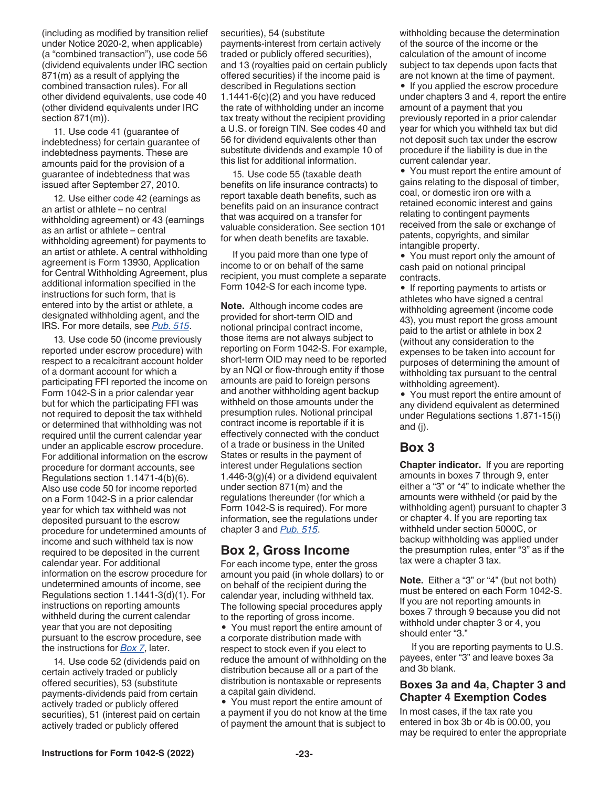<span id="page-22-0"></span>(including as modified by transition relief under Notice 2020-2, when applicable) (a "combined transaction"), use code 56 (dividend equivalents under IRC section 871(m) as a result of applying the combined transaction rules). For all other dividend equivalents, use code 40 (other dividend equivalents under IRC section 871(m)).

11. Use code 41 (guarantee of indebtedness) for certain guarantee of indebtedness payments. These are amounts paid for the provision of a guarantee of indebtedness that was issued after September 27, 2010.

12. Use either code 42 (earnings as an artist or athlete – no central withholding agreement) or 43 (earnings as an artist or athlete – central withholding agreement) for payments to an artist or athlete. A central withholding agreement is Form 13930, Application for Central Withholding Agreement, plus additional information specified in the instructions for such form, that is entered into by the artist or athlete, a designated withholding agent, and the IRS. For more details, see *[Pub. 515](https://www.irs.gov/pub/irs-pdf/p515.pdf)*.

13. Use code 50 (income previously reported under escrow procedure) with respect to a recalcitrant account holder of a dormant account for which a participating FFI reported the income on Form 1042-S in a prior calendar year but for which the participating FFI was not required to deposit the tax withheld or determined that withholding was not required until the current calendar year under an applicable escrow procedure. For additional information on the escrow procedure for dormant accounts, see Regulations section 1.1471-4(b)(6). Also use code 50 for income reported on a Form 1042-S in a prior calendar year for which tax withheld was not deposited pursuant to the escrow procedure for undetermined amounts of income and such withheld tax is now required to be deposited in the current calendar year. For additional information on the escrow procedure for undetermined amounts of income, see Regulations section 1.1441-3(d)(1). For instructions on reporting amounts withheld during the current calendar year that you are not depositing pursuant to the escrow procedure, see the instructions for *[Box 7](#page-24-0)*, later.

14. Use code 52 (dividends paid on certain actively traded or publicly offered securities), 53 (substitute payments-dividends paid from certain actively traded or publicly offered securities), 51 (interest paid on certain actively traded or publicly offered

securities), 54 (substitute payments-interest from certain actively traded or publicly offered securities), and 13 (royalties paid on certain publicly offered securities) if the income paid is described in Regulations section 1.1441-6(c)(2) and you have reduced the rate of withholding under an income tax treaty without the recipient providing a U.S. or foreign TIN. See codes 40 and 56 for dividend equivalents other than substitute dividends and example 10 of this list for additional information.

15. Use code 55 (taxable death benefits on life insurance contracts) to report taxable death benefits, such as benefits paid on an insurance contract that was acquired on a transfer for valuable consideration. See section 101 for when death benefits are taxable.

If you paid more than one type of income to or on behalf of the same recipient, you must complete a separate Form 1042-S for each income type.

**Note.** Although income codes are provided for short-term OID and notional principal contract income, those items are not always subject to reporting on Form 1042-S. For example, short-term OID may need to be reported by an NQI or flow-through entity if those amounts are paid to foreign persons and another withholding agent backup withheld on those amounts under the presumption rules. Notional principal contract income is reportable if it is effectively connected with the conduct of a trade or business in the United States or results in the payment of interest under Regulations section 1.446-3(g)(4) or a dividend equivalent under section 871(m) and the regulations thereunder (for which a Form 1042-S is required). For more information, see the regulations under chapter 3 and *[Pub. 515](https://www.irs.gov/pub/irs-pdf/p515.pdf)*.

#### **Box 2, Gross Income**

For each income type, enter the gross amount you paid (in whole dollars) to or on behalf of the recipient during the calendar year, including withheld tax. The following special procedures apply to the reporting of gross income.

• You must report the entire amount of a corporate distribution made with respect to stock even if you elect to reduce the amount of withholding on the distribution because all or a part of the distribution is nontaxable or represents a capital gain dividend.

• You must report the entire amount of a payment if you do not know at the time of payment the amount that is subject to

withholding because the determination of the source of the income or the calculation of the amount of income subject to tax depends upon facts that are not known at the time of payment.

• If you applied the escrow procedure under chapters 3 and 4, report the entire amount of a payment that you previously reported in a prior calendar year for which you withheld tax but did not deposit such tax under the escrow procedure if the liability is due in the current calendar year.

• You must report the entire amount of gains relating to the disposal of timber, coal, or domestic iron ore with a retained economic interest and gains relating to contingent payments received from the sale or exchange of patents, copyrights, and similar intangible property.

• You must report only the amount of cash paid on notional principal contracts.

• If reporting payments to artists or athletes who have signed a central withholding agreement (income code 43), you must report the gross amount paid to the artist or athlete in box 2 (without any consideration to the expenses to be taken into account for purposes of determining the amount of withholding tax pursuant to the central withholding agreement).

• You must report the entire amount of any dividend equivalent as determined under Regulations sections 1.871-15(i) and (j).

#### **Box 3**

**Chapter indicator.** If you are reporting amounts in boxes 7 through 9, enter either a "3" or "4" to indicate whether the amounts were withheld (or paid by the withholding agent) pursuant to chapter 3 or chapter 4. If you are reporting tax withheld under section 5000C, or backup withholding was applied under the presumption rules, enter "3" as if the tax were a chapter 3 tax.

**Note.** Either a "3" or "4" (but not both) must be entered on each Form 1042-S. If you are not reporting amounts in boxes 7 through 9 because you did not withhold under chapter 3 or 4, you should enter "3."

If you are reporting payments to U.S. payees, enter "3" and leave boxes 3a and 3b blank.

#### **Boxes 3a and 4a, Chapter 3 and Chapter 4 Exemption Codes**

In most cases, if the tax rate you entered in box 3b or 4b is 00.00, you may be required to enter the appropriate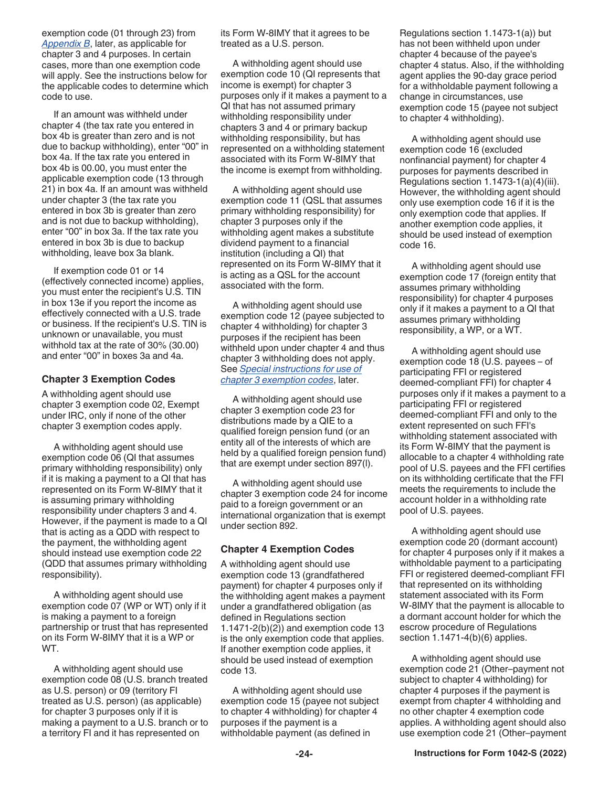exemption code (01 through 23) from *[Appendix B](#page-32-0)*, later, as applicable for chapter 3 and 4 purposes. In certain cases, more than one exemption code will apply. See the instructions below for the applicable codes to determine which code to use.

If an amount was withheld under chapter 4 (the tax rate you entered in box 4b is greater than zero and is not due to backup withholding), enter "00" in box 4a. If the tax rate you entered in box 4b is 00.00, you must enter the applicable exemption code (13 through 21) in box 4a. If an amount was withheld under chapter 3 (the tax rate you entered in box 3b is greater than zero and is not due to backup withholding), enter "00" in box 3a. If the tax rate you entered in box 3b is due to backup withholding, leave box 3a blank.

If exemption code 01 or 14 (effectively connected income) applies, you must enter the recipient's U.S. TIN in box 13e if you report the income as effectively connected with a U.S. trade or business. If the recipient's U.S. TIN is unknown or unavailable, you must withhold tax at the rate of 30% (30.00) and enter "00" in boxes 3a and 4a.

#### **Chapter 3 Exemption Codes**

A withholding agent should use chapter 3 exemption code 02, Exempt under IRC, only if none of the other chapter 3 exemption codes apply.

A withholding agent should use exemption code 06 (QI that assumes primary withholding responsibility) only if it is making a payment to a QI that has represented on its Form W-8IMY that it is assuming primary withholding responsibility under chapters 3 and 4. However, if the payment is made to a QI that is acting as a QDD with respect to the payment, the withholding agent should instead use exemption code 22 (QDD that assumes primary withholding responsibility).

A withholding agent should use exemption code 07 (WP or WT) only if it is making a payment to a foreign partnership or trust that has represented on its Form W-8IMY that it is a WP or WT.

A withholding agent should use exemption code 08 (U.S. branch treated as U.S. person) or 09 (territory FI treated as U.S. person) (as applicable) for chapter 3 purposes only if it is making a payment to a U.S. branch or to a territory FI and it has represented on

its Form W-8IMY that it agrees to be treated as a U.S. person.

A withholding agent should use exemption code 10 (QI represents that income is exempt) for chapter 3 purposes only if it makes a payment to a QI that has not assumed primary withholding responsibility under chapters 3 and 4 or primary backup withholding responsibility, but has represented on a withholding statement associated with its Form W-8IMY that the income is exempt from withholding.

A withholding agent should use exemption code 11 (QSL that assumes primary withholding responsibility) for chapter 3 purposes only if the withholding agent makes a substitute dividend payment to a financial institution (including a QI) that represented on its Form W-8IMY that it is acting as a QSL for the account associated with the form.

A withholding agent should use exemption code 12 (payee subjected to chapter 4 withholding) for chapter 3 purposes if the recipient has been withheld upon under chapter 4 and thus chapter 3 withholding does not apply. See *[Special instructions for use of](#page-24-0)  [chapter 3 exemption codes](#page-24-0)*, later.

A withholding agent should use chapter 3 exemption code 23 for distributions made by a QIE to a qualified foreign pension fund (or an entity all of the interests of which are held by a qualified foreign pension fund) that are exempt under section 897(l).

A withholding agent should use chapter 3 exemption code 24 for income paid to a foreign government or an international organization that is exempt under section 892.

#### **Chapter 4 Exemption Codes**

A withholding agent should use exemption code 13 (grandfathered payment) for chapter 4 purposes only if the withholding agent makes a payment under a grandfathered obligation (as defined in Regulations section 1.1471-2(b)(2)) and exemption code 13 is the only exemption code that applies. If another exemption code applies, it should be used instead of exemption code 13.

A withholding agent should use exemption code 15 (payee not subject to chapter 4 withholding) for chapter 4 purposes if the payment is a withholdable payment (as defined in

Regulations section 1.1473-1(a)) but has not been withheld upon under chapter 4 because of the payee's chapter 4 status. Also, if the withholding agent applies the 90-day grace period for a withholdable payment following a change in circumstances, use exemption code 15 (payee not subject to chapter 4 withholding).

A withholding agent should use exemption code 16 (excluded nonfinancial payment) for chapter 4 purposes for payments described in Regulations section 1.1473-1(a)(4)(iii). However, the withholding agent should only use exemption code 16 if it is the only exemption code that applies. If another exemption code applies, it should be used instead of exemption code 16.

A withholding agent should use exemption code 17 (foreign entity that assumes primary withholding responsibility) for chapter 4 purposes only if it makes a payment to a QI that assumes primary withholding responsibility, a WP, or a WT.

A withholding agent should use exemption code 18 (U.S. payees – of participating FFI or registered deemed-compliant FFI) for chapter 4 purposes only if it makes a payment to a participating FFI or registered deemed-compliant FFI and only to the extent represented on such FFI's withholding statement associated with its Form W-8IMY that the payment is allocable to a chapter 4 withholding rate pool of U.S. payees and the FFI certifies on its withholding certificate that the FFI meets the requirements to include the account holder in a withholding rate pool of U.S. payees.

A withholding agent should use exemption code 20 (dormant account) for chapter 4 purposes only if it makes a withholdable payment to a participating FFI or registered deemed-compliant FFI that represented on its withholding statement associated with its Form W-8IMY that the payment is allocable to a dormant account holder for which the escrow procedure of Regulations section 1.1471-4(b)(6) applies.

A withholding agent should use exemption code 21 (Other–payment not subject to chapter 4 withholding) for chapter 4 purposes if the payment is exempt from chapter 4 withholding and no other chapter 4 exemption code applies. A withholding agent should also use exemption code 21 (Other–payment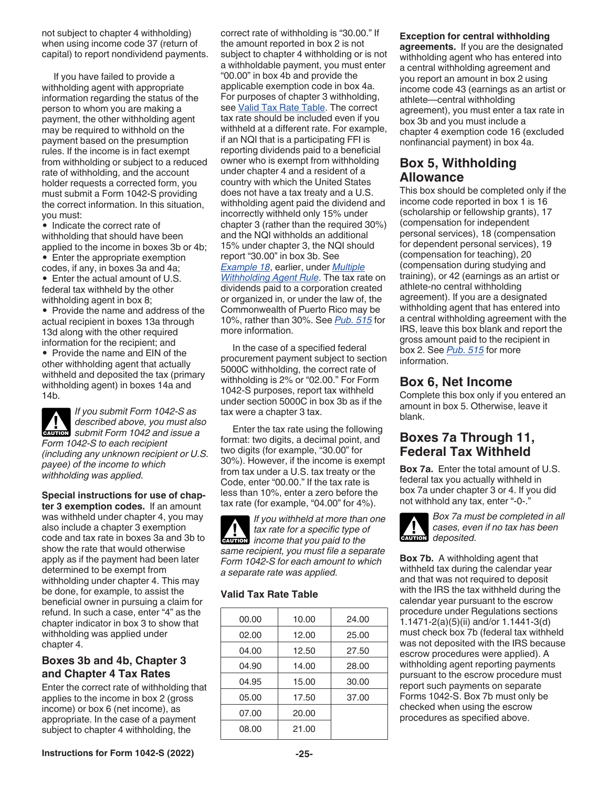<span id="page-24-0"></span>not subject to chapter 4 withholding) when using income code 37 (return of capital) to report nondividend payments.

If you have failed to provide a withholding agent with appropriate information regarding the status of the person to whom you are making a payment, the other withholding agent may be required to withhold on the payment based on the presumption rules. If the income is in fact exempt from withholding or subject to a reduced rate of withholding, and the account holder requests a corrected form, you must submit a Form 1042-S providing the correct information. In this situation, you must:

• Indicate the correct rate of withholding that should have been applied to the income in boxes 3b or 4b; • Enter the appropriate exemption codes, if any, in boxes 3a and 4a;

• Enter the actual amount of U.S. federal tax withheld by the other withholding agent in box 8;

• Provide the name and address of the actual recipient in boxes 13a through 13d along with the other required information for the recipient; and

• Provide the name and EIN of the other withholding agent that actually withheld and deposited the tax (primary withholding agent) in boxes 14a and 14b.



*If you submit Form 1042-S as described above, you must also*  **zubmit Form 1042 and issue a** *Form 1042-S to each recipient (including any unknown recipient or U.S. payee) of the income to which withholding was applied.*

**Special instructions for use of chapter 3 exemption codes.** If an amount was withheld under chapter 4, you may also include a chapter 3 exemption code and tax rate in boxes 3a and 3b to show the rate that would otherwise apply as if the payment had been later determined to be exempt from withholding under chapter 4. This may be done, for example, to assist the beneficial owner in pursuing a claim for refund. In such a case, enter "4" as the chapter indicator in box 3 to show that withholding was applied under chapter 4.

#### **Boxes 3b and 4b, Chapter 3 and Chapter 4 Tax Rates**

Enter the correct rate of withholding that applies to the income in box 2 (gross income) or box 6 (net income), as appropriate. In the case of a payment subject to chapter 4 withholding, the

correct rate of withholding is "30.00." If the amount reported in box 2 is not subject to chapter 4 withholding or is not a withholdable payment, you must enter "00.00" in box 4b and provide the applicable exemption code in box 4a. For purposes of chapter 3 withholding, see Valid Tax Rate Table. The correct tax rate should be included even if you withheld at a different rate. For example, if an NQI that is a participating FFI is reporting dividends paid to a beneficial owner who is exempt from withholding under chapter 4 and a resident of a country with which the United States does not have a tax treaty and a U.S. withholding agent paid the dividend and incorrectly withheld only 15% under chapter 3 (rather than the required 30%) and the NQI withholds an additional 15% under chapter 3, the NQI should report "30.00" in box 3b. See *[Example 18](#page-19-0)*, earlier, under *[Multiple](#page-19-0) [Withholding Agent Rule](#page-19-0)*. The tax rate on dividends paid to a corporation created or organized in, or under the law of, the Commonwealth of Puerto Rico may be 10%, rather than 30%. See *[Pub. 515](https://www.irs.gov/pub/irs-pdf/p515.pdf)* for

In the case of a specified federal procurement payment subject to section 5000C withholding, the correct rate of withholding is 2% or "02.00." For Form 1042-S purposes, report tax withheld under section 5000C in box 3b as if the tax were a chapter 3 tax.

more information.

Enter the tax rate using the following format: two digits, a decimal point, and two digits (for example, "30.00" for 30%). However, if the income is exempt from tax under a U.S. tax treaty or the Code, enter "00.00." If the tax rate is less than 10%, enter a zero before the tax rate (for example, "04.00" for 4%).

*If you withheld at more than one tax rate for a specific type of income that you paid to the*<br> **Property** *same recipient, you must file a separate Form 1042-S for each amount to which a separate rate was applied.*

#### **Valid Tax Rate Table**

| 00.00 | 10.00 | 24.00 |
|-------|-------|-------|
| 02.00 | 12.00 | 25.00 |
| 04.00 | 12.50 | 27.50 |
| 04.90 | 14.00 | 28.00 |
| 04.95 | 15.00 | 30.00 |
| 05.00 | 17.50 | 37.00 |
| 07.00 | 20.00 |       |
| 08.00 | 21.00 |       |

#### **Exception for central withholding**

**agreements.** If you are the designated withholding agent who has entered into a central withholding agreement and you report an amount in box 2 using income code 43 (earnings as an artist or athlete—central withholding agreement), you must enter a tax rate in box 3b and you must include a chapter 4 exemption code 16 (excluded nonfinancial payment) in box 4a.

#### **Box 5, Withholding Allowance**

This box should be completed only if the income code reported in box 1 is 16 (scholarship or fellowship grants), 17 (compensation for independent personal services), 18 (compensation for dependent personal services), 19 (compensation for teaching), 20 (compensation during studying and training), or 42 (earnings as an artist or athlete-no central withholding agreement). If you are a designated withholding agent that has entered into a central withholding agreement with the IRS, leave this box blank and report the gross amount paid to the recipient in box 2. See *[Pub. 515](https://www.irs.gov/pub/irs-pdf/p515.pdf)* for more information.

### **Box 6, Net Income**

Complete this box only if you entered an amount in box 5. Otherwise, leave it blank.

### **Boxes 7a Through 11, Federal Tax Withheld**

**Box 7a.** Enter the total amount of U.S. federal tax you actually withheld in box 7a under chapter 3 or 4. If you did not withhold any tax, enter "-0-."



*Box 7a must be completed in all cases, even if no tax has been*  **deposited.** 

**Box 7b.** A withholding agent that withheld tax during the calendar year and that was not required to deposit with the IRS the tax withheld during the calendar year pursuant to the escrow procedure under Regulations sections 1.1471-2(a)(5)(ii) and/or 1.1441-3(d) must check box 7b (federal tax withheld was not deposited with the IRS because escrow procedures were applied). A withholding agent reporting payments pursuant to the escrow procedure must report such payments on separate Forms 1042-S. Box 7b must only be checked when using the escrow procedures as specified above.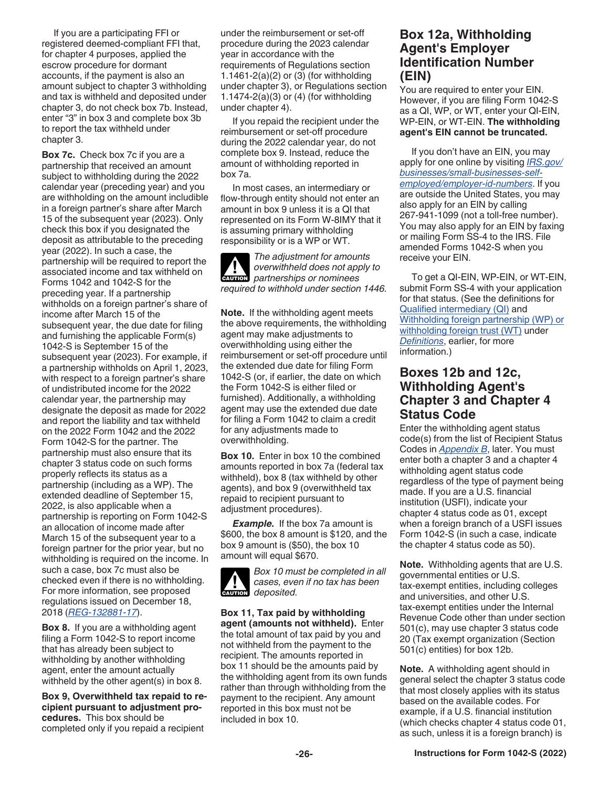<span id="page-25-0"></span>If you are a participating FFI or registered deemed-compliant FFI that, for chapter 4 purposes, applied the escrow procedure for dormant accounts, if the payment is also an amount subject to chapter 3 withholding and tax is withheld and deposited under chapter 3, do not check box 7b. Instead, enter "3" in box 3 and complete box 3b to report the tax withheld under chapter 3.

**Box 7c.** Check box 7c if you are a partnership that received an amount subject to withholding during the 2022 calendar year (preceding year) and you are withholding on the amount includible in a foreign partner's share after March 15 of the subsequent year (2023). Only check this box if you designated the deposit as attributable to the preceding year (2022). In such a case, the partnership will be required to report the associated income and tax withheld on Forms 1042 and 1042-S for the preceding year. If a partnership withholds on a foreign partner's share of income after March 15 of the subsequent year, the due date for filing and furnishing the applicable Form(s) 1042-S is September 15 of the subsequent year (2023). For example, if a partnership withholds on April 1, 2023, with respect to a foreign partner's share of undistributed income for the 2022 calendar year, the partnership may designate the deposit as made for 2022 and report the liability and tax withheld on the 2022 Form 1042 and the 2022 Form 1042-S for the partner. The partnership must also ensure that its chapter 3 status code on such forms properly reflects its status as a partnership (including as a WP). The extended deadline of September 15, 2022, is also applicable when a partnership is reporting on Form 1042-S an allocation of income made after March 15 of the subsequent year to a foreign partner for the prior year, but no withholding is required on the income. In such a case, box 7c must also be checked even if there is no withholding. For more information, see proposed regulations issued on December 18, 2018 (*[REG-132881-17](https://www.irs.gov/pub/fatca/NPRM%20re%20Sections%201441-1474%20Regulations%202018%201212.pdf)*).

**Box 8.** If you are a withholding agent filing a Form 1042-S to report income that has already been subject to withholding by another withholding agent, enter the amount actually withheld by the other agent(s) in box 8.

**Box 9, Overwithheld tax repaid to recipient pursuant to adjustment procedures.** This box should be completed only if you repaid a recipient

under the reimbursement or set-off procedure during the 2023 calendar year in accordance with the requirements of Regulations section 1.1461-2(a)(2) or (3) (for withholding under chapter 3), or Regulations section 1.1474-2(a)(3) or (4) (for withholding under chapter 4).

If you repaid the recipient under the reimbursement or set-off procedure during the 2022 calendar year, do not complete box 9. Instead, reduce the amount of withholding reported in box 7a.

In most cases, an intermediary or flow-through entity should not enter an amount in box 9 unless it is a QI that represented on its Form W-8IMY that it is assuming primary withholding responsibility or is a WP or WT.

*The adjustment for amounts overwithheld does not apply to*  **desp** overwithheld does not app<br>
partnerships or nominees *required to withhold under section 1446.*

**Note.** If the withholding agent meets the above requirements, the withholding agent may make adjustments to overwithholding using either the reimbursement or set-off procedure until the extended due date for filing Form 1042-S (or, if earlier, the date on which the Form 1042-S is either filed or furnished). Additionally, a withholding agent may use the extended due date for filing a Form 1042 to claim a credit for any adjustments made to overwithholding.

**Box 10.** Enter in box 10 the combined amounts reported in box 7a (federal tax withheld), box 8 (tax withheld by other agents), and box 9 (overwithheld tax repaid to recipient pursuant to adjustment procedures).

*Example.* If the box 7a amount is \$600, the box 8 amount is \$120, and the box 9 amount is (\$50), the box 10 amount will equal \$670.



*Box 10 must be completed in all cases, even if no tax has been*  **deposited.** 

**Box 11, Tax paid by withholding agent (amounts not withheld).** Enter the total amount of tax paid by you and not withheld from the payment to the recipient. The amounts reported in box 11 should be the amounts paid by the withholding agent from its own funds rather than through withholding from the payment to the recipient. Any amount reported in this box must not be included in box 10.

#### **Box 12a, Withholding Agent's Employer Identification Number (EIN)**

You are required to enter your EIN. However, if you are filing Form 1042-S as a QI, WP, or WT, enter your QI-EIN, WP-EIN, or WT-EIN. **The withholding agent's EIN cannot be truncated.**

If you don't have an EIN, you may apply for one online by visiting *[IRS.gov/](https://www.irs.gov/businesses/small-businesses-self-employed/employer-id-numbers) [businesses/small-businesses-self](https://www.irs.gov/businesses/small-businesses-self-employed/employer-id-numbers)[employed/employer-id-numbers](https://www.irs.gov/businesses/small-businesses-self-employed/employer-id-numbers)*. If you are outside the United States, you may also apply for an EIN by calling 267-941-1099 (not a toll-free number). You may also apply for an EIN by faxing or mailing Form SS-4 to the IRS. File amended Forms 1042-S when you receive your EIN.

To get a QI-EIN, WP-EIN, or WT-EIN, submit Form SS-4 with your application for that status. (See the definitions for [Qualified intermediary \(QI\)](#page-5-0) and [Withholding foreign partnership \(WP\) or](#page-7-0) [withholding foreign trust \(WT\)](#page-7-0) under *[Definitions](#page-3-0)*, earlier, for more information.)

#### **Boxes 12b and 12c, Withholding Agent's Chapter 3 and Chapter 4 Status Code**

Enter the withholding agent status code(s) from the list of Recipient Status Codes in *[Appendix B](#page-32-0)*, later. You must enter both a chapter 3 and a chapter 4 withholding agent status code regardless of the type of payment being made. If you are a U.S. financial institution (USFI), indicate your chapter 4 status code as 01, except when a foreign branch of a USFI issues Form 1042-S (in such a case, indicate the chapter 4 status code as 50).

**Note.** Withholding agents that are U.S. governmental entities or U.S. tax-exempt entities, including colleges and universities, and other U.S. tax-exempt entities under the Internal Revenue Code other than under section 501(c), may use chapter 3 status code 20 (Tax exempt organization (Section 501(c) entities) for box 12b.

**Note.** A withholding agent should in general select the chapter 3 status code that most closely applies with its status based on the available codes. For example, if a U.S. financial institution (which checks chapter 4 status code 01, as such, unless it is a foreign branch) is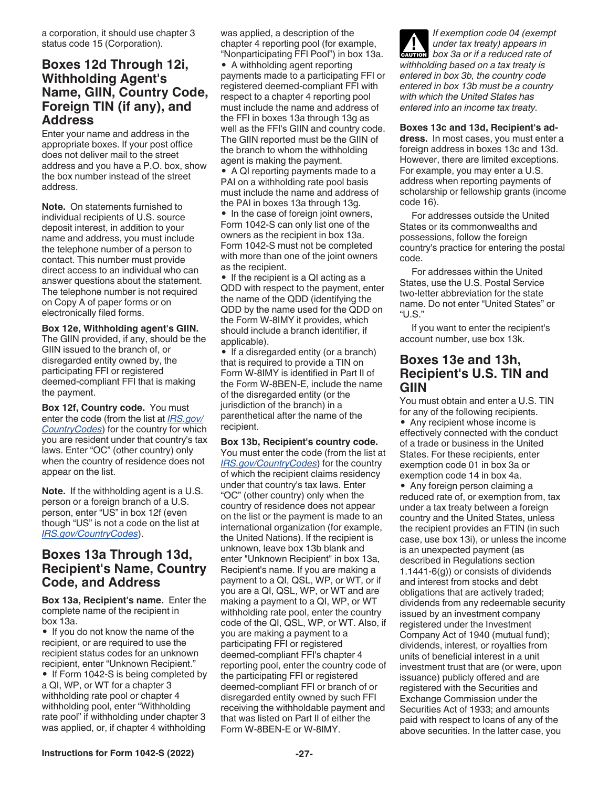<span id="page-26-0"></span>a corporation, it should use chapter 3 status code 15 (Corporation).

#### **Boxes 12d Through 12i, Withholding Agent's Name, GIIN, Country Code, Foreign TIN (if any), and Address**

Enter your name and address in the appropriate boxes. If your post office does not deliver mail to the street address and you have a P.O. box, show the box number instead of the street address.

**Note.** On statements furnished to individual recipients of U.S. source deposit interest, in addition to your name and address, you must include the telephone number of a person to contact. This number must provide direct access to an individual who can answer questions about the statement. The telephone number is not required on Copy A of paper forms or on electronically filed forms.

#### **Box 12e, Withholding agent's GIIN.**

The GIIN provided, if any, should be the GIIN issued to the branch of, or disregarded entity owned by, the participating FFI or registered deemed-compliant FFI that is making the payment.

**Box 12f, Country code.** You must enter the code (from the list at *[IRS.gov/](https://www.irs.gov/countrycodes) [CountryCodes](https://www.irs.gov/countrycodes)*) for the country for which you are resident under that country's tax laws. Enter "OC" (other country) only when the country of residence does not appear on the list.

**Note.** If the withholding agent is a U.S. person or a foreign branch of a U.S. person, enter "US" in box 12f (even though "US" is not a code on the list at *[IRS.gov/CountryCodes](https://www.irs.gov/countrycodes)*).

### **Boxes 13a Through 13d, Recipient's Name, Country Code, and Address**

**Box 13a, Recipient's name.** Enter the complete name of the recipient in box 13a.

• If you do not know the name of the recipient, or are required to use the recipient status codes for an unknown recipient, enter "Unknown Recipient." • If Form 1042-S is being completed by a QI, WP, or WT for a chapter 3 withholding rate pool or chapter 4

withholding pool, enter "Withholding rate pool" if withholding under chapter 3 was applied, or, if chapter 4 withholding was applied, a description of the chapter 4 reporting pool (for example, "Nonparticipating FFI Pool") in box 13a.

• A withholding agent reporting payments made to a participating FFI or registered deemed-compliant FFI with respect to a chapter 4 reporting pool must include the name and address of the FFI in boxes 13a through 13g as well as the FFI's GIIN and country code. The GIIN reported must be the GIIN of the branch to whom the withholding agent is making the payment. • A QI reporting payments made to a PAI on a withholding rate pool basis must include the name and address of the PAI in boxes 13a through 13g. • In the case of foreign joint owners, Form 1042-S can only list one of the

owners as the recipient in box 13a. Form 1042-S must not be completed with more than one of the joint owners as the recipient.

• If the recipient is a QI acting as a QDD with respect to the payment, enter the name of the QDD (identifying the QDD by the name used for the QDD on the Form W-8IMY it provides, which should include a branch identifier, if applicable).

• If a disregarded entity (or a branch) that is required to provide a TIN on Form W-8IMY is identified in Part II of the Form W-8BEN-E, include the name of the disregarded entity (or the jurisdiction of the branch) in a parenthetical after the name of the recipient.

#### **Box 13b, Recipient's country code.**

You must enter the code (from the list at *[IRS.gov/CountryCodes](https://www.irs.gov/countrycodes)*) for the country of which the recipient claims residency under that country's tax laws. Enter "OC" (other country) only when the country of residence does not appear on the list or the payment is made to an international organization (for example, the United Nations). If the recipient is unknown, leave box 13b blank and enter "Unknown Recipient" in box 13a, Recipient's name. If you are making a payment to a QI, QSL, WP, or WT, or if you are a QI, QSL, WP, or WT and are making a payment to a QI, WP, or WT withholding rate pool, enter the country code of the QI, QSL, WP, or WT. Also, if you are making a payment to a participating FFI or registered deemed-compliant FFI's chapter 4 reporting pool, enter the country code of the participating FFI or registered deemed-compliant FFI or branch of or disregarded entity owned by such FFI receiving the withholdable payment and that was listed on Part II of either the Form W-8BEN-E or W-8IMY.

*If exemption code 04 (exempt under tax treaty) appears in*  **c** under tax treaty) appears in<br> **CAUTION** box 3a or if a reduced rate of *withholding based on a tax treaty is entered in box 3b, the country code entered in box 13b must be a country with which the United States has entered into an income tax treaty.*

**Boxes 13c and 13d, Recipient's address.** In most cases, you must enter a foreign address in boxes 13c and 13d. However, there are limited exceptions. For example, you may enter a U.S. address when reporting payments of scholarship or fellowship grants (income code 16).

For addresses outside the United States or its commonwealths and possessions, follow the foreign country's practice for entering the postal code.

For addresses within the United States, use the U.S. Postal Service two-letter abbreviation for the state name. Do not enter "United States" or "U.S."

If you want to enter the recipient's account number, use box 13k.

#### **Boxes 13e and 13h, Recipient's U.S. TIN and GIIN**

You must obtain and enter a U.S. TIN for any of the following recipients. • Any recipient whose income is effectively connected with the conduct of a trade or business in the United States. For these recipients, enter exemption code 01 in box 3a or exemption code 14 in box 4a.

• Any foreign person claiming a reduced rate of, or exemption from, tax under a tax treaty between a foreign country and the United States, unless the recipient provides an FTIN (in such case, use box 13i), or unless the income is an unexpected payment (as described in Regulations section 1.1441-6(g)) or consists of dividends and interest from stocks and debt obligations that are actively traded; dividends from any redeemable security issued by an investment company registered under the Investment Company Act of 1940 (mutual fund); dividends, interest, or royalties from units of beneficial interest in a unit investment trust that are (or were, upon issuance) publicly offered and are registered with the Securities and Exchange Commission under the Securities Act of 1933; and amounts paid with respect to loans of any of the above securities. In the latter case, you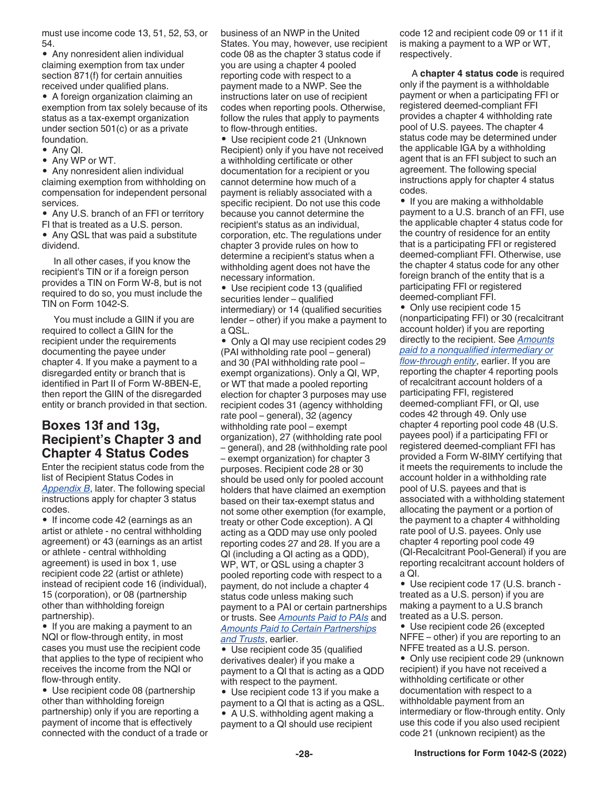<span id="page-27-0"></span>must use income code 13, 51, 52, 53, or 54.

• Any nonresident alien individual claiming exemption from tax under section 871(f) for certain annuities received under qualified plans.

• A foreign organization claiming an exemption from tax solely because of its status as a tax-exempt organization under section 501(c) or as a private foundation.

- Any QI.
- Any WP or WT.

• Any nonresident alien individual claiming exemption from withholding on compensation for independent personal services.

• Any U.S. branch of an FFI or territory FI that is treated as a U.S. person.

• Any QSL that was paid a substitute dividend.

In all other cases, if you know the recipient's TIN or if a foreign person provides a TIN on Form W-8, but is not required to do so, you must include the TIN on Form 1042-S.

You must include a GIIN if you are required to collect a GIIN for the recipient under the requirements documenting the payee under chapter 4. If you make a payment to a disregarded entity or branch that is identified in Part II of Form W-8BEN-E, then report the GIIN of the disregarded entity or branch provided in that section.

### **Boxes 13f and 13g, Recipient's Chapter 3 and Chapter 4 Status Codes**

Enter the recipient status code from the list of Recipient Status Codes in *[Appendix B](#page-32-0)*, later. The following special instructions apply for chapter 3 status codes.

• If income code 42 (earnings as an artist or athlete - no central withholding agreement) or 43 (earnings as an artist or athlete - central withholding agreement) is used in box 1, use recipient code 22 (artist or athlete) instead of recipient code 16 (individual), 15 (corporation), or 08 (partnership other than withholding foreign partnership).

• If you are making a payment to an NQI or flow-through entity, in most cases you must use the recipient code that applies to the type of recipient who receives the income from the NQI or flow-through entity.

• Use recipient code 08 (partnership other than withholding foreign partnership) only if you are reporting a payment of income that is effectively connected with the conduct of a trade or business of an NWP in the United States. You may, however, use recipient code 08 as the chapter 3 status code if you are using a chapter 4 pooled reporting code with respect to a payment made to a NWP. See the instructions later on use of recipient codes when reporting pools. Otherwise, follow the rules that apply to payments to flow-through entities.

• Use recipient code 21 (Unknown Recipient) only if you have not received a withholding certificate or other documentation for a recipient or you cannot determine how much of a payment is reliably associated with a specific recipient. Do not use this code because you cannot determine the recipient's status as an individual, corporation, etc. The regulations under chapter 3 provide rules on how to determine a recipient's status when a withholding agent does not have the necessary information.

• Use recipient code 13 (qualified securities lender – qualified intermediary) or 14 (qualified securities lender – other) if you make a payment to a QSL.

• Only a QI may use recipient codes 29 (PAI withholding rate pool – general) and 30 (PAI withholding rate pool – exempt organizations). Only a QI, WP, or WT that made a pooled reporting election for chapter 3 purposes may use recipient codes 31 (agency withholding rate pool – general), 32 (agency withholding rate pool – exempt organization), 27 (withholding rate pool – general), and 28 (withholding rate pool – exempt organization) for chapter 3 purposes. Recipient code 28 or 30 should be used only for pooled account holders that have claimed an exemption based on their tax-exempt status and not some other exemption (for example, treaty or other Code exception). A QI acting as a QDD may use only pooled reporting codes 27 and 28. If you are a QI (including a QI acting as a QDD), WP, WT, or QSL using a chapter 3 pooled reporting code with respect to a payment, do not include a chapter 4 status code unless making such payment to a PAI or certain partnerships or trusts. See *[Amounts Paid to PAIs](#page-17-0)* and *[Amounts Paid to Certain Partnerships](#page-17-0)  [and Trusts](#page-17-0)*, earlier.

• Use recipient code 35 (qualified derivatives dealer) if you make a payment to a QI that is acting as a QDD with respect to the payment.

• Use recipient code 13 if you make a payment to a QI that is acting as a QSL. • A U.S. withholding agent making a payment to a QI should use recipient

code 12 and recipient code 09 or 11 if it is making a payment to a WP or WT, respectively.

A **chapter 4 status code** is required only if the payment is a withholdable payment or when a participating FFI or registered deemed-compliant FFI provides a chapter 4 withholding rate pool of U.S. payees. The chapter 4 status code may be determined under the applicable IGA by a withholding agent that is an FFI subject to such an agreement. The following special instructions apply for chapter 4 status codes.

• If you are making a withholdable payment to a U.S. branch of an FFI, use the applicable chapter 4 status code for the country of residence for an entity that is a participating FFI or registered deemed-compliant FFI. Otherwise, use the chapter 4 status code for any other foreign branch of the entity that is a participating FFI or registered deemed-compliant FFI.

• Only use recipient code 15 (nonparticipating FFI) or 30 (recalcitrant account holder) if you are reporting directly to the recipient. See *[Amounts](#page-14-0)  [paid to a nonqualified intermediary or](#page-14-0) [flow-through entity](#page-14-0)*, earlier. If you are reporting the chapter 4 reporting pools of recalcitrant account holders of a participating FFI, registered deemed-compliant FFI, or QI, use codes 42 through 49. Only use chapter 4 reporting pool code 48 (U.S. payees pool) if a participating FFI or registered deemed-compliant FFI has provided a Form W-8IMY certifying that it meets the requirements to include the account holder in a withholding rate pool of U.S. payees and that is associated with a withholding statement allocating the payment or a portion of the payment to a chapter 4 withholding rate pool of U.S. payees. Only use chapter 4 reporting pool code 49 (QI-Recalcitrant Pool-General) if you are reporting recalcitrant account holders of a QI.

• Use recipient code 17 (U.S. branch treated as a U.S. person) if you are making a payment to a U.S branch treated as a U.S. person.

• Use recipient code 26 (excepted NFFE – other) if you are reporting to an NFFE treated as a U.S. person.

• Only use recipient code 29 (unknown recipient) if you have not received a withholding certificate or other documentation with respect to a withholdable payment from an intermediary or flow-through entity. Only use this code if you also used recipient code 21 (unknown recipient) as the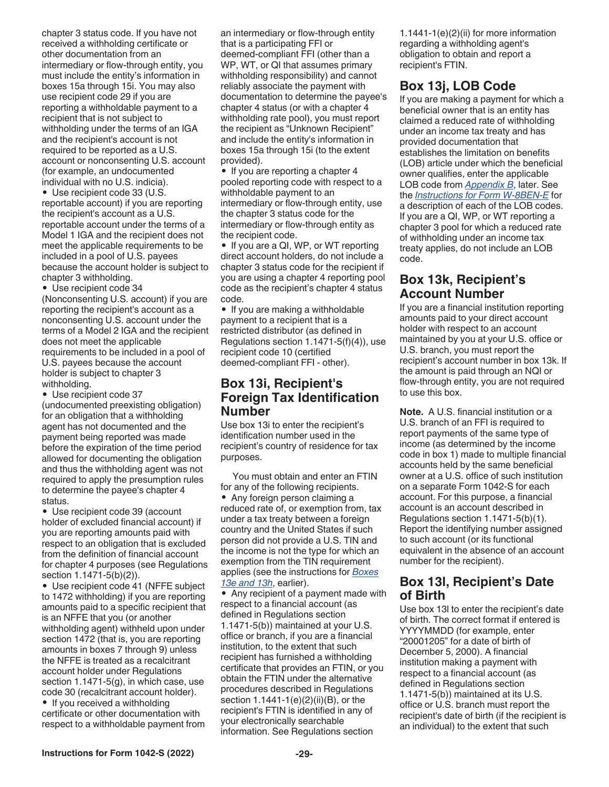<span id="page-28-0"></span>chapter 3 status code. If you have not received a withholding certificate or other documentation from an intermediary or flow-through entity, you must include the entity's information in boxes 15a through 15i. You may also use recipient code 29 if you are reporting a withholdable payment to a recipient that is not subject to withholding under the terms of an IGA and the recipient's account is not required to be reported as a U.S. account or nonconsenting U.S. account (for example, an undocumented individual with no U.S. indicia).

• Use recipient code 33 (U.S. reportable account) if you are reporting the recipient's account as a U.S. reportable account under the terms of a Model 1 IGA and the recipient does not meet the applicable requirements to be included in a pool of U.S. payees because the account holder is subject to chapter 3 withholding.

• Use recipient code 34

(Nonconsenting U.S. account) if you are reporting the recipient's account as a nonconsenting U.S. account under the terms of a Model 2 IGA and the recipient does not meet the applicable requirements to be included in a pool of U.S. payees because the account holder is subject to chapter 3 withholding.

• Use recipient code 37

(undocumented preexisting obligation) for an obligation that a withholding agent has not documented and the payment being reported was made before the expiration of the time period allowed for documenting the obligation and thus the withholding agent was not required to apply the presumption rules to determine the payee's chapter 4 status.

• Use recipient code 39 (account holder of excluded financial account) if you are reporting amounts paid with respect to an obligation that is excluded from the definition of financial account for chapter 4 purposes (see Regulations section 1.1471-5(b)(2)).

• Use recipient code 41 (NFFE subject to 1472 withholding) if you are reporting amounts paid to a specific recipient that is an NFFE that you (or another withholding agent) withheld upon under section 1472 (that is, you are reporting amounts in boxes 7 through 9) unless the NFFE is treated as a recalcitrant account holder under Regulations section 1.1471-5(g), in which case, use code 30 (recalcitrant account holder).

• If you received a withholding certificate or other documentation with respect to a withholdable payment from

an intermediary or flow-through entity that is a participating FFI or deemed-compliant FFI (other than a WP, WT, or QI that assumes primary withholding responsibility) and cannot reliably associate the payment with documentation to determine the payee's chapter 4 status (or with a chapter 4 withholding rate pool), you must report the recipient as "Unknown Recipient" and include the entity's information in boxes 15a through 15i (to the extent provided).

• If you are reporting a chapter 4 pooled reporting code with respect to a withholdable payment to an intermediary or flow-through entity, use the chapter 3 status code for the intermediary or flow-through entity as the recipient code.

• If you are a QI, WP, or WT reporting direct account holders, do not include a chapter 3 status code for the recipient if you are using a chapter 4 reporting pool code as the recipient's chapter 4 status code.

• If you are making a withholdable payment to a recipient that is a restricted distributor (as defined in Regulations section 1.1471-5(f)(4)), use recipient code 10 (certified deemed-compliant FFI - other).

#### **Box 13i, Recipient's Foreign Tax Identification Number**

Use box 13i to enter the recipient's identification number used in the recipient's country of residence for tax purposes.

You must obtain and enter an FTIN for any of the following recipients. • Any foreign person claiming a reduced rate of, or exemption from, tax under a tax treaty between a foreign country and the United States if such person did not provide a U.S. TIN and the income is not the type for which an exemption from the TIN requirement applies (see the instructions for *[Boxes](#page-26-0)  [13e and 13h](#page-26-0)*, earlier).

• Any recipient of a payment made with respect to a financial account (as defined in Regulations section 1.1471-5(b)) maintained at your U.S. office or branch, if you are a financial institution, to the extent that such recipient has furnished a withholding certificate that provides an FTIN, or you obtain the FTIN under the alternative procedures described in Regulations section 1.1441-1(e)(2)(ii)(B), or the recipient's FTIN is identified in any of your electronically searchable information. See Regulations section

1.1441-1(e)(2)(ii) for more information regarding a withholding agent's obligation to obtain and report a recipient's FTIN.

## **Box 13j, LOB Code**

If you are making a payment for which a beneficial owner that is an entity has claimed a reduced rate of withholding under an income tax treaty and has provided documentation that establishes the limitation on benefits (LOB) article under which the beneficial owner qualifies, enter the applicable LOB code from *[Appendix B](#page-32-0)*, later. See the *[Instructions for Form W-8BEN-E](https://www.irs.gov/pub/irs-pdf/iw8bene.pdf)* for a description of each of the LOB codes. If you are a QI, WP, or WT reporting a chapter 3 pool for which a reduced rate of withholding under an income tax treaty applies, do not include an LOB code.

### **Box 13k, Recipient's Account Number**

If you are a financial institution reporting amounts paid to your direct account holder with respect to an account maintained by you at your U.S. office or U.S. branch, you must report the recipient's account number in box 13k. If the amount is paid through an NQI or flow-through entity, you are not required to use this box.

**Note.** A U.S. financial institution or a U.S. branch of an FFI is required to report payments of the same type of income (as determined by the income code in box 1) made to multiple financial accounts held by the same beneficial owner at a U.S. office of such institution on a separate Form 1042-S for each account. For this purpose, a financial account is an account described in Regulations section 1.1471-5(b)(1). Report the identifying number assigned to such account (or its functional equivalent in the absence of an account number for the recipient).

### **Box 13l, Recipient's Date of Birth**

Use box 13l to enter the recipient's date of birth. The correct format if entered is YYYYMMDD (for example, enter "20001205" for a date of birth of December 5, 2000). A financial institution making a payment with respect to a financial account (as defined in Regulations section 1.1471-5(b)) maintained at its U.S. office or U.S. branch must report the recipient's date of birth (if the recipient is an individual) to the extent that such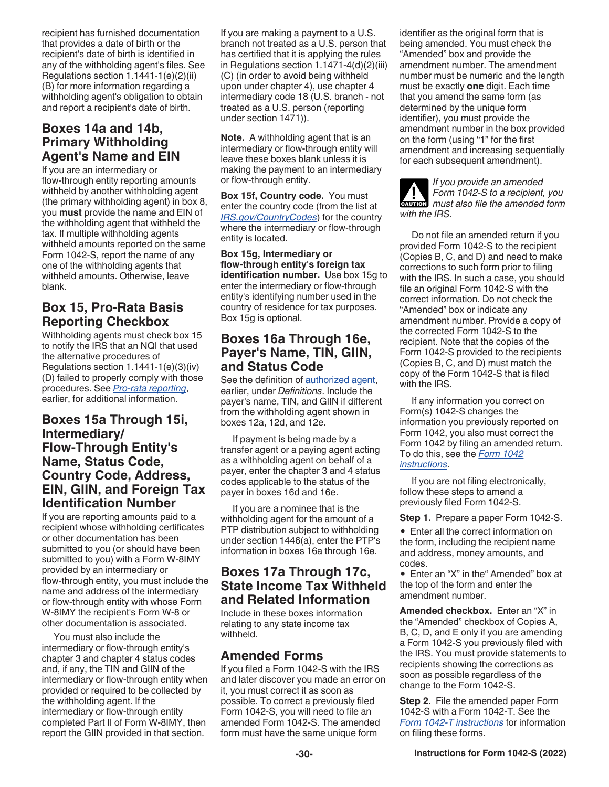<span id="page-29-0"></span>recipient has furnished documentation that provides a date of birth or the recipient's date of birth is identified in any of the withholding agent's files. See Regulations section 1.1441-1(e)(2)(ii) (B) for more information regarding a withholding agent's obligation to obtain and report a recipient's date of birth.

### **Boxes 14a and 14b, Primary Withholding Agent's Name and EIN**

If you are an intermediary or flow-through entity reporting amounts withheld by another withholding agent (the primary withholding agent) in box 8, you **must** provide the name and EIN of the withholding agent that withheld the tax. If multiple withholding agents withheld amounts reported on the same Form 1042-S, report the name of any one of the withholding agents that withheld amounts. Otherwise, leave blank.

### **Box 15, Pro-Rata Basis Reporting Checkbox**

Withholding agents must check box 15 to notify the IRS that an NQI that used the alternative procedures of Regulations section 1.1441-1(e)(3)(iv) (D) failed to properly comply with those procedures. See *[Pro-rata reporting](#page-15-0)*, earlier, for additional information.

#### **Boxes 15a Through 15i, Intermediary/ Flow-Through Entity's Name, Status Code, Country Code, Address, EIN, GIIN, and Foreign Tax Identification Number**

If you are reporting amounts paid to a recipient whose withholding certificates or other documentation has been submitted to you (or should have been submitted to you) with a Form W-8IMY provided by an intermediary or flow-through entity, you must include the name and address of the intermediary or flow-through entity with whose Form W-8IMY the recipient's Form W-8 or other documentation is associated.

You must also include the intermediary or flow-through entity's chapter 3 and chapter 4 status codes and, if any, the TIN and GIIN of the intermediary or flow-through entity when provided or required to be collected by the withholding agent. If the intermediary or flow-through entity completed Part II of Form W-8IMY, then report the GIIN provided in that section.

If you are making a payment to a U.S. branch not treated as a U.S. person that has certified that it is applying the rules in Regulations section 1.1471-4(d)(2)(iii) (C) (in order to avoid being withheld upon under chapter 4), use chapter 4 intermediary code 18 (U.S. branch - not treated as a U.S. person (reporting under section 1471)).

**Note.** A withholding agent that is an intermediary or flow-through entity will leave these boxes blank unless it is making the payment to an intermediary or flow-through entity.

**Box 15f, Country code.** You must enter the country code (from the list at *[IRS.gov/CountryCodes](https://www.irs.gov/countrycodes)*) for the country where the intermediary or flow-through entity is located.

#### **Box 15g, Intermediary or flow-through entity's foreign tax**

**identification number.** Use box 15g to enter the intermediary or flow-through entity's identifying number used in the country of residence for tax purposes. Box 15g is optional.

### **Boxes 16a Through 16e, Payer's Name, TIN, GIIN, and Status Code**

See the definition of [authorized agent](#page-4-0), earlier, under *Definitions*. Include the payer's name, TIN, and GIIN if different from the withholding agent shown in boxes 12a, 12d, and 12e.

If payment is being made by a transfer agent or a paying agent acting as a withholding agent on behalf of a payer, enter the chapter 3 and 4 status codes applicable to the status of the payer in boxes 16d and 16e.

If you are a nominee that is the withholding agent for the amount of a PTP distribution subject to withholding under section 1446(a), enter the PTP's information in boxes 16a through 16e.

### **Boxes 17a Through 17c, State Income Tax Withheld and Related Information**

Include in these boxes information relating to any state income tax withheld.

### **Amended Forms**

If you filed a Form 1042-S with the IRS and later discover you made an error on it, you must correct it as soon as possible. To correct a previously filed Form 1042-S, you will need to file an amended Form 1042-S. The amended form must have the same unique form

identifier as the original form that is being amended. You must check the "Amended" box and provide the amendment number. The amendment number must be numeric and the length must be exactly **one** digit. Each time that you amend the same form (as determined by the unique form identifier), you must provide the amendment number in the box provided on the form (using "1" for the first amendment and increasing sequentially for each subsequent amendment).

*If you provide an amended Form 1042-S to a recipient, you*  **Property Form 1042-S to a recipient, you**<br>must also file the amended form *with the IRS.*

Do not file an amended return if you provided Form 1042-S to the recipient (Copies B, C, and D) and need to make corrections to such form prior to filing with the IRS. In such a case, you should file an original Form 1042-S with the correct information. Do not check the "Amended" box or indicate any amendment number. Provide a copy of the corrected Form 1042-S to the recipient. Note that the copies of the Form 1042-S provided to the recipients (Copies B, C, and D) must match the copy of the Form 1042-S that is filed with the IRS.

If any information you correct on Form(s) 1042-S changes the information you previously reported on Form 1042, you also must correct the Form 1042 by filing an amended return. To do this, see the *[Form 1042](https://www.irs.gov/pub/irs-pdf/i1042.pdf)  [instructions](https://www.irs.gov/pub/irs-pdf/i1042.pdf)*.

If you are not filing electronically, follow these steps to amend a previously filed Form 1042-S.

**Step 1.** Prepare a paper Form 1042-S.

• Enter all the correct information on the form, including the recipient name and address, money amounts, and codes.

• Enter an "X" in the" Amended" box at the top of the form and enter the amendment number.

**Amended checkbox.** Enter an "X" in the "Amended" checkbox of Copies A, B, C, D, and E only if you are amending a Form 1042-S you previously filed with the IRS. You must provide statements to recipients showing the corrections as soon as possible regardless of the change to the Form 1042-S.

**Step 2.** File the amended paper Form 1042-S with a Form 1042-T. See the *[Form 1042-T instructions](https://www.irs.gov/pub/irs-pdf/f1042t.pdf)* for information on filing these forms.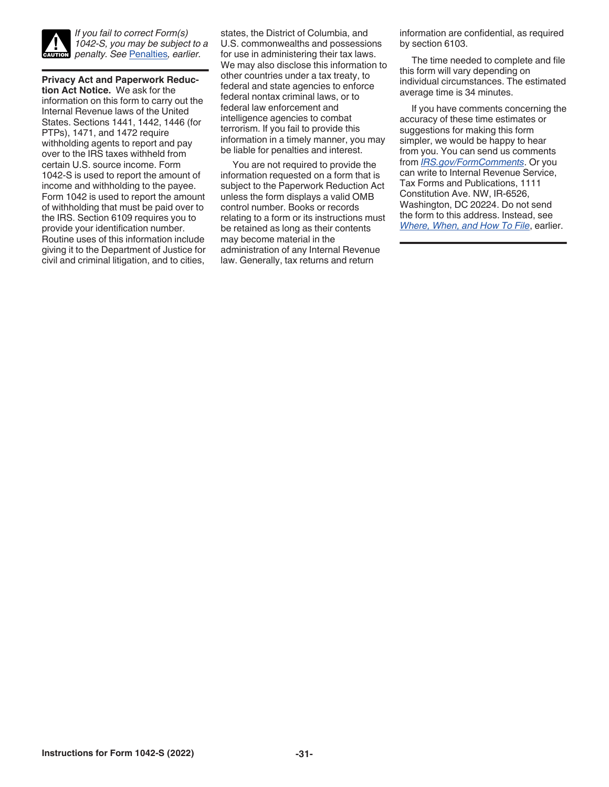

*If you fail to correct Form(s) 1042-S, you may be subject to a penalty. See* [Penalties](#page-20-0)*, earlier.*

**Privacy Act and Paperwork Reduction Act Notice.** We ask for the information on this form to carry out the Internal Revenue laws of the United States. Sections 1441, 1442, 1446 (for PTPs), 1471, and 1472 require withholding agents to report and pay over to the IRS taxes withheld from certain U.S. source income. Form 1042-S is used to report the amount of income and withholding to the payee. Form 1042 is used to report the amount of withholding that must be paid over to the IRS. Section 6109 requires you to provide your identification number. Routine uses of this information include giving it to the Department of Justice for civil and criminal litigation, and to cities,

states, the District of Columbia, and U.S. commonwealths and possessions for use in administering their tax laws. We may also disclose this information to other countries under a tax treaty, to federal and state agencies to enforce federal nontax criminal laws, or to federal law enforcement and intelligence agencies to combat terrorism. If you fail to provide this information in a timely manner, you may be liable for penalties and interest.

You are not required to provide the information requested on a form that is subject to the Paperwork Reduction Act unless the form displays a valid OMB control number. Books or records relating to a form or its instructions must be retained as long as their contents may become material in the administration of any Internal Revenue law. Generally, tax returns and return

information are confidential, as required by section 6103.

The time needed to complete and file this form will vary depending on individual circumstances. The estimated average time is 34 minutes.

If you have comments concerning the accuracy of these time estimates or suggestions for making this form simpler, we would be happy to hear from you. You can send us comments from *[IRS.gov/FormComments](https://www.irs.gov/FormComments)*. Or you can write to Internal Revenue Service, Tax Forms and Publications, 1111 Constitution Ave. NW, IR-6526, Washington, DC 20224. Do not send the form to this address. Instead, see *[Where, When, and How To File](#page-2-0)*, earlier.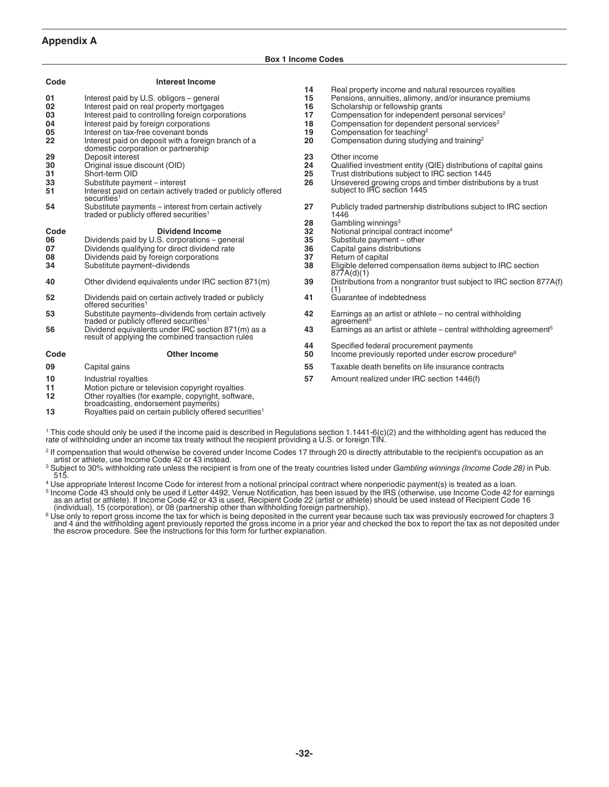#### <span id="page-31-0"></span>**Appendix A**

#### **Box 1 Income Codes**

| Code | <b>Interest Income</b>                                                                                     |    |                                                                                     |
|------|------------------------------------------------------------------------------------------------------------|----|-------------------------------------------------------------------------------------|
|      |                                                                                                            | 14 | Real property income and natural resources royalties                                |
| 01   | Interest paid by U.S. obligors - general                                                                   | 15 | Pensions, annuities, alimony, and/or insurance premiums                             |
| 02   | Interest paid on real property mortgages                                                                   | 16 | Scholarship or fellowship grants                                                    |
| 03   | Interest paid to controlling foreign corporations                                                          | 17 | Compensation for independent personal services <sup>2</sup>                         |
| 04   | Interest paid by foreign corporations                                                                      | 18 | Compensation for dependent personal services <sup>2</sup>                           |
| 05   | Interest on tax-free covenant bonds                                                                        | 19 | Compensation for teaching <sup>2</sup>                                              |
| 22   | Interest paid on deposit with a foreign branch of a<br>domestic corporation or partnership                 | 20 | Compensation during studying and training <sup>2</sup>                              |
| 29   | Deposit interest                                                                                           | 23 | Other income                                                                        |
| 30   | Original issue discount (OID)                                                                              | 24 | Qualified investment entity (QIE) distributions of capital gains                    |
| 31   | Short-term OID                                                                                             | 25 | Trust distributions subject to IRC section 1445                                     |
| 33   | Substitute payment - interest                                                                              | 26 | Unsevered growing crops and timber distributions by a trust                         |
| 51   | Interest paid on certain actively traded or publicly offered<br>securities <sup>1</sup>                    |    | subject to IRC section 1445                                                         |
| 54   | Substitute payments – interest from certain actively<br>traded or publicly offered securities <sup>1</sup> | 27 | Publicly traded partnership distributions subject to IRC section<br>1446            |
|      |                                                                                                            | 28 | Gambling winnings <sup>3</sup>                                                      |
| Code | <b>Dividend Income</b>                                                                                     | 32 | Notional principal contract income <sup>4</sup>                                     |
| 06   | Dividends paid by U.S. corporations - general                                                              | 35 | Substitute payment - other                                                          |
| 07   | Dividends qualifying for direct dividend rate                                                              | 36 | Capital gains distributions                                                         |
| 08   | Dividends paid by foreign corporations                                                                     | 37 | Return of capital                                                                   |
| 34   | Substitute payment-dividends                                                                               | 38 | Eligible deferred compensation items subject to IRC section<br>877A(d)(1)           |
| 40   | Other dividend equivalents under IRC section 871(m)                                                        | 39 | Distributions from a nongrantor trust subject to IRC section 877A(f)<br>(1)         |
| 52   | Dividends paid on certain actively traded or publicly<br>offered securities <sup>1</sup>                   | 41 | Guarantee of indebtedness                                                           |
| 53   | Substitute payments-dividends from certain actively<br>traded or publicly offered securities <sup>1</sup>  | 42 | Earnings as an artist or athlete – no central withholding<br>agreement <sup>5</sup> |
| 56   | Dividend equivalents under IRC section 871(m) as a<br>result of applying the combined transaction rules    | 43 | Earnings as an artist or athlete – central withholding agreement <sup>5</sup>       |
|      |                                                                                                            | 44 | Specified federal procurement payments                                              |
| Code | <b>Other Income</b>                                                                                        | 50 | Income previously reported under escrow procedure <sup>6</sup>                      |
| 09   | Capital gains                                                                                              | 55 | Taxable death benefits on life insurance contracts                                  |
| 10   | Industrial royalties                                                                                       | 57 | Amount realized under IRC section 1446(f)                                           |
| 11   | Motion picture or television copyright royalties                                                           |    |                                                                                     |
| 12   | Other royalties (for example, copyright, software,<br>broadcasting, endorsement payments)                  |    |                                                                                     |
| 13   | Royalties paid on certain publicly offered securities <sup>1</sup>                                         |    |                                                                                     |

<sup>1</sup> This code should only be used if the income paid is described in Regulations section 1.1441-6(c)(2) and the withholding agent has reduced the<br>rate of withholding under an income tax treaty without the recipient providi

<sup>2</sup> If compensation that would otherwise be covered under Income Codes 17 through 20 is directly attributable to the recipient's occupation as an<br>artist or athlete, use Income Code 42 or 43 instead.<br><sup>3</sup> Subject to 30% with

515.

- <sup>4</sup> Use appropriate Interest Income Code for interest from a notional principal contract where nonperiodic payment(s) is treated as a loan.<br><sup>5</sup> Income Code 43 should only be used if Letter 4492, Venue Notification, has bee
- <sup>6</sup> Use only to report gross income the tax for which is being deposited in the current year because such tax was previously escrowed for chapters 3 and 4 and the withholding agent previously reported the gross income in a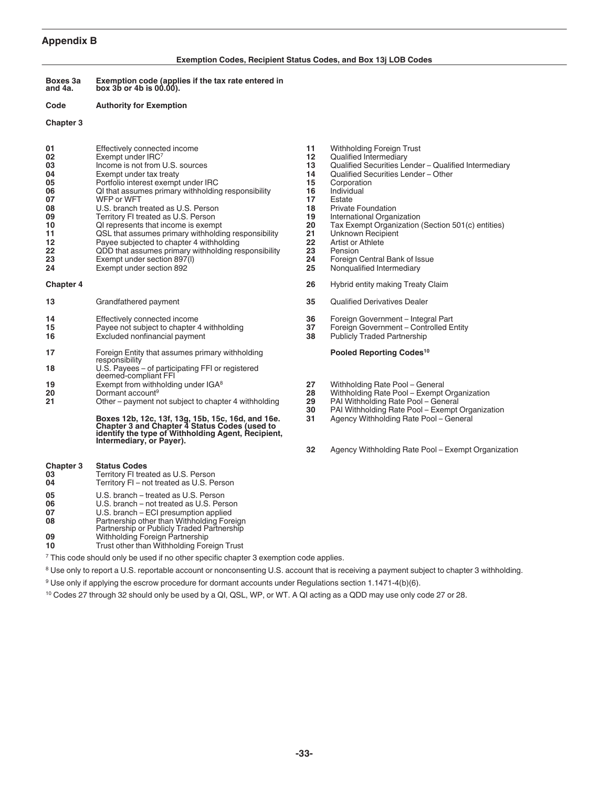#### <span id="page-32-0"></span>**Appendix B**

#### **Exemption Codes, Recipient Status Codes, and Box 13j LOB Codes**

**Boxes 3a and 4a. Exemption code (applies if the tax rate entered in box 3b or 4b is 00.00).**

#### **Code Authority for Exemption**

#### **Chapter 3**

| 01 | Effectively connected income                        | 11 | Withholding Foreign Trust          |
|----|-----------------------------------------------------|----|------------------------------------|
| 02 | Exempt under IRC7                                   | 12 | Qualified Intermediary             |
| 03 | Income is not from U.S. sources                     | 13 | Qualified Securities Lender -      |
| 04 | Exempt under tax treaty                             | 14 | Qualified Securities Lender -      |
| 05 | Portfolio interest exempt under IRC                 | 15 | Corporation                        |
| 06 | QI that assumes primary withholding responsibility  | 16 | Individual                         |
| 07 | WFP or WFT                                          | 17 | Estate                             |
| 08 | U.S. branch treated as U.S. Person                  | 18 | <b>Private Foundation</b>          |
| 09 | Territory FI treated as U.S. Person                 | 19 | International Organization         |
| 10 | QI represents that income is exempt                 | 20 | <b>Tax Exempt Organization (Se</b> |
| 11 | QSL that assumes primary withholding responsibility | 21 | Unknown Recipient                  |
| 12 | Payee subjected to chapter 4 withholding            | 22 | Artist or Athlete                  |
| 22 | QDD that assumes primary withholding responsibility | 23 | Pension                            |
| 23 | Exempt under section 897(I)                         | 24 | Foreign Central Bank of Issue      |
| 24 | Exempt under section 892                            | 25 | Nongualified Intermediary          |

| 13                    | Grandfathered payment                                                                                                                                                                | 35.            | Qualified Derivatives Dealer                                                                                       |
|-----------------------|--------------------------------------------------------------------------------------------------------------------------------------------------------------------------------------|----------------|--------------------------------------------------------------------------------------------------------------------|
| 14<br>15<br>16        | Effectively connected income<br>Payee not subject to chapter 4 withholding<br>Excluded nonfinancial payment                                                                          | 36<br>37<br>38 | Foreign Government - Integral Part<br>Foreign Government - Controlled Entity<br><b>Publicly Traded Partnership</b> |
| 17                    | Foreign Entity that assumes primary withholding                                                                                                                                      |                | Pooled Reporting Codes <sup>10</sup>                                                                               |
| 18                    | responsibility<br>U.S. Payees – of participating FFI or registered<br>deemed-compliant FFI                                                                                           |                |                                                                                                                    |
| 19                    | Exempt from withholding under IGA <sup>8</sup>                                                                                                                                       | 27             | Withholding Rate Pool - General                                                                                    |
| 20                    | Dormant account <sup>9</sup>                                                                                                                                                         | 28             | Withholding Rate Pool - Exempt Organization                                                                        |
| 21                    | Other – payment not subject to chapter 4 withholding                                                                                                                                 | 29             | PAI Withholding Rate Pool - General                                                                                |
|                       |                                                                                                                                                                                      | 30             | PAI Withholding Rate Pool - Exempt Organiza                                                                        |
|                       | Boxes 12b, 12c, 13f, 13g, 15b, 15c, 16d, and 16e.<br>Chapter 3 and Chapter 4 Status Codes (used to<br>identify the type of Withholding Agent, Recipient,<br>Intermediary, or Payer). | 31             | Agency Withholding Rate Pool - General                                                                             |
|                       |                                                                                                                                                                                      | 32             | Agency Withholding Rate Pool - Exempt Orga                                                                         |
| Chapter 3<br>03<br>04 | <b>Status Codes</b><br>Territory FI treated as U.S. Person<br>Territory FI - not treated as U.S. Person                                                                              |                |                                                                                                                    |
|                       |                                                                                                                                                                                      |                |                                                                                                                    |

- 
- **05** U.S. branch treated as U.S. Person
- **06** U.S. branch not treated as U.S. Person<br>**07** U.S. branch ECI presumption applied **07** U.S. branch – ECI presumption applied
- **08** Partnership other than Withholding Foreign Partnership or Publicly Traded Partnership
- 
- **09** Withholding Foreign Partnership<br>**10** Trust other than Withholding Fore
- **10** Trust other than Withholding Foreign Trust

<sup>7</sup> This code should only be used if no other specific chapter 3 exemption code applies.

<sup>8</sup> Use only to report a U.S. reportable account or nonconsenting U.S. account that is receiving a payment subject to chapter 3 withholding.

- <sup>9</sup> Use only if applying the escrow procedure for dormant accounts under Regulations section 1.1471-4(b)(6).
- <sup>10</sup> Codes 27 through 32 should only be used by a QI, QSL, WP, or WT. A QI acting as a QDD may use only code 27 or 28.
- **11** Withholding Foreign Trust<br>**12** Qualified Intermediary **12** Qualified Intermediary<br>**13** Qualified Securities Le
- **13** Qualified Securities Lender Qualified Intermediary<br>**14** Oualified Securities Lender Other
- 14 Qualified Securities Lender Other<br>15 Corporation
- 
- **15** Corporation<br>**16** Individual
- 
- **18** Private Foundation<br>**19** International Organ
- **19** International Organization<br>**20** Tax Exempt Organization
- **10** Tax Exempt Organization (Section 501(c) entities)<br>**21** Unknown Recipient
- **11** Unknown Recipient<br>**22** Artist or Athlete
- **22** Artist or Athlete<br>**23** Pension
- 
- **Nonqualified Intermediary**
- **Chapter 4 26** Hybrid entity making Treaty Claim
	- **135** Qualified Derivatives Dealer
	- **144 14** Effection Government Integral Part **37** Foreign Government Controlled E
	- **158 Payse Report Subject 15** Payet on Same Foreign Government Controlled Entity<br>**38** Publicly Traded Partnership
	- **Publicly Traded Partnership**

#### **Pooled Reporting Codes<sup>10</sup>**

- 
- 
- **29** PAI Withholding Rate Pool General<br>**30** PAI Withholding Rate Pool Exempt (
- **30** PAI Withholding Rate Pool Exempt Organization **31** Agency Withholding Rate Pool – General
- **32** Agency Withholding Rate Pool Exempt Organization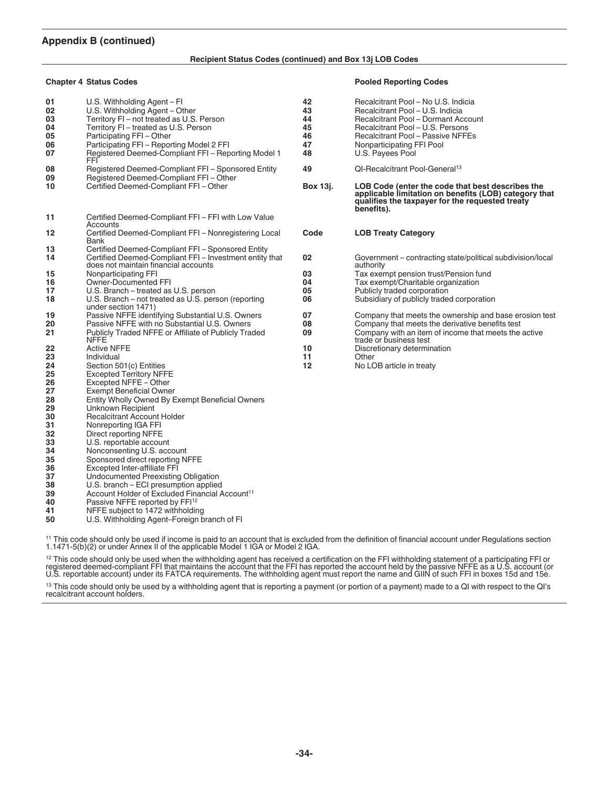#### **Appendix B (continued)**

#### **Recipient Status Codes (continued) and Box 13j LOB Codes**

#### **Chapter 4 Status Codes Pooled Reporting Codes**

| 01<br>02<br>03<br>04<br>05<br>06<br>07 | U.S. Withholding Agent - Fl<br>U.S. Withholding Agent - Other<br>Territory FI-not treated as U.S. Person<br>Territory FI - treated as U.S. Person<br>Participating FFI - Other<br>Participating FFI - Reporting Model 2 FFI<br>Registered Deemed-Compliant FFI - Reporting Model 1<br>FFI | 42<br>43<br>44<br>45<br>46<br>47<br>48 | Recalcitrant Pool - No U.S. Indicia<br>Recalcitrant Pool - U.S. Indicia<br>Recalcitrant Pool - Dormant Account<br>Recalcitrant Pool - U.S. Persons<br>Recalcitrant Pool - Passive NFFEs<br>Nonparticipating FFI Pool<br>U.S. Payees Pool |
|----------------------------------------|-------------------------------------------------------------------------------------------------------------------------------------------------------------------------------------------------------------------------------------------------------------------------------------------|----------------------------------------|------------------------------------------------------------------------------------------------------------------------------------------------------------------------------------------------------------------------------------------|
| 08<br>09                               | Registered Deemed-Compliant FFI - Sponsored Entity<br>Registered Deemed-Compliant FFI - Other                                                                                                                                                                                             | 49                                     | QI-Recalcitrant Pool-General <sup>13</sup>                                                                                                                                                                                               |
| 10                                     | Certified Deemed-Compliant FFI - Other                                                                                                                                                                                                                                                    | Box 13j.                               | LOB Code (enter the code that best describes the<br>applicable limitation on benefits (LOB) category that<br>qualifies the taxpayer for the requested treaty<br>benefits).                                                               |
| 11                                     | Certified Deemed-Compliant FFI - FFI with Low Value                                                                                                                                                                                                                                       |                                        |                                                                                                                                                                                                                                          |
| 12                                     | Accounts<br>Certified Deemed-Compliant FFI - Nonregistering Local<br>Bank                                                                                                                                                                                                                 | Code                                   | <b>LOB Treaty Category</b>                                                                                                                                                                                                               |
| 13                                     | Certified Deemed-Compliant FFI - Sponsored Entity                                                                                                                                                                                                                                         |                                        |                                                                                                                                                                                                                                          |
| 14                                     | Certified Deemed-Compliant FFI - Investment entity that<br>does not maintain financial accounts                                                                                                                                                                                           | 02                                     | Government – contracting state/political subdivision/local<br>authority                                                                                                                                                                  |
| 15                                     | Nonparticipating FFI                                                                                                                                                                                                                                                                      | 03                                     | Tax exempt pension trust/Pension fund                                                                                                                                                                                                    |
| 16                                     | Owner-Documented FFI                                                                                                                                                                                                                                                                      | 04                                     | Tax exempt/Charitable organization                                                                                                                                                                                                       |
| 17                                     | U.S. Branch - treated as U.S. person                                                                                                                                                                                                                                                      | 05                                     | Publicly traded corporation                                                                                                                                                                                                              |
| 18                                     | U.S. Branch – not treated as U.S. person (reporting<br>under section 1471)                                                                                                                                                                                                                | 06                                     | Subsidiary of publicly traded corporation                                                                                                                                                                                                |
| 19                                     | Passive NFFE identifying Substantial U.S. Owners                                                                                                                                                                                                                                          | 07                                     | Company that meets the ownership and base erosion test                                                                                                                                                                                   |
| 20                                     | Passive NFFE with no Substantial U.S. Owners                                                                                                                                                                                                                                              | 08                                     | Company that meets the derivative benefits test                                                                                                                                                                                          |
| 21                                     | Publicly Traded NFFE or Affiliate of Publicly Traded<br><b>NFFE</b>                                                                                                                                                                                                                       | 09                                     | Company with an item of income that meets the active<br>trade or business test                                                                                                                                                           |
| 22                                     | <b>Active NFFE</b>                                                                                                                                                                                                                                                                        | 10                                     | Discretionary determination                                                                                                                                                                                                              |
| 23                                     | Individual                                                                                                                                                                                                                                                                                | 11                                     | Other                                                                                                                                                                                                                                    |
| 24<br>25                               | Section 501(c) Entities<br><b>Excepted Territory NFFE</b>                                                                                                                                                                                                                                 | 12                                     | No LOB article in treaty                                                                                                                                                                                                                 |
| 26                                     | Excepted NFFE - Other                                                                                                                                                                                                                                                                     |                                        |                                                                                                                                                                                                                                          |
| 27                                     | <b>Exempt Beneficial Owner</b>                                                                                                                                                                                                                                                            |                                        |                                                                                                                                                                                                                                          |
| 28                                     | Entity Wholly Owned By Exempt Beneficial Owners                                                                                                                                                                                                                                           |                                        |                                                                                                                                                                                                                                          |
| 29                                     | <b>Unknown Recipient</b>                                                                                                                                                                                                                                                                  |                                        |                                                                                                                                                                                                                                          |
| 30                                     | <b>Recalcitrant Account Holder</b>                                                                                                                                                                                                                                                        |                                        |                                                                                                                                                                                                                                          |
| 31                                     | Nonreporting IGA FFI                                                                                                                                                                                                                                                                      |                                        |                                                                                                                                                                                                                                          |
| 32                                     | Direct reporting NFFE                                                                                                                                                                                                                                                                     |                                        |                                                                                                                                                                                                                                          |
| 33<br>34                               | U.S. reportable account                                                                                                                                                                                                                                                                   |                                        |                                                                                                                                                                                                                                          |
| 35                                     | Nonconsenting U.S. account<br>Sponsored direct reporting NFFE                                                                                                                                                                                                                             |                                        |                                                                                                                                                                                                                                          |
| 36                                     | <b>Excepted Inter-affiliate FFI</b>                                                                                                                                                                                                                                                       |                                        |                                                                                                                                                                                                                                          |
| 37                                     | Undocumented Preexisting Obligation                                                                                                                                                                                                                                                       |                                        |                                                                                                                                                                                                                                          |
| 38                                     | U.S. branch - ECI presumption applied                                                                                                                                                                                                                                                     |                                        |                                                                                                                                                                                                                                          |
| 39                                     | Account Holder of Excluded Financial Account <sup>11</sup>                                                                                                                                                                                                                                |                                        |                                                                                                                                                                                                                                          |
| 40                                     | Passive NFFE reported by FFI <sup>12</sup>                                                                                                                                                                                                                                                |                                        |                                                                                                                                                                                                                                          |

**41** NFFE subject to 1472 withholding<br>**50** U.S. Withholding Agent–Foreign b

U.S. Withholding Agent–Foreign branch of FI

<sup>11</sup> This code should only be used if income is paid to an account that is excluded from the definition of financial account under Regulations section<br>1.1471-5(b)(2) or under Annex II of the applicable Model 1 IGA or Model

<sup>12</sup> This code should only be used when the withholding agent has received a certification on the FFI withholding statement of a participating FFI or<br>registered deemed-compliant FFI that maintains the account that the FFI

<sup>13</sup> This code should only be used by a withholding agent that is reporting a payment (or portion of a payment) made to a QI with respect to the QI's<br>recalcitrant account holders.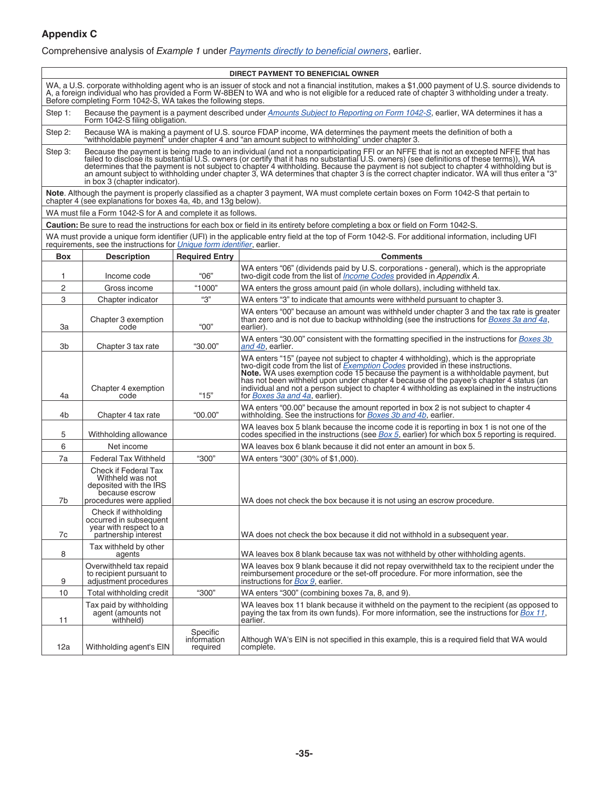### <span id="page-34-0"></span>**Appendix C**

Comprehensive analysis of *Example 1* under *[Payments directly to beneficial owners](#page-11-0)*, earlier.

| DIRECT PAYMENT TO BENEFICIAL OWNER                                                                                                                                                                                                                                                                                                                                        |                                                                                                                                                                 |                                     |                                                                                                                                                                                                                                                                                                                                                                                                                                                                                                                                                                         |  |
|---------------------------------------------------------------------------------------------------------------------------------------------------------------------------------------------------------------------------------------------------------------------------------------------------------------------------------------------------------------------------|-----------------------------------------------------------------------------------------------------------------------------------------------------------------|-------------------------------------|-------------------------------------------------------------------------------------------------------------------------------------------------------------------------------------------------------------------------------------------------------------------------------------------------------------------------------------------------------------------------------------------------------------------------------------------------------------------------------------------------------------------------------------------------------------------------|--|
| WA, a U.S. corporate withholding agent who is an issuer of stock and not a financial institution, makes a \$1,000 payment of U.S. source dividends to<br>A, a foreign individual who has provided a Form W-8BEN to WA and who is not eligible for a reduced rate of chapter 3 withholding under a treaty.<br>Before completing Form 1042-S, WA takes the following steps. |                                                                                                                                                                 |                                     |                                                                                                                                                                                                                                                                                                                                                                                                                                                                                                                                                                         |  |
| Step 1:                                                                                                                                                                                                                                                                                                                                                                   | Because the payment is a payment described under Amounts Subject to Reporting on Form 1042-S, earlier, WA determines it has a<br>Form 1042-S filing obligation. |                                     |                                                                                                                                                                                                                                                                                                                                                                                                                                                                                                                                                                         |  |
| Step 2:                                                                                                                                                                                                                                                                                                                                                                   |                                                                                                                                                                 |                                     | Because WA is making a payment of U.S. source FDAP income, WA determines the payment meets the definition of both a<br>"withholdable payment" under chapter 4 and "an amount subject to withholding" under chapter 3.                                                                                                                                                                                                                                                                                                                                                   |  |
| Step 3:                                                                                                                                                                                                                                                                                                                                                                   | in box 3 (chapter indicator).                                                                                                                                   |                                     | Because the payment is being made to an individual (and not a nonparticipating FFI or an NFFE that is not an excepted NFFE that has<br>failed to disclose its substantial U.S. owners (or certify that it has no substantial U.S. owners) (see definitions of these terms)), WA<br>determines that the payment is not subject to chapter 4 withholding. Because the payment is not subject to chapter 4 withholding but is<br>an amount subject to withholding under chapter 3, WA determines that chapter 3 is the correct chapter indicator. WA will thus enter a "3" |  |
|                                                                                                                                                                                                                                                                                                                                                                           | chapter 4 (see explanations for boxes 4a, 4b, and 13g below).                                                                                                   |                                     | Note. Although the payment is properly classified as a chapter 3 payment, WA must complete certain boxes on Form 1042-S that pertain to                                                                                                                                                                                                                                                                                                                                                                                                                                 |  |
|                                                                                                                                                                                                                                                                                                                                                                           | WA must file a Form 1042-S for A and complete it as follows.                                                                                                    |                                     |                                                                                                                                                                                                                                                                                                                                                                                                                                                                                                                                                                         |  |
|                                                                                                                                                                                                                                                                                                                                                                           |                                                                                                                                                                 |                                     | Caution: Be sure to read the instructions for each box or field in its entirety before completing a box or field on Form 1042-S.                                                                                                                                                                                                                                                                                                                                                                                                                                        |  |
|                                                                                                                                                                                                                                                                                                                                                                           |                                                                                                                                                                 |                                     | WA must provide a unique form identifier (UFI) in the applicable entry field at the top of Form 1042-S. For additional information, including UFI requirements, see the instructions for <i>Unique form identifier</i> , earlier.                                                                                                                                                                                                                                                                                                                                       |  |
| <b>Box</b>                                                                                                                                                                                                                                                                                                                                                                | <b>Description</b>                                                                                                                                              | <b>Required Entry</b>               | <b>Comments</b>                                                                                                                                                                                                                                                                                                                                                                                                                                                                                                                                                         |  |
| 1                                                                                                                                                                                                                                                                                                                                                                         | Income code                                                                                                                                                     | "06"                                | WA enters "06" (dividends paid by U.S. corporations - general), which is the appropriate<br>two-digit code from the list of <i>Income Codes</i> provided in <i>Appendix A.</i>                                                                                                                                                                                                                                                                                                                                                                                          |  |
| 2                                                                                                                                                                                                                                                                                                                                                                         | Gross income                                                                                                                                                    | "1000"                              | WA enters the gross amount paid (in whole dollars), including withheld tax.                                                                                                                                                                                                                                                                                                                                                                                                                                                                                             |  |
| 3                                                                                                                                                                                                                                                                                                                                                                         | Chapter indicator                                                                                                                                               | "З"                                 | WA enters "3" to indicate that amounts were withheld pursuant to chapter 3.                                                                                                                                                                                                                                                                                                                                                                                                                                                                                             |  |
| За                                                                                                                                                                                                                                                                                                                                                                        | Chapter 3 exemption<br>code                                                                                                                                     | "00"                                | WA enters "00" because an amount was withheld under chapter 3 and the tax rate is greater<br>than zero and is not due to backup withholding (see the instructions for <i>Boxes 3a and 4a</i> ,<br>earlier).                                                                                                                                                                                                                                                                                                                                                             |  |
| 3b                                                                                                                                                                                                                                                                                                                                                                        | Chapter 3 tax rate                                                                                                                                              | "30.00"                             | WA enters "30.00" consistent with the formatting specified in the instructions for <i>Boxes 3b</i><br>and 4b, earlier.                                                                                                                                                                                                                                                                                                                                                                                                                                                  |  |
| 4a                                                                                                                                                                                                                                                                                                                                                                        | Chapter 4 exemption<br>code                                                                                                                                     | " $15"$                             | WA enters "15" (payee not subject to chapter 4 withholding), which is the appropriate<br>two-digit code from the list of <i>Exemption Codes</i> provided in these instructions.<br>Note. WA uses exemption code 15 because the payment is a withholdable payment, but<br>has not been withheld upon under chapter 4 because of the payee's chapter 4 status (an<br>individual and not a person subject to chapter 4 withholding as explained in the instructions<br>for <i>Boxes 3a and 4a</i> , earlier).                                                              |  |
| 4b                                                                                                                                                                                                                                                                                                                                                                        | Chapter 4 tax rate                                                                                                                                              | "00.00"                             | WA enters "00.00" because the amount reported in box 2 is not subject to chapter 4<br>withholding. See the instructions for Boxes 3b and 4b, earlier.                                                                                                                                                                                                                                                                                                                                                                                                                   |  |
| 5                                                                                                                                                                                                                                                                                                                                                                         | Withholding allowance                                                                                                                                           |                                     | WA leaves box 5 blank because the income code it is reporting in box 1 is not one of the<br>codes specified in the instructions (see Box 5, earlier) for which box 5 reporting is required.                                                                                                                                                                                                                                                                                                                                                                             |  |
| 6                                                                                                                                                                                                                                                                                                                                                                         | Net income                                                                                                                                                      |                                     | WA leaves box 6 blank because it did not enter an amount in box 5.                                                                                                                                                                                                                                                                                                                                                                                                                                                                                                      |  |
| 7a                                                                                                                                                                                                                                                                                                                                                                        | <b>Federal Tax Withheld</b>                                                                                                                                     | "300"                               | WA enters "300" (30% of \$1,000).                                                                                                                                                                                                                                                                                                                                                                                                                                                                                                                                       |  |
|                                                                                                                                                                                                                                                                                                                                                                           | Check if Federal Tax<br>Withheld was not<br>deposited with the IRS<br>because escrow                                                                            |                                     |                                                                                                                                                                                                                                                                                                                                                                                                                                                                                                                                                                         |  |
| 7b                                                                                                                                                                                                                                                                                                                                                                        | procedures were applied                                                                                                                                         |                                     | WA does not check the box because it is not using an escrow procedure.                                                                                                                                                                                                                                                                                                                                                                                                                                                                                                  |  |
| 7c                                                                                                                                                                                                                                                                                                                                                                        | Check if withholding<br>occurred in subsequent<br>year with respect to a<br>partnership interest                                                                |                                     | WA does not check the box because it did not withhold in a subsequent year.                                                                                                                                                                                                                                                                                                                                                                                                                                                                                             |  |
| 8                                                                                                                                                                                                                                                                                                                                                                         | Tax withheld by other<br>agents                                                                                                                                 |                                     | WA leaves box 8 blank because tax was not withheld by other withholding agents.                                                                                                                                                                                                                                                                                                                                                                                                                                                                                         |  |
| 9                                                                                                                                                                                                                                                                                                                                                                         | Overwithheld tax repaid<br>to recipient pursuant to<br>adjustment procedures                                                                                    |                                     | WA leaves box 9 blank because it did not repay overwithheld tax to the recipient under the<br>reimbursement procedure or the set-off procedure. For more information, see the<br>instructions for Box 9, earlier.                                                                                                                                                                                                                                                                                                                                                       |  |
| 10                                                                                                                                                                                                                                                                                                                                                                        | "300"<br>Total withholding credit<br>WA enters "300" (combining boxes 7a, 8, and 9).                                                                            |                                     |                                                                                                                                                                                                                                                                                                                                                                                                                                                                                                                                                                         |  |
| 11                                                                                                                                                                                                                                                                                                                                                                        | Tax paid by withholding<br>agent (amounts not<br>withheld)                                                                                                      |                                     | WA leaves box 11 blank because it withheld on the payment to the recipient (as opposed to<br>paying the tax from its own funds). For more information, see the instructions for Box 11,<br>earlier.                                                                                                                                                                                                                                                                                                                                                                     |  |
| 12a                                                                                                                                                                                                                                                                                                                                                                       | Withholding agent's EIN                                                                                                                                         | Specific<br>information<br>required | Although WA's EIN is not specified in this example, this is a required field that WA would<br>complete.                                                                                                                                                                                                                                                                                                                                                                                                                                                                 |  |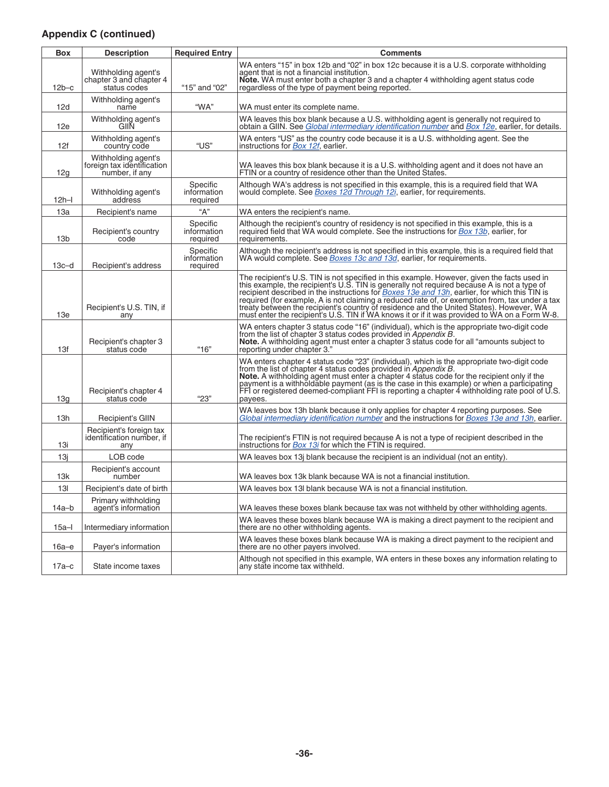### **Appendix C (continued)**

| <b>Box</b>      | <b>Description</b>                                                  | <b>Required Entry</b>               | <b>Comments</b>                                                                                                                                                                                                                                                                                                                                                                                                                                                                                                                                                                                  |
|-----------------|---------------------------------------------------------------------|-------------------------------------|--------------------------------------------------------------------------------------------------------------------------------------------------------------------------------------------------------------------------------------------------------------------------------------------------------------------------------------------------------------------------------------------------------------------------------------------------------------------------------------------------------------------------------------------------------------------------------------------------|
| $12b-c$         | Withholding agent's<br>chapter 3 and chapter 4<br>status codes      | "15" and "02"                       | WA enters "15" in box 12b and "02" in box 12c because it is a U.S. corporate withholding<br>agent that is not a financial institution.<br>Note. WA must enter both a chapter 3 and a chapter 4 withholding agent status code<br>regardless of the type of payment being reported.                                                                                                                                                                                                                                                                                                                |
| 12d             | Withholding agent's<br>name                                         | "WA"                                | WA must enter its complete name.                                                                                                                                                                                                                                                                                                                                                                                                                                                                                                                                                                 |
| 12e             | Withholding agent's<br>GIIN                                         |                                     | WA leaves this box blank because a U.S. withholding agent is generally not required to<br>obtain a GIIN. See Global intermediary identification number and Box 12e, earlier, for details.                                                                                                                                                                                                                                                                                                                                                                                                        |
| 12f             | Withholding agent's<br>country code                                 | "US"                                | WA enters "US" as the country code because it is a U.S. withholding agent. See the<br>instructions for <b>Box 12f</b> , earlier.                                                                                                                                                                                                                                                                                                                                                                                                                                                                 |
| 12g             | Withholding agent's<br>foreign tax identification<br>number, if any |                                     | WA leaves this box blank because it is a U.S. withholding agent and it does not have an<br>FTIN or a country of residence other than the United States.                                                                                                                                                                                                                                                                                                                                                                                                                                          |
| $12h-1$         | Withholding agent's<br>address                                      | Specific<br>information<br>required | Although WA's address is not specified in this example, this is a required field that WA<br>would complete. See <i>Boxes 12d Through 12i</i> , earlier, for requirements.                                                                                                                                                                                                                                                                                                                                                                                                                        |
| 13a             | Recipient's name                                                    | "А"                                 | WA enters the recipient's name.                                                                                                                                                                                                                                                                                                                                                                                                                                                                                                                                                                  |
| 13 <sub>b</sub> | Recipient's country<br>code                                         | Specific<br>information<br>required | Although the recipient's country of residency is not specified in this example, this is a<br>required field that WA would complete. See the instructions for <b>Box 13b</b> , earlier, for<br>requirements.                                                                                                                                                                                                                                                                                                                                                                                      |
| $13c-d$         | Recipient's address                                                 | Specific<br>information<br>required | Although the recipient's address is not specified in this example, this is a required field that<br>WA would complete. See <i>Boxes 13c and 13d</i> , earlier, for requirements.                                                                                                                                                                                                                                                                                                                                                                                                                 |
| 13e             | Recipient's U.S. TIN, if<br>any                                     |                                     | The recipient's U.S. TIN is not specified in this example. However, given the facts used in<br>this example, the recipient's U.S. TIN is generally not required because A is not a type of<br>recipient described in the instructions for <i>Boxes</i> 13e and 13h, earlier, for which this TIN is<br>required (for example, A is not claiming a reduced rate of, or exemption from, tax under a tax<br>treaty between the recipient's country of residence and the United States). However, WA<br>must enter the recipient's U.S. TIN if WA knows it or if it was provided to WA on a Form W-8. |
| 13f             | Recipient's chapter 3<br>status code                                | "16"                                | WA enters chapter 3 status code "16" (individual), which is the appropriate two-digit code<br>from the list of chapter 3 status codes provided in <i>Appendix B</i> .<br>Note. A withholding agent must enter a chapter 3 status code for all "amounts subject to<br>reporting under chapter 3."                                                                                                                                                                                                                                                                                                 |
| 13g             | Recipient's chapter 4<br>status code                                | "23"                                | WA enters chapter 4 status code "23" (individual), which is the appropriate two-digit code<br>from the list of chapter 4 status codes provided in Appendix B.<br>Note. A withholding agent must enter a chapter 4 status code for the recipient only if the<br>payment is a withholdable payment (as is the case in this example) or when a participating<br>FFI or registered deemed-compliant FFI is reporting a chapter 4 withholding rate pool of U.S.<br>payees.                                                                                                                            |
| 13h             | Recipient's GIIN                                                    |                                     | WA leaves box 13h blank because it only applies for chapter 4 reporting purposes. See<br>Global intermediary identification number and the instructions for Boxes 13e and 13h, earlier.                                                                                                                                                                                                                                                                                                                                                                                                          |
| 13i             | Recipient's foreign tax<br>identification number, if<br>any         |                                     | The recipient's FTIN is not required because A is not a type of recipient described in the<br>instructions for Box 13i for which the FTIN is required.                                                                                                                                                                                                                                                                                                                                                                                                                                           |
| 13i             | LOB code                                                            |                                     | WA leaves box 13j blank because the recipient is an individual (not an entity).                                                                                                                                                                                                                                                                                                                                                                                                                                                                                                                  |
| 13k             | Recipient's account<br>number                                       |                                     | WA leaves box 13k blank because WA is not a financial institution.                                                                                                                                                                                                                                                                                                                                                                                                                                                                                                                               |
| 13I             | Recipient's date of birth                                           |                                     | WA leaves box 13I blank because WA is not a financial institution.                                                                                                                                                                                                                                                                                                                                                                                                                                                                                                                               |
| 14a–b           | Primary withholding<br>agent's information                          |                                     | WA leaves these boxes blank because tax was not withheld by other withholding agents.                                                                                                                                                                                                                                                                                                                                                                                                                                                                                                            |
| $15a - I$       | Intermediary information                                            |                                     | WA leaves these boxes blank because WA is making a direct payment to the recipient and<br>there are no other withholding agents.                                                                                                                                                                                                                                                                                                                                                                                                                                                                 |
| $16a-e$         | Payer's information                                                 |                                     | WA leaves these boxes blank because WA is making a direct payment to the recipient and<br>there are no other payers involved.                                                                                                                                                                                                                                                                                                                                                                                                                                                                    |
| $17a-c$         | State income taxes                                                  |                                     | Although not specified in this example, WA enters in these boxes any information relating to<br>any state income tax withheld.                                                                                                                                                                                                                                                                                                                                                                                                                                                                   |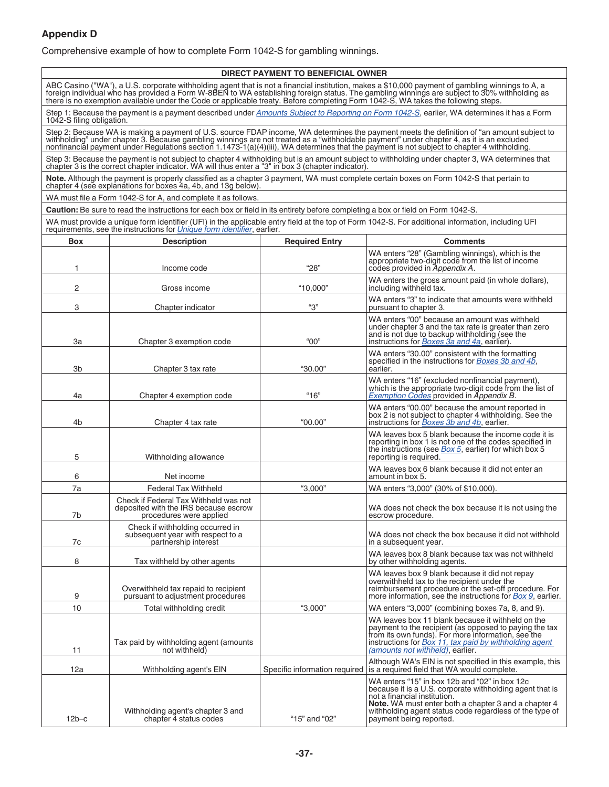#### **Appendix D**

Comprehensive example of how to complete Form 1042-S for gambling winnings.

#### **DIRECT PAYMENT TO BENEFICIAL OWNER**

ABC Casino ("WA"), a U.S. corporate withholding agent that is not a financial institution, makes a \$10,000 payment of gambling winnings to A, a<br>foreign individual who has provided a Form W-8BEN to WA establishing foreign s

Step 1: Because the payment is a payment described under <u>[Amounts Subject to Reporting on Form 1042-S](#page-7-0),</u> earlier, WA determines it has a Form<br>1042-S filing obligation.

Step 2: Because WA is making a payment of U.S. source FDAP income, WA determines the payment meets the definition of "an amount subject to<br>withholding" under chapter 3. Because gambling winnings are not treated as a "withh

Step 3: Because the payment is not subject to chapter 4 withholding but is an amount subject to withholding under chapter 3, WA determines that<br>chapter 3 is the correct chapter indicator. WA will thus enter a "3" in box 3

**Note.** Although the payment is properly classified as a chapter 3 payment, WA must complete certain boxes on Form 1042-S that pertain to chapter 4 (see explanations for boxes 4a, 4b, and 13g below).

WA must file a Form 1042-S for A, and complete it as follows.

**Caution:** Be sure to read the instructions for each box or field in its entirety before completing a box or field on Form 1042-S.

WA must provide a unique form identifier (UFI) in the applicable entry field at the top of Form 1042-S. For additional information, including UFI<br>requirements, see the instructions for *[Unique form identifier](#page-1-0)*, earlier.

| Box            | <b>Description</b>                                                                                        | <b>Required Entry</b>         | <b>Comments</b>                                                                                                                                                                                                                                                                                |
|----------------|-----------------------------------------------------------------------------------------------------------|-------------------------------|------------------------------------------------------------------------------------------------------------------------------------------------------------------------------------------------------------------------------------------------------------------------------------------------|
| 1              | Income code                                                                                               | "28"                          | WA enters "28" (Gambling winnings), which is the<br>appropriate two-digit code from the list of income<br>codes provided in Appendix A.                                                                                                                                                        |
| 2              | Gross income                                                                                              | "10.000"                      | WA enters the gross amount paid (in whole dollars),<br>including withheld tax.                                                                                                                                                                                                                 |
| 3              | Chapter indicator                                                                                         | "З"                           | WA enters "3" to indicate that amounts were withheld<br>pursuant to chapter 3.                                                                                                                                                                                                                 |
| 3a             | Chapter 3 exemption code                                                                                  | "00"                          | WA enters "00" because an amount was withheld<br>under chapter 3 and the tax rate is greater than zero<br>and is not due to backup withholding (see the<br>instructions for <b>Boxes</b> 3a and 4a, earlier).                                                                                  |
| 3b             | Chapter 3 tax rate                                                                                        | "30.00"                       | WA enters "30.00" consistent with the formatting<br>specified in the instructions for <i>Boxes</i> 3b and 4b,<br>earlier.                                                                                                                                                                      |
| 4a             | Chapter 4 exemption code                                                                                  | "16"                          | WA enters "16" (excluded nonfinancial payment),<br>which is the appropriate two-digit code from the list of<br>Exemption Codes provided in Appendix B.                                                                                                                                         |
| 4 <sub>b</sub> | Chapter 4 tax rate                                                                                        | "00.00"                       | WA enters "00.00" because the amount reported in<br>box 2 is not subject to chapter 4 withholding. See the<br>instructions for <b>Boxes</b> 3b and 4b, earlier.                                                                                                                                |
| 5              | Withholding allowance                                                                                     |                               | WA leaves box 5 blank because the income code it is<br>reporting in box 1 is not one of the codes specified in<br>the instructions (see Box 5, earlier) for which box 5<br>reporting is required.                                                                                              |
| 6              | Net income                                                                                                |                               | WA leaves box 6 blank because it did not enter an<br>amount in box 5.                                                                                                                                                                                                                          |
| 7a             | <b>Federal Tax Withheld</b>                                                                               | "3,000"                       | WA enters "3,000" (30% of \$10,000).                                                                                                                                                                                                                                                           |
| 7b             | Check if Federal Tax Withheld was not<br>deposited with the IRS because escrow<br>procedures were applied |                               | WA does not check the box because it is not using the<br>escrow procedure.                                                                                                                                                                                                                     |
| 7c             | Check if withholding occurred in<br>subsequent year with respect to a<br>partnership interest             |                               | WA does not check the box because it did not withhold<br>in a subsequent year.                                                                                                                                                                                                                 |
| 8              | Tax withheld by other agents                                                                              |                               | WA leaves box 8 blank because tax was not withheld<br>by other withholding agents.                                                                                                                                                                                                             |
| 9              | Overwithheld tax repaid to recipient<br>pursuant to adjustment procedures                                 |                               | WA leaves box 9 blank because it did not repay<br>overwithheld tax to the recipient under the<br>reimbursement procedure or the set-off procedure. For<br>more information, see the instructions for <i>Box 9</i> , earlier.                                                                   |
| 10             | Total withholding credit                                                                                  | "3,000"                       | WA enters "3,000" (combining boxes 7a, 8, and 9).                                                                                                                                                                                                                                              |
| 11             | Tax paid by withholding agent (amounts<br>not withheld)                                                   |                               | WA leaves box 11 blank because it withheld on the<br>payment to the recipient (as opposed to paying the tax<br>from its own funds). For more information, see the<br>instructions for Box 11, tax paid by withholding agent<br>(amounts not withheld), earlier.                                |
| 12a            | Withholding agent's EIN                                                                                   | Specific information required | Although WA's EIN is not specified in this example, this<br>is a required field that WA would complete.                                                                                                                                                                                        |
| $12b-c$        | Withholding agent's chapter 3 and<br>chapter 4 status codes                                               | "15" and "02"                 | WA enters "15" in box 12b and "02" in box 12c<br>because it is a U.S. corporate withholding agent that is<br>not a financial institution.<br><b>Note.</b> WA must enter both a chapter 3 and a chapter 4<br>withholding agent status code regardless of the type of<br>payment being reported. |